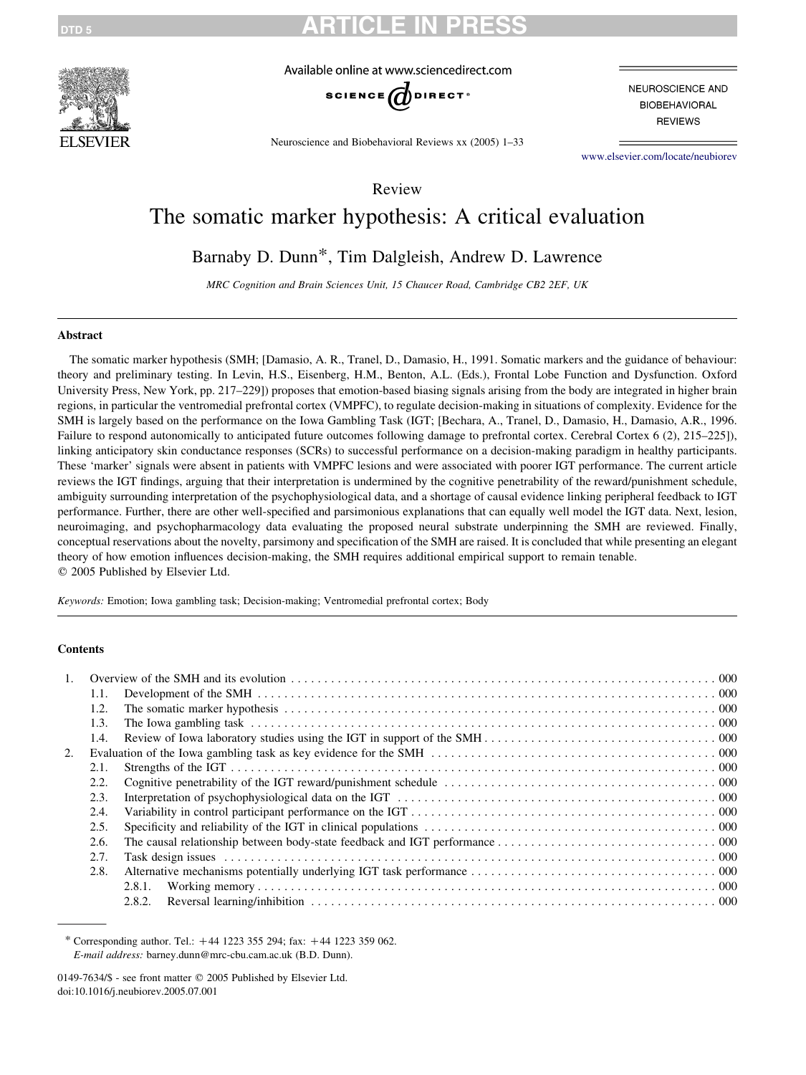Available online at www.sciencedirect.com



Neuroscience and Biobehavioral Reviews xx (2005) 1–33

NEUROSCIENCE AND **RIORFHAVIORAL REVIEWS** 

[www.elsevier.com/locate/neubiorev](http://www.elsevier.com/locate/neubiorev)

Review

# The somatic marker hypothesis: A critical evaluation

Barnaby D. Dunn\*, Tim Dalgleish, Andrew D. Lawrence

MRC Cognition and Brain Sciences Unit, 15 Chaucer Road, Cambridge CB2 2EF, UK

#### Abstract

The somatic marker hypothesis (SMH; [Damasio, A. R., Tranel, D., Damasio, H., 1991. Somatic markers and the guidance of behaviour: theory and preliminary testing. In Levin, H.S., Eisenberg, H.M., Benton, A.L. (Eds.), Frontal Lobe Function and Dysfunction. Oxford University Press, New York, pp. 217–229]) proposes that emotion-based biasing signals arising from the body are integrated in higher brain regions, in particular the ventromedial prefrontal cortex (VMPFC), to regulate decision-making in situations of complexity. Evidence for the SMH is largely based on the performance on the Iowa Gambling Task (IGT; [Bechara, A., Tranel, D., Damasio, H., Damasio, A.R., 1996. Failure to respond autonomically to anticipated future outcomes following damage to prefrontal cortex. Cerebral Cortex 6 (2), 215–225]), linking anticipatory skin conductance responses (SCRs) to successful performance on a decision-making paradigm in healthy participants. These 'marker' signals were absent in patients with VMPFC lesions and were associated with poorer IGT performance. The current article reviews the IGT findings, arguing that their interpretation is undermined by the cognitive penetrability of the reward/punishment schedule, ambiguity surrounding interpretation of the psychophysiological data, and a shortage of causal evidence linking peripheral feedback to IGT performance. Further, there are other well-specified and parsimonious explanations that can equally well model the IGT data. Next, lesion, neuroimaging, and psychopharmacology data evaluating the proposed neural substrate underpinning the SMH are reviewed. Finally, conceptual reservations about the novelty, parsimony and specification of the SMH are raised. It is concluded that while presenting an elegant theory of how emotion influences decision-making, the SMH requires additional empirical support to remain tenable.  $©$  2005 Published by Elsevier Ltd.

Keywords: Emotion; Iowa gambling task; Decision-making; Ventromedial prefrontal cortex; Body

#### Contents

|    | 1.1. |        |  |  |  |  |
|----|------|--------|--|--|--|--|
|    | 1.2. |        |  |  |  |  |
|    | 1.3. |        |  |  |  |  |
|    | 1.4. |        |  |  |  |  |
| 2. |      |        |  |  |  |  |
|    | 2.1. |        |  |  |  |  |
|    | 2.2. |        |  |  |  |  |
|    | 2.3. |        |  |  |  |  |
|    | 2.4. |        |  |  |  |  |
|    | 2.5. |        |  |  |  |  |
|    | 2.6. |        |  |  |  |  |
|    | 2.7. |        |  |  |  |  |
|    | 2.8. |        |  |  |  |  |
|    |      | 2.8.1. |  |  |  |  |
|    |      | 2.8.2  |  |  |  |  |

<sup>\*</sup> Corresponding author. Tel.:  $+44$  1223 355 294; fax:  $+44$  1223 359 062. E-mail address: barney.dunn@mrc-cbu.cam.ac.uk (B.D. Dunn).

<sup>0149-7634/\$ -</sup> see front matter © 2005 Published by Elsevier Ltd. doi:10.1016/j.neubiorev.2005.07.001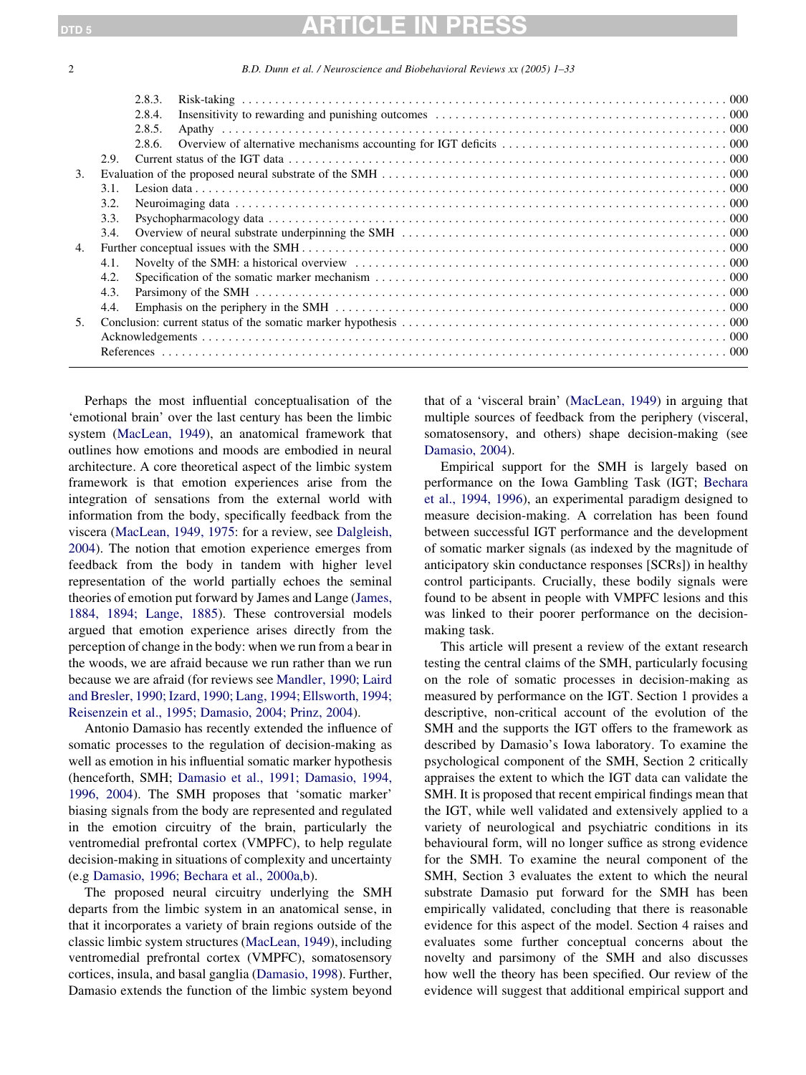2 B.D. Dunn et al. / Neuroscience and Biobehavioral Reviews xx (2005) 1–33

|                  |      | 2.8.3. |  |
|------------------|------|--------|--|
|                  |      | 2.8.4. |  |
|                  |      | 2.8.5. |  |
|                  |      | 2.8.6. |  |
|                  | 2.9. |        |  |
| 3.               |      |        |  |
|                  | 3.1  |        |  |
|                  | 3.2. |        |  |
|                  | 3.3. |        |  |
|                  | 3.4. |        |  |
| $\overline{4}$ . |      |        |  |
|                  | 4.1. |        |  |
|                  | 4.2. |        |  |
|                  | 4.3. |        |  |
|                  | 4.4. |        |  |
| 5.               |      |        |  |
|                  |      |        |  |
|                  |      |        |  |
|                  |      |        |  |

Perhaps the most influential conceptualisation of the 'emotional brain' over the last century has been the limbic system ([MacLean, 1949\)](#page-30-0), an anatomical framework that outlines how emotions and moods are embodied in neural architecture. A core theoretical aspect of the limbic system framework is that emotion experiences arise from the integration of sensations from the external world with information from the body, specifically feedback from the viscera [\(MacLean, 1949, 1975](#page-30-0): for a review, see [Dalgleish,](#page-29-0) [2004\)](#page-29-0). The notion that emotion experience emerges from feedback from the body in tandem with higher level representation of the world partially echoes the seminal theories of emotion put forward by James and Lange ([James,](#page-30-0) [1884, 1894; Lange, 1885](#page-30-0)). These controversial models argued that emotion experience arises directly from the perception of change in the body: when we run from a bear in the woods, we are afraid because we run rather than we run because we are afraid (for reviews see [Mandler, 1990; Laird](#page-30-0) [and Bresler, 1990; Izard, 1990; Lang, 1994; Ellsworth, 1994;](#page-30-0) [Reisenzein et al., 1995; Damasio, 2004; Prinz, 2004\)](#page-30-0).

Antonio Damasio has recently extended the influence of somatic processes to the regulation of decision-making as well as emotion in his influential somatic marker hypothesis (henceforth, SMH; [Damasio et al., 1991; Damasio, 1994,](#page-29-0) [1996, 2004](#page-29-0)). The SMH proposes that 'somatic marker' biasing signals from the body are represented and regulated in the emotion circuitry of the brain, particularly the ventromedial prefrontal cortex (VMPFC), to help regulate decision-making in situations of complexity and uncertainty (e.g [Damasio, 1996; Bechara et al., 2000a,b\)](#page-29-0).

The proposed neural circuitry underlying the SMH departs from the limbic system in an anatomical sense, in that it incorporates a variety of brain regions outside of the classic limbic system structures ([MacLean, 1949\)](#page-30-0), including ventromedial prefrontal cortex (VMPFC), somatosensory cortices, insula, and basal ganglia ([Damasio, 1998\)](#page-29-0). Further, Damasio extends the function of the limbic system beyond

that of a 'visceral brain' [\(MacLean, 1949](#page-30-0)) in arguing that multiple sources of feedback from the periphery (visceral, somatosensory, and others) shape decision-making (see [Damasio, 2004\)](#page-29-0).

Empirical support for the SMH is largely based on performance on the Iowa Gambling Task (IGT; [Bechara](#page-28-0) [et al., 1994, 1996](#page-28-0)), an experimental paradigm designed to measure decision-making. A correlation has been found between successful IGT performance and the development of somatic marker signals (as indexed by the magnitude of anticipatory skin conductance responses [SCRs]) in healthy control participants. Crucially, these bodily signals were found to be absent in people with VMPFC lesions and this was linked to their poorer performance on the decisionmaking task.

This article will present a review of the extant research testing the central claims of the SMH, particularly focusing on the role of somatic processes in decision-making as measured by performance on the IGT. Section 1 provides a descriptive, non-critical account of the evolution of the SMH and the supports the IGT offers to the framework as described by Damasio's Iowa laboratory. To examine the psychological component of the SMH, Section 2 critically appraises the extent to which the IGT data can validate the SMH. It is proposed that recent empirical findings mean that the IGT, while well validated and extensively applied to a variety of neurological and psychiatric conditions in its behavioural form, will no longer suffice as strong evidence for the SMH. To examine the neural component of the SMH, Section 3 evaluates the extent to which the neural substrate Damasio put forward for the SMH has been empirically validated, concluding that there is reasonable evidence for this aspect of the model. Section 4 raises and evaluates some further conceptual concerns about the novelty and parsimony of the SMH and also discusses how well the theory has been specified. Our review of the evidence will suggest that additional empirical support and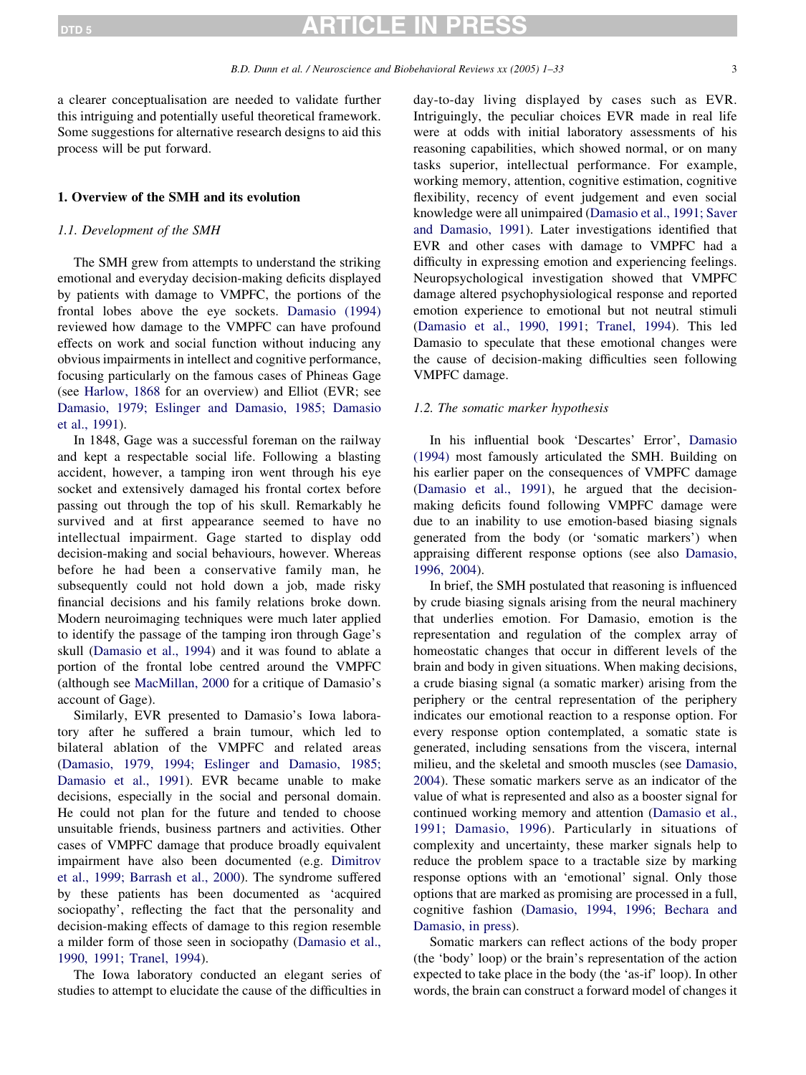a clearer conceptualisation are needed to validate further this intriguing and potentially useful theoretical framework. Some suggestions for alternative research designs to aid this process will be put forward.

#### 1. Overview of the SMH and its evolution

#### 1.1. Development of the SMH

The SMH grew from attempts to understand the striking emotional and everyday decision-making deficits displayed by patients with damage to VMPFC, the portions of the frontal lobes above the eye sockets. [Damasio \(1994\)](#page-29-0) reviewed how damage to the VMPFC can have profound effects on work and social function without inducing any obvious impairments in intellect and cognitive performance, focusing particularly on the famous cases of Phineas Gage (see [Harlow, 1868](#page-30-0) for an overview) and Elliot (EVR; see [Damasio, 1979; Eslinger and Damasio, 1985; Damasio](#page-29-0) [et al., 1991\)](#page-29-0).

In 1848, Gage was a successful foreman on the railway and kept a respectable social life. Following a blasting accident, however, a tamping iron went through his eye socket and extensively damaged his frontal cortex before passing out through the top of his skull. Remarkably he survived and at first appearance seemed to have no intellectual impairment. Gage started to display odd decision-making and social behaviours, however. Whereas before he had been a conservative family man, he subsequently could not hold down a job, made risky financial decisions and his family relations broke down. Modern neuroimaging techniques were much later applied to identify the passage of the tamping iron through Gage's skull [\(Damasio et al., 1994\)](#page-29-0) and it was found to ablate a portion of the frontal lobe centred around the VMPFC (although see [MacMillan, 2000](#page-30-0) for a critique of Damasio's account of Gage).

Similarly, EVR presented to Damasio's Iowa laboratory after he suffered a brain tumour, which led to bilateral ablation of the VMPFC and related areas ([Damasio, 1979, 1994; Eslinger and Damasio, 1985;](#page-29-0) [Damasio et al., 1991\)](#page-29-0). EVR became unable to make decisions, especially in the social and personal domain. He could not plan for the future and tended to choose unsuitable friends, business partners and activities. Other cases of VMPFC damage that produce broadly equivalent impairment have also been documented (e.g. [Dimitrov](#page-29-0) [et al., 1999; Barrash et al., 2000\)](#page-29-0). The syndrome suffered by these patients has been documented as 'acquired sociopathy', reflecting the fact that the personality and decision-making effects of damage to this region resemble a milder form of those seen in sociopathy [\(Damasio et al.,](#page-29-0) [1990, 1991; Tranel, 1994](#page-29-0)).

The Iowa laboratory conducted an elegant series of studies to attempt to elucidate the cause of the difficulties in

day-to-day living displayed by cases such as EVR. Intriguingly, the peculiar choices EVR made in real life were at odds with initial laboratory assessments of his reasoning capabilities, which showed normal, or on many tasks superior, intellectual performance. For example, working memory, attention, cognitive estimation, cognitive flexibility, recency of event judgement and even social knowledge were all unimpaired ([Damasio et al., 1991; Saver](#page-29-0) [and Damasio, 1991](#page-29-0)). Later investigations identified that EVR and other cases with damage to VMPFC had a difficulty in expressing emotion and experiencing feelings. Neuropsychological investigation showed that VMPFC damage altered psychophysiological response and reported emotion experience to emotional but not neutral stimuli ([Damasio et al., 1990, 1991;](#page-29-0) [Tranel, 1994](#page-32-0)). This led Damasio to speculate that these emotional changes were the cause of decision-making difficulties seen following VMPFC damage.

#### 1.2. The somatic marker hypothesis

In his influential book 'Descartes' Error', [Damasio](#page-29-0) [\(1994\)](#page-29-0) most famously articulated the SMH. Building on his earlier paper on the consequences of VMPFC damage ([Damasio et al., 1991](#page-29-0)), he argued that the decisionmaking deficits found following VMPFC damage were due to an inability to use emotion-based biasing signals generated from the body (or 'somatic markers') when appraising different response options (see also [Damasio,](#page-29-0) [1996, 2004](#page-29-0)).

In brief, the SMH postulated that reasoning is influenced by crude biasing signals arising from the neural machinery that underlies emotion. For Damasio, emotion is the representation and regulation of the complex array of homeostatic changes that occur in different levels of the brain and body in given situations. When making decisions, a crude biasing signal (a somatic marker) arising from the periphery or the central representation of the periphery indicates our emotional reaction to a response option. For every response option contemplated, a somatic state is generated, including sensations from the viscera, internal milieu, and the skeletal and smooth muscles (see [Damasio,](#page-29-0) [2004](#page-29-0)). These somatic markers serve as an indicator of the value of what is represented and also as a booster signal for continued working memory and attention [\(Damasio et al.,](#page-29-0) [1991; Damasio, 1996\)](#page-29-0). Particularly in situations of complexity and uncertainty, these marker signals help to reduce the problem space to a tractable size by marking response options with an 'emotional' signal. Only those options that are marked as promising are processed in a full, cognitive fashion [\(Damasio, 1994, 1996; Bechara and](#page-29-0) [Damasio, in press\)](#page-29-0).

Somatic markers can reflect actions of the body proper (the 'body' loop) or the brain's representation of the action expected to take place in the body (the 'as-if' loop). In other words, the brain can construct a forward model of changes it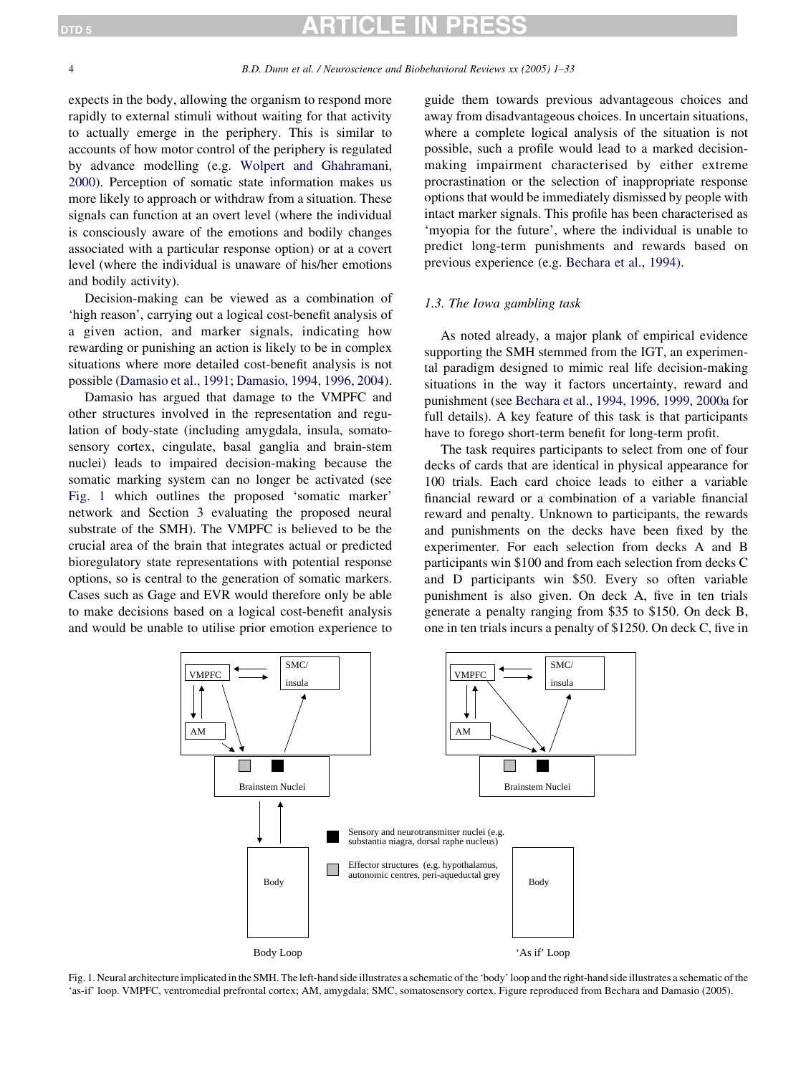<span id="page-3-0"></span>expects in the body, allowing the organism to respond more rapidly to external stimuli without waiting for that activity to actually emerge in the periphery. This is similar to accounts of how motor control of the periphery is regulated by advance modelling (e.g. [Wolpert and Ghahramani,](#page-32-0) [2000\)](#page-32-0). Perception of somatic state information makes us more likely to approach or withdraw from a situation. These signals can function at an overt level (where the individual is consciously aware of the emotions and bodily changes associated with a particular response option) or at a covert level (where the individual is unaware of his/her emotions and bodily activity).

Decision-making can be viewed as a combination of 'high reason', carrying out a logical cost-benefit analysis of a given action, and marker signals, indicating how rewarding or punishing an action is likely to be in complex situations where more detailed cost-benefit analysis is not possible ([Damasio et al., 1991; Damasio, 1994, 1996, 2004\)](#page-29-0).

Damasio has argued that damage to the VMPFC and other structures involved in the representation and regulation of body-state (including amygdala, insula, somatosensory cortex, cingulate, basal ganglia and brain-stem nuclei) leads to impaired decision-making because the somatic marking system can no longer be activated (see Fig. 1 which outlines the proposed 'somatic marker' network and Section 3 evaluating the proposed neural substrate of the SMH). The VMPFC is believed to be the crucial area of the brain that integrates actual or predicted bioregulatory state representations with potential response options, so is central to the generation of somatic markers. Cases such as Gage and EVR would therefore only be able to make decisions based on a logical cost-benefit analysis and would be unable to utilise prior emotion experience to

guide them towards previous advantageous choices and away from disadvantageous choices. In uncertain situations, where a complete logical analysis of the situation is not possible, such a profile would lead to a marked decisionmaking impairment characterised by either extreme procrastination or the selection of inappropriate response options that would be immediately dismissed by people with intact marker signals. This profile has been characterised as 'myopia for the future', where the individual is unable to predict long-term punishments and rewards based on previous experience (e.g. [Bechara et al., 1994\)](#page-28-0).

#### 1.3. The Iowa gambling task

As noted already, a major plank of empirical evidence supporting the SMH stemmed from the IGT, an experimental paradigm designed to mimic real life decision-making situations in the way it factors uncertainty, reward and punishment (see [Bechara et al., 1994, 1996, 1999, 2000a](#page-28-0) for full details). A key feature of this task is that participants have to forego short-term benefit for long-term profit.

The task requires participants to select from one of four decks of cards that are identical in physical appearance for 100 trials. Each card choice leads to either a variable financial reward or a combination of a variable financial reward and penalty. Unknown to participants, the rewards and punishments on the decks have been fixed by the experimenter. For each selection from decks A and B participants win \$100 and from each selection from decks C and D participants win \$50. Every so often variable punishment is also given. On deck A, five in ten trials generate a penalty ranging from \$35 to \$150. On deck B, one in ten trials incurs a penalty of \$1250. On deck C, five in



Fig. 1. Neural architecture implicated in the SMH. The left-hand side illustrates a schematic of the 'body' loop and the right-hand side illustrates a schematic of the 'as-if' loop. VMPFC, ventromedial prefrontal cortex; AM, amygdala; SMC, somatosensory cortex. Figure reproduced from Bechara and Damasio (2005).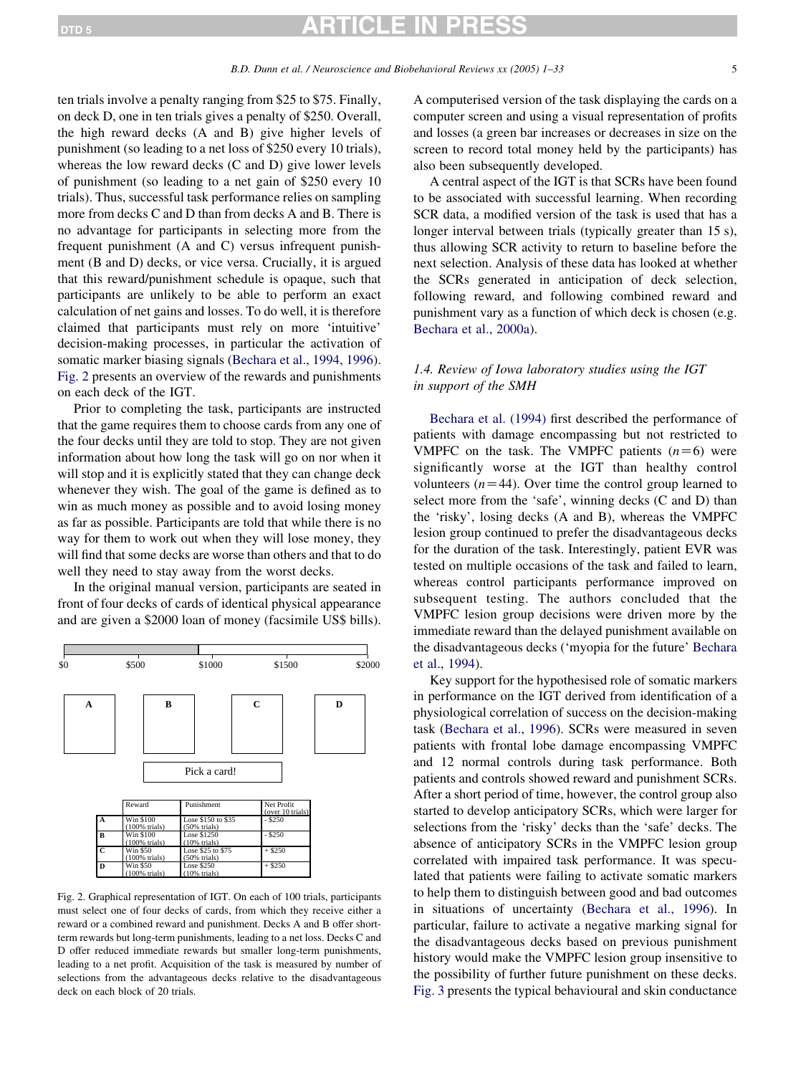<span id="page-4-0"></span>ten trials involve a penalty ranging from \$25 to \$75. Finally, on deck D, one in ten trials gives a penalty of \$250. Overall, the high reward decks (A and B) give higher levels of punishment (so leading to a net loss of \$250 every 10 trials), whereas the low reward decks (C and D) give lower levels of punishment (so leading to a net gain of \$250 every 10 trials). Thus, successful task performance relies on sampling more from decks C and D than from decks A and B. There is no advantage for participants in selecting more from the frequent punishment (A and C) versus infrequent punishment (B and D) decks, or vice versa. Crucially, it is argued that this reward/punishment schedule is opaque, such that participants are unlikely to be able to perform an exact calculation of net gains and losses. To do well, it is therefore claimed that participants must rely on more 'intuitive' decision-making processes, in particular the activation of somatic marker biasing signals ([Bechara et al., 1994, 1996\)](#page-28-0). Fig. 2 presents an overview of the rewards and punishments on each deck of the IGT.

Prior to completing the task, participants are instructed that the game requires them to choose cards from any one of the four decks until they are told to stop. They are not given information about how long the task will go on nor when it will stop and it is explicitly stated that they can change deck whenever they wish. The goal of the game is defined as to win as much money as possible and to avoid losing money as far as possible. Participants are told that while there is no way for them to work out when they will lose money, they will find that some decks are worse than others and that to do well they need to stay away from the worst decks.

In the original manual version, participants are seated in front of four decks of cards of identical physical appearance and are given a \$2000 loan of money (facsimile US\$ bills).



Fig. 2. Graphical representation of IGT. On each of 100 trials, participants must select one of four decks of cards, from which they receive either a reward or a combined reward and punishment. Decks A and B offer shortterm rewards but long-term punishments, leading to a net loss. Decks C and D offer reduced immediate rewards but smaller long-term punishments, leading to a net profit. Acquisition of the task is measured by number of selections from the advantageous decks relative to the disadvantageous deck on each block of 20 trials.

A computerised version of the task displaying the cards on a computer screen and using a visual representation of profits and losses (a green bar increases or decreases in size on the screen to record total money held by the participants) has also been subsequently developed.

A central aspect of the IGT is that SCRs have been found to be associated with successful learning. When recording SCR data, a modified version of the task is used that has a longer interval between trials (typically greater than 15 s), thus allowing SCR activity to return to baseline before the next selection. Analysis of these data has looked at whether the SCRs generated in anticipation of deck selection, following reward, and following combined reward and punishment vary as a function of which deck is chosen (e.g. [Bechara et al., 2000a](#page-28-0)).

### 1.4. Review of Iowa laboratory studies using the IGT in support of the SMH

[Bechara et al. \(1994\)](#page-28-0) first described the performance of patients with damage encompassing but not restricted to VMPFC on the task. The VMPFC patients  $(n=6)$  were significantly worse at the IGT than healthy control volunteers  $(n=44)$ . Over time the control group learned to select more from the 'safe', winning decks (C and D) than the 'risky', losing decks (A and B), whereas the VMPFC lesion group continued to prefer the disadvantageous decks for the duration of the task. Interestingly, patient EVR was tested on multiple occasions of the task and failed to learn, whereas control participants performance improved on subsequent testing. The authors concluded that the VMPFC lesion group decisions were driven more by the immediate reward than the delayed punishment available on the disadvantageous decks ('myopia for the future' [Bechara](#page-28-0) [et al., 1994](#page-28-0)).

Key support for the hypothesised role of somatic markers in performance on the IGT derived from identification of a physiological correlation of success on the decision-making task [\(Bechara et al., 1996\)](#page-28-0). SCRs were measured in seven patients with frontal lobe damage encompassing VMPFC and 12 normal controls during task performance. Both patients and controls showed reward and punishment SCRs. After a short period of time, however, the control group also started to develop anticipatory SCRs, which were larger for selections from the 'risky' decks than the 'safe' decks. The absence of anticipatory SCRs in the VMPFC lesion group correlated with impaired task performance. It was speculated that patients were failing to activate somatic markers to help them to distinguish between good and bad outcomes in situations of uncertainty [\(Bechara et al., 1996](#page-28-0)). In particular, failure to activate a negative marking signal for the disadvantageous decks based on previous punishment history would make the VMPFC lesion group insensitive to the possibility of further future punishment on these decks. [Fig. 3](#page-5-0) presents the typical behavioural and skin conductance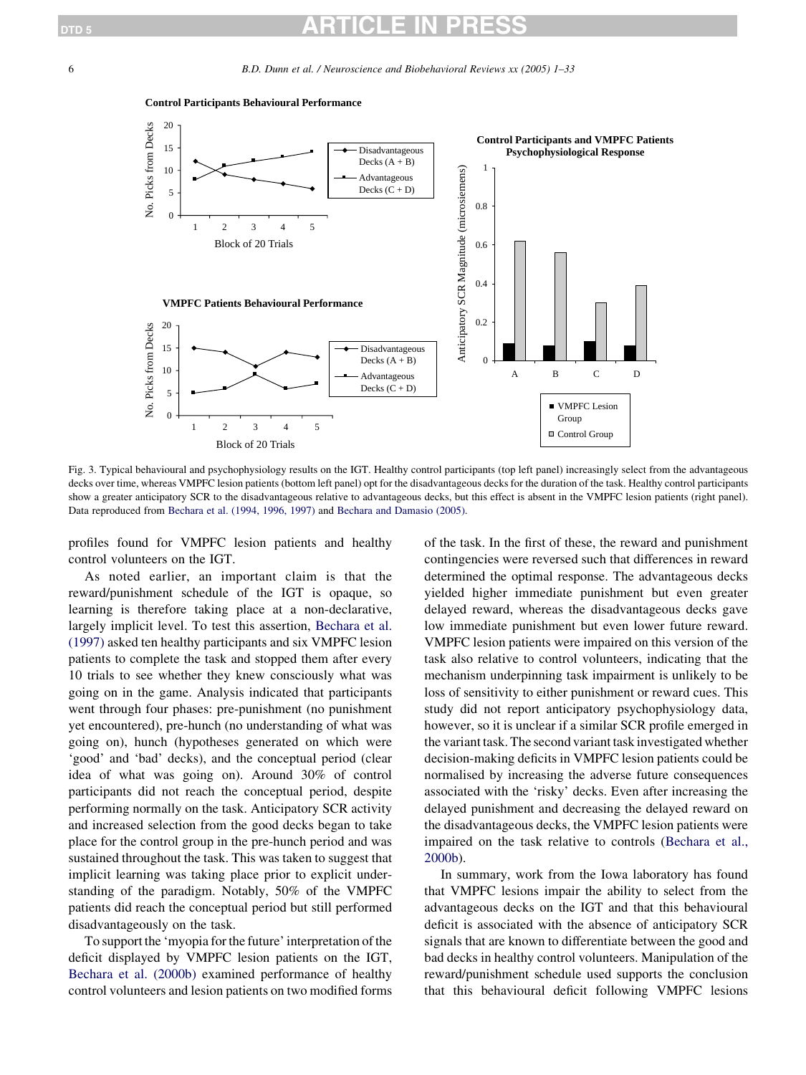<span id="page-5-0"></span>6 B.D. Dunn et al. / Neuroscience and Biobehavioral Reviews xx (2005) 1–33



#### **Control Participants Behavioural Performance**

Fig. 3. Typical behavioural and psychophysiology results on the IGT. Healthy control participants (top left panel) increasingly select from the advantageous decks over time, whereas VMPFC lesion patients (bottom left panel) opt for the disadvantageous decks for the duration of the task. Healthy control participants show a greater anticipatory SCR to the disadvantageous relative to advantageous decks, but this effect is absent in the VMPFC lesion patients (right panel). Data reproduced from [Bechara et al. \(1994, 1996, 1997\)](#page-28-0) and [Bechara and Damasio \(2005\).](#page-28-0)

profiles found for VMPFC lesion patients and healthy control volunteers on the IGT.

As noted earlier, an important claim is that the reward/punishment schedule of the IGT is opaque, so learning is therefore taking place at a non-declarative, largely implicit level. To test this assertion, [Bechara et al.](#page-28-0) [\(1997\)](#page-28-0) asked ten healthy participants and six VMPFC lesion patients to complete the task and stopped them after every 10 trials to see whether they knew consciously what was going on in the game. Analysis indicated that participants went through four phases: pre-punishment (no punishment yet encountered), pre-hunch (no understanding of what was going on), hunch (hypotheses generated on which were 'good' and 'bad' decks), and the conceptual period (clear idea of what was going on). Around 30% of control participants did not reach the conceptual period, despite performing normally on the task. Anticipatory SCR activity and increased selection from the good decks began to take place for the control group in the pre-hunch period and was sustained throughout the task. This was taken to suggest that implicit learning was taking place prior to explicit understanding of the paradigm. Notably, 50% of the VMPFC patients did reach the conceptual period but still performed disadvantageously on the task.

To support the 'myopia for the future' interpretation of the deficit displayed by VMPFC lesion patients on the IGT, [Bechara et al. \(2000b\)](#page-28-0) examined performance of healthy control volunteers and lesion patients on two modified forms of the task. In the first of these, the reward and punishment contingencies were reversed such that differences in reward determined the optimal response. The advantageous decks yielded higher immediate punishment but even greater delayed reward, whereas the disadvantageous decks gave low immediate punishment but even lower future reward. VMPFC lesion patients were impaired on this version of the task also relative to control volunteers, indicating that the mechanism underpinning task impairment is unlikely to be loss of sensitivity to either punishment or reward cues. This study did not report anticipatory psychophysiology data, however, so it is unclear if a similar SCR profile emerged in the variant task. The second variant task investigated whether decision-making deficits in VMPFC lesion patients could be normalised by increasing the adverse future consequences associated with the 'risky' decks. Even after increasing the delayed punishment and decreasing the delayed reward on the disadvantageous decks, the VMPFC lesion patients were impaired on the task relative to controls ([Bechara et al.,](#page-28-0) [2000b\)](#page-28-0).

In summary, work from the Iowa laboratory has found that VMPFC lesions impair the ability to select from the advantageous decks on the IGT and that this behavioural deficit is associated with the absence of anticipatory SCR signals that are known to differentiate between the good and bad decks in healthy control volunteers. Manipulation of the reward/punishment schedule used supports the conclusion that this behavioural deficit following VMPFC lesions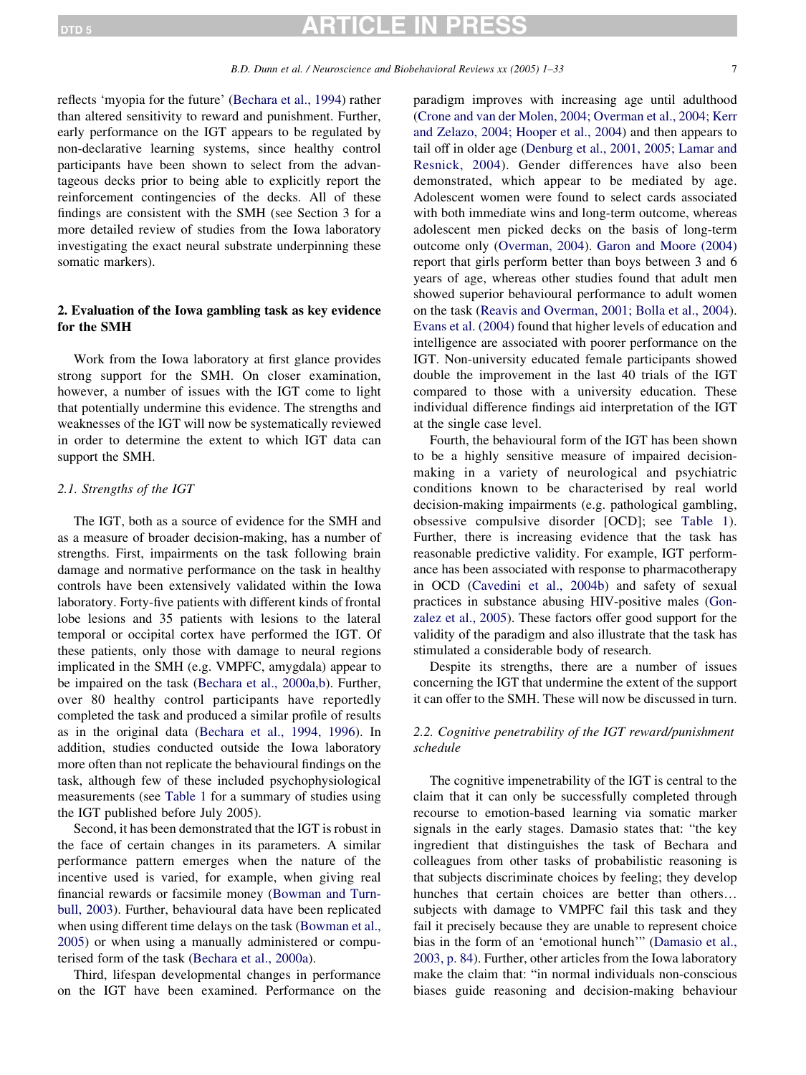reflects 'myopia for the future' [\(Bechara et al., 1994](#page-28-0)) rather than altered sensitivity to reward and punishment. Further, early performance on the IGT appears to be regulated by non-declarative learning systems, since healthy control participants have been shown to select from the advantageous decks prior to being able to explicitly report the reinforcement contingencies of the decks. All of these findings are consistent with the SMH (see Section 3 for a more detailed review of studies from the Iowa laboratory investigating the exact neural substrate underpinning these somatic markers).

### 2. Evaluation of the Iowa gambling task as key evidence for the SMH

Work from the Iowa laboratory at first glance provides strong support for the SMH. On closer examination, however, a number of issues with the IGT come to light that potentially undermine this evidence. The strengths and weaknesses of the IGT will now be systematically reviewed in order to determine the extent to which IGT data can support the SMH.

#### 2.1. Strengths of the IGT

The IGT, both as a source of evidence for the SMH and as a measure of broader decision-making, has a number of strengths. First, impairments on the task following brain damage and normative performance on the task in healthy controls have been extensively validated within the Iowa laboratory. Forty-five patients with different kinds of frontal lobe lesions and 35 patients with lesions to the lateral temporal or occipital cortex have performed the IGT. Of these patients, only those with damage to neural regions implicated in the SMH (e.g. VMPFC, amygdala) appear to be impaired on the task [\(Bechara et al., 2000a,b\)](#page-28-0). Further, over 80 healthy control participants have reportedly completed the task and produced a similar profile of results as in the original data [\(Bechara et al., 1994, 1996](#page-28-0)). In addition, studies conducted outside the Iowa laboratory more often than not replicate the behavioural findings on the task, although few of these included psychophysiological measurements (see [Table 1](#page-7-0) for a summary of studies using the IGT published before July 2005).

Second, it has been demonstrated that the IGT is robust in the face of certain changes in its parameters. A similar performance pattern emerges when the nature of the incentive used is varied, for example, when giving real financial rewards or facsimile money [\(Bowman and Turn](#page-28-0)[bull, 2003\)](#page-28-0). Further, behavioural data have been replicated when using different time delays on the task ([Bowman et al.,](#page-28-0) [2005](#page-28-0)) or when using a manually administered or computerised form of the task ([Bechara et al., 2000a\)](#page-28-0).

Third, lifespan developmental changes in performance on the IGT have been examined. Performance on the paradigm improves with increasing age until adulthood ([Crone and van der Molen, 2004; Overman et al., 2004; Kerr](#page-29-0) [and Zelazo, 2004; Hooper et al., 2004\)](#page-29-0) and then appears to tail off in older age [\(Denburg et al., 2001, 2005; Lamar and](#page-29-0) [Resnick, 2004](#page-29-0)). Gender differences have also been demonstrated, which appear to be mediated by age. Adolescent women were found to select cards associated with both immediate wins and long-term outcome, whereas adolescent men picked decks on the basis of long-term outcome only [\(Overman, 2004\)](#page-31-0). [Garon and Moore \(2004\)](#page-30-0) report that girls perform better than boys between 3 and 6 years of age, whereas other studies found that adult men showed superior behavioural performance to adult women on the task [\(Reavis and Overman, 2001; Bolla et al., 2004\)](#page-31-0). [Evans et al. \(2004\)](#page-29-0) found that higher levels of education and intelligence are associated with poorer performance on the IGT. Non-university educated female participants showed double the improvement in the last 40 trials of the IGT compared to those with a university education. These individual difference findings aid interpretation of the IGT at the single case level.

Fourth, the behavioural form of the IGT has been shown to be a highly sensitive measure of impaired decisionmaking in a variety of neurological and psychiatric conditions known to be characterised by real world decision-making impairments (e.g. pathological gambling, obsessive compulsive disorder [OCD]; see [Table 1\)](#page-7-0). Further, there is increasing evidence that the task has reasonable predictive validity. For example, IGT performance has been associated with response to pharmacotherapy in OCD ([Cavedini et al., 2004b\)](#page-28-0) and safety of sexual practices in substance abusing HIV-positive males [\(Gon](#page-30-0)[zalez et al., 2005\)](#page-30-0). These factors offer good support for the validity of the paradigm and also illustrate that the task has stimulated a considerable body of research.

Despite its strengths, there are a number of issues concerning the IGT that undermine the extent of the support it can offer to the SMH. These will now be discussed in turn.

### 2.2. Cognitive penetrability of the IGT reward/punishment schedule

The cognitive impenetrability of the IGT is central to the claim that it can only be successfully completed through recourse to emotion-based learning via somatic marker signals in the early stages. Damasio states that: "the key ingredient that distinguishes the task of Bechara and colleagues from other tasks of probabilistic reasoning is that subjects discriminate choices by feeling; they develop hunches that certain choices are better than others... subjects with damage to VMPFC fail this task and they fail it precisely because they are unable to represent choice bias in the form of an 'emotional hunch'" [\(Damasio et al.,](#page-29-0) [2003, p. 84\)](#page-29-0). Further, other articles from the Iowa laboratory make the claim that: "in normal individuals non-conscious biases guide reasoning and decision-making behaviour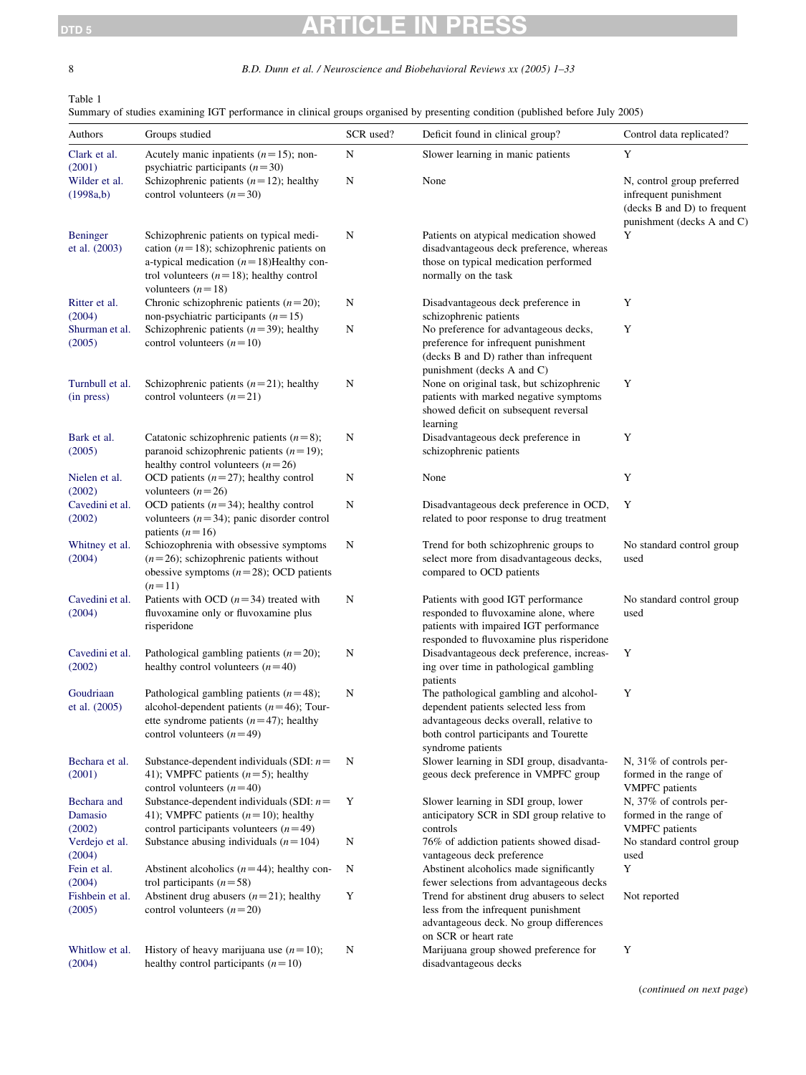<span id="page-7-0"></span>8 B.D. Dunn et al. / Neuroscience and Biobehavioral Reviews xx (2005) 1-33

| Table 1                                                                                                                        |  |
|--------------------------------------------------------------------------------------------------------------------------------|--|
| Summary of studies examining IGT performance in clinical groups organised by presenting condition (published before July 2005) |  |

| Authors                          | Groups studied                                                                                                                                                                                             | SCR used?   | Deficit found in clinical group?                                                                                                                                                          | Control data replicated?                                                                                         |
|----------------------------------|------------------------------------------------------------------------------------------------------------------------------------------------------------------------------------------------------------|-------------|-------------------------------------------------------------------------------------------------------------------------------------------------------------------------------------------|------------------------------------------------------------------------------------------------------------------|
| Clark et al.<br>(2001)           | Acutely manic inpatients $(n=15)$ ; non-<br>psychiatric participants $(n=30)$                                                                                                                              | N           | Slower learning in manic patients                                                                                                                                                         | Y                                                                                                                |
| Wilder et al.<br>(1998a,b)       | Schizophrenic patients $(n=12)$ ; healthy<br>control volunteers $(n=30)$                                                                                                                                   | N           | None                                                                                                                                                                                      | N, control group preferred<br>infrequent punishment<br>(decks B and D) to frequent<br>punishment (decks A and C) |
| Beninger<br>et al. $(2003)$      | Schizophrenic patients on typical medi-<br>cation ( $n=18$ ); schizophrenic patients on<br>a-typical medication $(n=18)$ Healthy con-<br>trol volunteers $(n=18)$ ; healthy control<br>volunteers $(n=18)$ | N           | Patients on atypical medication showed<br>disadvantageous deck preference, whereas<br>those on typical medication performed<br>normally on the task                                       | Y                                                                                                                |
| Ritter et al.<br>(2004)          | Chronic schizophrenic patients $(n=20)$ ;<br>non-psychiatric participants $(n=15)$                                                                                                                         | N           | Disadvantageous deck preference in<br>schizophrenic patients                                                                                                                              | Y                                                                                                                |
| Shurman et al.<br>(2005)         | Schizophrenic patients $(n=39)$ ; healthy<br>control volunteers $(n=10)$                                                                                                                                   | N           | No preference for advantageous decks,<br>preference for infrequent punishment<br>(decks B and D) rather than infrequent<br>punishment (decks A and C)                                     | Y                                                                                                                |
| Turnbull et al.<br>(in press)    | Schizophrenic patients $(n=21)$ ; healthy<br>control volunteers $(n=21)$                                                                                                                                   | N           | None on original task, but schizophrenic<br>patients with marked negative symptoms<br>showed deficit on subsequent reversal<br>learning                                                   | Y                                                                                                                |
| Bark et al.<br>(2005)            | Catatonic schizophrenic patients $(n=8)$ ;<br>paranoid schizophrenic patients $(n=19)$ ;<br>healthy control volunteers $(n=26)$                                                                            | N           | Disadvantageous deck preference in<br>schizophrenic patients                                                                                                                              | Y                                                                                                                |
| Nielen et al.<br>(2002)          | OCD patients $(n=27)$ ; healthy control<br>volunteers $(n=26)$                                                                                                                                             | N           | None                                                                                                                                                                                      | Y                                                                                                                |
| Cavedini et al.<br>(2002)        | OCD patients $(n=34)$ ; healthy control<br>volunteers $(n=34)$ ; panic disorder control<br>patients $(n=16)$                                                                                               | N           | Disadvantageous deck preference in OCD,<br>related to poor response to drug treatment                                                                                                     | Y                                                                                                                |
| Whitney et al.<br>(2004)         | Schiozophrenia with obsessive symptoms<br>$(n=26)$ ; schizophrenic patients without<br>obessive symptoms $(n=28)$ ; OCD patients<br>$(n=11)$                                                               | N           | Trend for both schizophrenic groups to<br>select more from disadvantageous decks,<br>compared to OCD patients                                                                             | No standard control group<br>used                                                                                |
| Cavedini et al.<br>(2004)        | Patients with OCD $(n=34)$ treated with<br>fluvoxamine only or fluvoxamine plus<br>risperidone                                                                                                             | N           | Patients with good IGT performance<br>responded to fluvoxamine alone, where<br>patients with impaired IGT performance<br>responded to fluvoxamine plus risperidone                        | No standard control group<br>used                                                                                |
| Cavedini et al.<br>(2002)        | Pathological gambling patients $(n=20)$ ;<br>healthy control volunteers $(n=40)$                                                                                                                           | N           | Disadvantageous deck preference, increas-<br>ing over time in pathological gambling<br>patients                                                                                           | Y                                                                                                                |
| Goudriaan<br>et al. $(2005)$     | Pathological gambling patients $(n=48)$ ;<br>alcohol-dependent patients $(n=46)$ ; Tour-<br>ette syndrome patients $(n=47)$ ; healthy<br>control volunteers $(n=49)$                                       | N           | The pathological gambling and alcohol-<br>dependent patients selected less from<br>advantageous decks overall, relative to<br>both control participants and Tourette<br>syndrome patients | $\mathbf Y$                                                                                                      |
| Bechara et al.<br>(2001)         | Substance-dependent individuals (SDI: $n=$<br>41); VMPFC patients $(n=5)$ ; healthy<br>control volunteers $(n=40)$                                                                                         | N           | Slower learning in SDI group, disadvanta-<br>geous deck preference in VMPFC group                                                                                                         | N, 31% of controls per-<br>formed in the range of<br><b>VMPFC</b> patients                                       |
| Bechara and<br>Damasio<br>(2002) | Substance-dependent individuals (SDI: $n =$<br>41); VMPFC patients $(n=10)$ ; healthy<br>control participants volunteers $(n=49)$                                                                          | Y           | Slower learning in SDI group, lower<br>anticipatory SCR in SDI group relative to<br>controls                                                                                              | N, 37% of controls per-<br>formed in the range of<br><b>VMPFC</b> patients                                       |
| Verdejo et al.<br>(2004)         | Substance abusing individuals $(n=104)$                                                                                                                                                                    | N           | 76% of addiction patients showed disad-<br>vantageous deck preference                                                                                                                     | No standard control group<br>used                                                                                |
| Fein et al.<br>(2004)            | Abstinent alcoholics $(n=44)$ ; healthy con-<br>trol participants $(n=58)$                                                                                                                                 | N           | Abstinent alcoholics made significantly<br>fewer selections from advantageous decks                                                                                                       | $\mathbf Y$                                                                                                      |
| Fishbein et al.<br>(2005)        | Abstinent drug abusers $(n=21)$ ; healthy<br>control volunteers $(n=20)$                                                                                                                                   | $\mathbf Y$ | Trend for abstinent drug abusers to select<br>less from the infrequent punishment<br>advantageous deck. No group differences<br>on SCR or heart rate                                      | Not reported                                                                                                     |
| Whitlow et al.<br>(2004)         | History of heavy marijuana use $(n=10)$ ;<br>healthy control participants $(n=10)$                                                                                                                         | N           | Marijuana group showed preference for<br>disadvantageous decks                                                                                                                            | $\mathbf Y$                                                                                                      |

(continued on next page)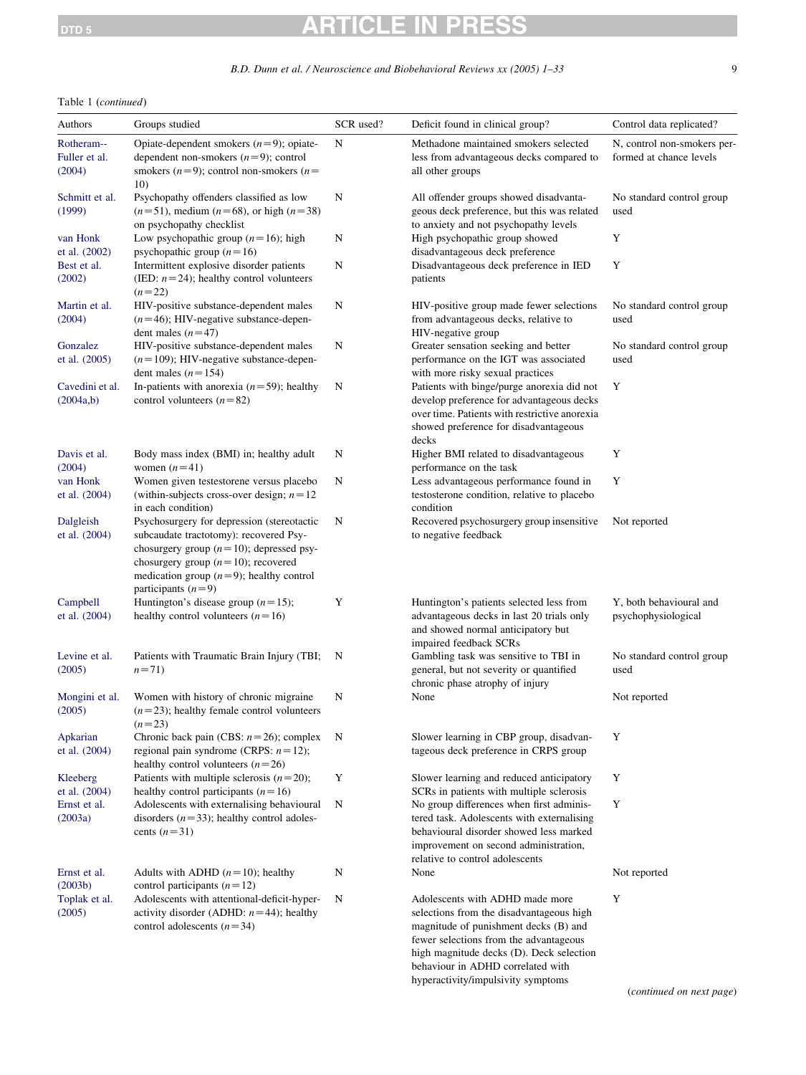# DTD 5 ARTICLE IN PRESS

### B.D. Dunn et al. / Neuroscience and Biobehavioral Reviews xx (2005) 1-33 9

#### Table 1 (continued)

| Authors                               | Groups studied                                                                                                                                                                                                                                    | SCR used? | Deficit found in clinical group?                                                                                                                                                                                                                                                      | Control data replicated?                               |
|---------------------------------------|---------------------------------------------------------------------------------------------------------------------------------------------------------------------------------------------------------------------------------------------------|-----------|---------------------------------------------------------------------------------------------------------------------------------------------------------------------------------------------------------------------------------------------------------------------------------------|--------------------------------------------------------|
| Rotheram--<br>Fuller et al.<br>(2004) | Opiate-dependent smokers $(n=9)$ ; opiate-<br>dependent non-smokers $(n=9)$ ; control<br>smokers $(n=9)$ ; control non-smokers $(n=$<br>10)                                                                                                       | N         | Methadone maintained smokers selected<br>less from advantageous decks compared to<br>all other groups                                                                                                                                                                                 | N, control non-smokers per-<br>formed at chance levels |
| Schmitt et al.<br>(1999)              | Psychopathy offenders classified as low<br>$(n=51)$ , medium $(n=68)$ , or high $(n=38)$<br>on psychopathy checklist                                                                                                                              | N         | All offender groups showed disadvanta-<br>geous deck preference, but this was related<br>to anxiety and not psychopathy levels                                                                                                                                                        | No standard control group<br>used                      |
| van Honk<br>et al. $(2002)$           | Low psychopathic group $(n=16)$ ; high<br>psychopathic group $(n=16)$                                                                                                                                                                             | N         | High psychopathic group showed<br>disadvantageous deck preference                                                                                                                                                                                                                     | Y                                                      |
| Best et al.<br>(2002)                 | Intermittent explosive disorder patients<br>(IED: $n=24$ ); healthy control volunteers<br>$(n=22)$                                                                                                                                                | N         | Disadvantageous deck preference in IED<br>patients                                                                                                                                                                                                                                    | Y                                                      |
| Martin et al.<br>(2004)               | HIV-positive substance-dependent males<br>$(n=46)$ ; HIV-negative substance-depen-<br>dent males $(n=47)$                                                                                                                                         | N         | HIV-positive group made fewer selections<br>from advantageous decks, relative to<br>HIV-negative group                                                                                                                                                                                | No standard control group<br>used                      |
| Gonzalez<br>et al. (2005)             | HIV-positive substance-dependent males<br>$(n=109)$ ; HIV-negative substance-depen-<br>dent males $(n=154)$                                                                                                                                       | N         | Greater sensation seeking and better<br>performance on the IGT was associated<br>with more risky sexual practices                                                                                                                                                                     | No standard control group<br>used                      |
| Cavedini et al.<br>(2004a,b)          | In-patients with anorexia $(n=59)$ ; healthy<br>control volunteers $(n=82)$                                                                                                                                                                       | N         | Patients with binge/purge anorexia did not<br>develop preference for advantageous decks<br>over time. Patients with restrictive anorexia<br>showed preference for disadvantageous<br>decks                                                                                            | Y                                                      |
| Davis et al.<br>(2004)                | Body mass index (BMI) in; healthy adult<br>women $(n=41)$                                                                                                                                                                                         | N         | Higher BMI related to disadvantageous<br>performance on the task                                                                                                                                                                                                                      | Y                                                      |
| van Honk<br>et al. $(2004)$           | Women given testestorene versus placebo<br>(within-subjects cross-over design; $n=12$<br>in each condition)                                                                                                                                       | N         | Less advantageous performance found in<br>testosterone condition, relative to placebo<br>condition                                                                                                                                                                                    | Y                                                      |
| Dalgleish<br>et al. $(2004)$          | Psychosurgery for depression (stereotactic<br>subcaudate tractotomy): recovered Psy-<br>chosurgery group $(n=10)$ ; depressed psy-<br>chosurgery group $(n=10)$ ; recovered<br>medication group $(n=9)$ ; healthy control<br>participants $(n=9)$ | N         | Recovered psychosurgery group insensitive<br>to negative feedback                                                                                                                                                                                                                     | Not reported                                           |
| Campbell<br>et al. $(2004)$           | Huntington's disease group $(n=15)$ ;<br>healthy control volunteers $(n=16)$                                                                                                                                                                      | Y         | Huntington's patients selected less from<br>advantageous decks in last 20 trials only<br>and showed normal anticipatory but<br>impaired feedback SCRs                                                                                                                                 | Y, both behavioural and<br>psychophysiological         |
| Levine et al.<br>(2005)               | Patients with Traumatic Brain Injury (TBI;<br>$n = 71$                                                                                                                                                                                            | N         | Gambling task was sensitive to TBI in<br>general, but not severity or quantified<br>chronic phase atrophy of injury                                                                                                                                                                   | No standard control group<br>used                      |
| Mongini et al.<br>(2005)              | Women with history of chronic migraine<br>$(n=23)$ ; healthy female control volunteers<br>$(n=23)$                                                                                                                                                | N         | None                                                                                                                                                                                                                                                                                  | Not reported                                           |
| Apkarian<br>et al. $(2004)$           | Chronic back pain (CBS: $n=26$ ); complex<br>regional pain syndrome (CRPS: $n = 12$ );<br>healthy control volunteers $(n=26)$                                                                                                                     | N         | Slower learning in CBP group, disadvan-<br>tageous deck preference in CRPS group                                                                                                                                                                                                      | Y                                                      |
| Kleeberg<br>et al. $(2004)$           | Patients with multiple sclerosis $(n=20)$ ;<br>healthy control participants $(n=16)$                                                                                                                                                              | Y         | Slower learning and reduced anticipatory<br>SCRs in patients with multiple sclerosis                                                                                                                                                                                                  | Y                                                      |
| Ernst et al.<br>(2003a)               | Adolescents with externalising behavioural<br>disorders $(n=33)$ ; healthy control adoles-<br>cents $(n=31)$                                                                                                                                      | N         | No group differences when first adminis-<br>tered task. Adolescents with externalising<br>behavioural disorder showed less marked<br>improvement on second administration,<br>relative to control adolescents                                                                         | Y                                                      |
| Ernst et al.<br>(2003b)               | Adults with ADHD $(n=10)$ ; healthy<br>control participants $(n=12)$                                                                                                                                                                              | N         | None                                                                                                                                                                                                                                                                                  | Not reported                                           |
| Toplak et al.<br>(2005)               | Adolescents with attentional-deficit-hyper-<br>activity disorder (ADHD: $n=44$ ); healthy<br>control adolescents $(n=34)$                                                                                                                         | N         | Adolescents with ADHD made more<br>selections from the disadvantageous high<br>magnitude of punishment decks (B) and<br>fewer selections from the advantageous<br>high magnitude decks (D). Deck selection<br>behaviour in ADHD correlated with<br>hyperactivity/impulsivity symptoms | Y<br>(continued on next page)                          |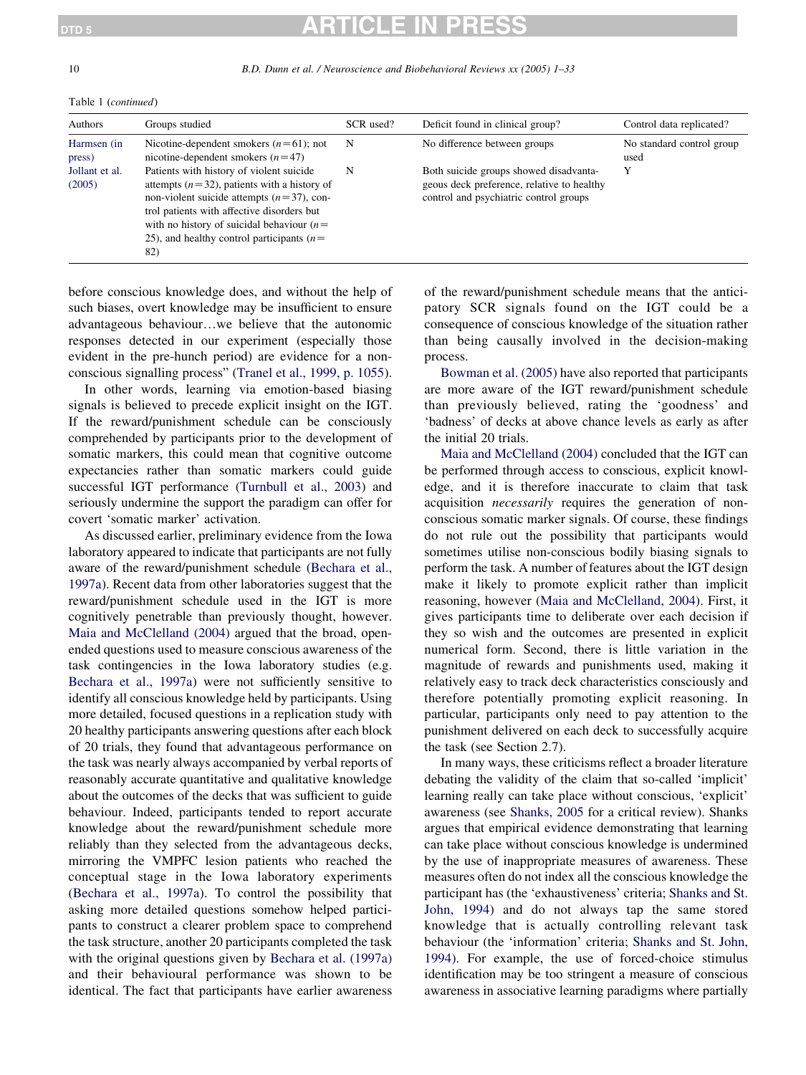# TICLE IN **1**

10 B.D. Dunn et al. / Neuroscience and Biobehavioral Reviews xx (2005) 1–33

Table 1 (continued)

| Authors                  | Groups studied                                                                                                                                                                                                                                                                                   | SCR used? | Deficit found in clinical group?                                                                                               | Control data replicated?          |
|--------------------------|--------------------------------------------------------------------------------------------------------------------------------------------------------------------------------------------------------------------------------------------------------------------------------------------------|-----------|--------------------------------------------------------------------------------------------------------------------------------|-----------------------------------|
| Harmsen (in<br>press)    | Nicotine-dependent smokers $(n=61)$ ; not<br>nicotine-dependent smokers $(n=47)$                                                                                                                                                                                                                 | N         | No difference between groups                                                                                                   | No standard control group<br>used |
| Jollant et al.<br>(2005) | Patients with history of violent suicide<br>attempts ( $n=32$ ), patients with a history of<br>non-violent suicide attempts $(n=37)$ , con-<br>trol patients with affective disorders but<br>with no history of suicidal behaviour $(n=$<br>25), and healthy control participants ( $n =$<br>82) | N         | Both suicide groups showed disadvanta-<br>geous deck preference, relative to healthy<br>control and psychiatric control groups | Y                                 |

before conscious knowledge does, and without the help of such biases, overt knowledge may be insufficient to ensure advantageous behaviour...we believe that the autonomic responses detected in our experiment (especially those evident in the pre-hunch period) are evidence for a nonconscious signalling process" [\(Tranel et al., 1999, p. 1055\)](#page-32-0).

In other words, learning via emotion-based biasing signals is believed to precede explicit insight on the IGT. If the reward/punishment schedule can be consciously comprehended by participants prior to the development of somatic markers, this could mean that cognitive outcome expectancies rather than somatic markers could guide successful IGT performance [\(Turnbull et al., 2003\)](#page-32-0) and seriously undermine the support the paradigm can offer for covert 'somatic marker' activation.

As discussed earlier, preliminary evidence from the Iowa laboratory appeared to indicate that participants are not fully aware of the reward/punishment schedule ([Bechara et al.,](#page-28-0) [1997a](#page-28-0)). Recent data from other laboratories suggest that the reward/punishment schedule used in the IGT is more cognitively penetrable than previously thought, however. [Maia and McClelland \(2004\)](#page-30-0) argued that the broad, openended questions used to measure conscious awareness of the task contingencies in the Iowa laboratory studies (e.g. [Bechara et al., 1997a](#page-28-0)) were not sufficiently sensitive to identify all conscious knowledge held by participants. Using more detailed, focused questions in a replication study with 20 healthy participants answering questions after each block of 20 trials, they found that advantageous performance on the task was nearly always accompanied by verbal reports of reasonably accurate quantitative and qualitative knowledge about the outcomes of the decks that was sufficient to guide behaviour. Indeed, participants tended to report accurate knowledge about the reward/punishment schedule more reliably than they selected from the advantageous decks, mirroring the VMPFC lesion patients who reached the conceptual stage in the Iowa laboratory experiments ([Bechara et al., 1997a\)](#page-28-0). To control the possibility that asking more detailed questions somehow helped participants to construct a clearer problem space to comprehend the task structure, another 20 participants completed the task with the original questions given by [Bechara et al. \(1997a\)](#page-28-0) and their behavioural performance was shown to be identical. The fact that participants have earlier awareness

of the reward/punishment schedule means that the anticipatory SCR signals found on the IGT could be a consequence of conscious knowledge of the situation rather than being causally involved in the decision-making process.

[Bowman et al. \(2005\)](#page-28-0) have also reported that participants are more aware of the IGT reward/punishment schedule than previously believed, rating the 'goodness' and 'badness' of decks at above chance levels as early as after the initial 20 trials.

[Maia and McClelland \(2004\)](#page-30-0) concluded that the IGT can be performed through access to conscious, explicit knowledge, and it is therefore inaccurate to claim that task acquisition necessarily requires the generation of nonconscious somatic marker signals. Of course, these findings do not rule out the possibility that participants would sometimes utilise non-conscious bodily biasing signals to perform the task. A number of features about the IGT design make it likely to promote explicit rather than implicit reasoning, however [\(Maia and McClelland, 2004\)](#page-30-0). First, it gives participants time to deliberate over each decision if they so wish and the outcomes are presented in explicit numerical form. Second, there is little variation in the magnitude of rewards and punishments used, making it relatively easy to track deck characteristics consciously and therefore potentially promoting explicit reasoning. In particular, participants only need to pay attention to the punishment delivered on each deck to successfully acquire the task (see Section 2.7).

In many ways, these criticisms reflect a broader literature debating the validity of the claim that so-called 'implicit' learning really can take place without conscious, 'explicit' awareness (see [Shanks, 2005](#page-31-0) for a critical review). Shanks argues that empirical evidence demonstrating that learning can take place without conscious knowledge is undermined by the use of inappropriate measures of awareness. These measures often do not index all the conscious knowledge the participant has (the 'exhaustiveness' criteria; [Shanks and St.](#page-31-0) [John, 1994\)](#page-31-0) and do not always tap the same stored knowledge that is actually controlling relevant task behaviour (the 'information' criteria; [Shanks and St. John,](#page-31-0) [1994\)](#page-31-0). For example, the use of forced-choice stimulus identification may be too stringent a measure of conscious awareness in associative learning paradigms where partially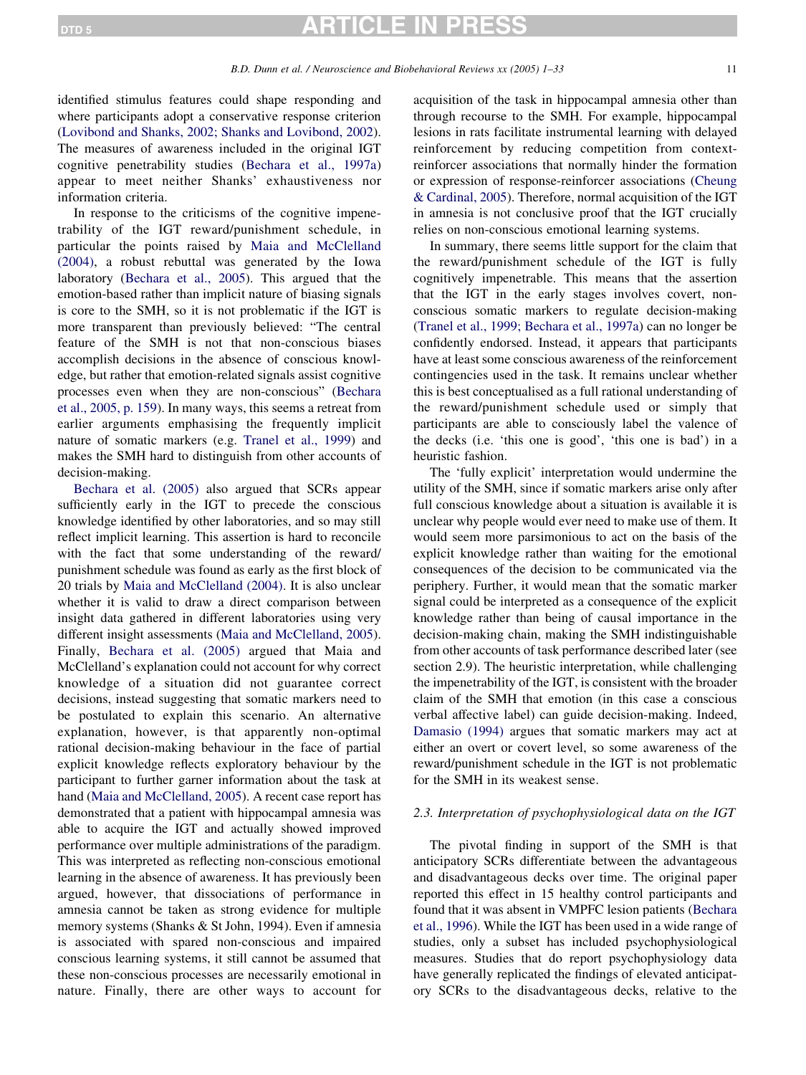identified stimulus features could shape responding and where participants adopt a conservative response criterion ([Lovibond and Shanks, 2002; Shanks and Lovibond, 2002\)](#page-30-0). The measures of awareness included in the original IGT cognitive penetrability studies ([Bechara et al., 1997a](#page-28-0)) appear to meet neither Shanks' exhaustiveness nor information criteria.

In response to the criticisms of the cognitive impenetrability of the IGT reward/punishment schedule, in particular the points raised by [Maia and McClelland](#page-30-0) [\(2004\)](#page-30-0), a robust rebuttal was generated by the Iowa laboratory ([Bechara et al., 2005](#page-28-0)). This argued that the emotion-based rather than implicit nature of biasing signals is core to the SMH, so it is not problematic if the IGT is more transparent than previously believed: "The central feature of the SMH is not that non-conscious biases accomplish decisions in the absence of conscious knowledge, but rather that emotion-related signals assist cognitive processes even when they are non-conscious" ([Bechara](#page-28-0) [et al., 2005, p. 159\)](#page-28-0). In many ways, this seems a retreat from earlier arguments emphasising the frequently implicit nature of somatic markers (e.g. [Tranel et al., 1999](#page-32-0)) and makes the SMH hard to distinguish from other accounts of decision-making.

[Bechara et al. \(2005\)](#page-28-0) also argued that SCRs appear sufficiently early in the IGT to precede the conscious knowledge identified by other laboratories, and so may still reflect implicit learning. This assertion is hard to reconcile with the fact that some understanding of the reward/ punishment schedule was found as early as the first block of 20 trials by [Maia and McClelland \(2004\)](#page-30-0). It is also unclear whether it is valid to draw a direct comparison between insight data gathered in different laboratories using very different insight assessments [\(Maia and McClelland, 2005\)](#page-30-0). Finally, [Bechara et al. \(2005\)](#page-28-0) argued that Maia and McClelland's explanation could not account for why correct knowledge of a situation did not guarantee correct decisions, instead suggesting that somatic markers need to be postulated to explain this scenario. An alternative explanation, however, is that apparently non-optimal rational decision-making behaviour in the face of partial explicit knowledge reflects exploratory behaviour by the participant to further garner information about the task at hand [\(Maia and McClelland, 2005\)](#page-30-0). A recent case report has demonstrated that a patient with hippocampal amnesia was able to acquire the IGT and actually showed improved performance over multiple administrations of the paradigm. This was interpreted as reflecting non-conscious emotional learning in the absence of awareness. It has previously been argued, however, that dissociations of performance in amnesia cannot be taken as strong evidence for multiple memory systems (Shanks & St John, 1994). Even if amnesia is associated with spared non-conscious and impaired conscious learning systems, it still cannot be assumed that these non-conscious processes are necessarily emotional in nature. Finally, there are other ways to account for

acquisition of the task in hippocampal amnesia other than through recourse to the SMH. For example, hippocampal lesions in rats facilitate instrumental learning with delayed reinforcement by reducing competition from contextreinforcer associations that normally hinder the formation or expression of response-reinforcer associations ([Cheung](#page-28-0) [& Cardinal, 2005\)](#page-28-0). Therefore, normal acquisition of the IGT in amnesia is not conclusive proof that the IGT crucially relies on non-conscious emotional learning systems.

In summary, there seems little support for the claim that the reward/punishment schedule of the IGT is fully cognitively impenetrable. This means that the assertion that the IGT in the early stages involves covert, nonconscious somatic markers to regulate decision-making ([Tranel et al., 1999; Bechara et al., 1997a](#page-32-0)) can no longer be confidently endorsed. Instead, it appears that participants have at least some conscious awareness of the reinforcement contingencies used in the task. It remains unclear whether this is best conceptualised as a full rational understanding of the reward/punishment schedule used or simply that participants are able to consciously label the valence of the decks (i.e. 'this one is good', 'this one is bad') in a heuristic fashion.

The 'fully explicit' interpretation would undermine the utility of the SMH, since if somatic markers arise only after full conscious knowledge about a situation is available it is unclear why people would ever need to make use of them. It would seem more parsimonious to act on the basis of the explicit knowledge rather than waiting for the emotional consequences of the decision to be communicated via the periphery. Further, it would mean that the somatic marker signal could be interpreted as a consequence of the explicit knowledge rather than being of causal importance in the decision-making chain, making the SMH indistinguishable from other accounts of task performance described later (see section 2.9). The heuristic interpretation, while challenging the impenetrability of the IGT, is consistent with the broader claim of the SMH that emotion (in this case a conscious verbal affective label) can guide decision-making. Indeed, [Damasio \(1994\)](#page-29-0) argues that somatic markers may act at either an overt or covert level, so some awareness of the reward/punishment schedule in the IGT is not problematic for the SMH in its weakest sense.

#### 2.3. Interpretation of psychophysiological data on the IGT

The pivotal finding in support of the SMH is that anticipatory SCRs differentiate between the advantageous and disadvantageous decks over time. The original paper reported this effect in 15 healthy control participants and found that it was absent in VMPFC lesion patients ([Bechara](#page-28-0) [et al., 1996](#page-28-0)). While the IGT has been used in a wide range of studies, only a subset has included psychophysiological measures. Studies that do report psychophysiology data have generally replicated the findings of elevated anticipatory SCRs to the disadvantageous decks, relative to the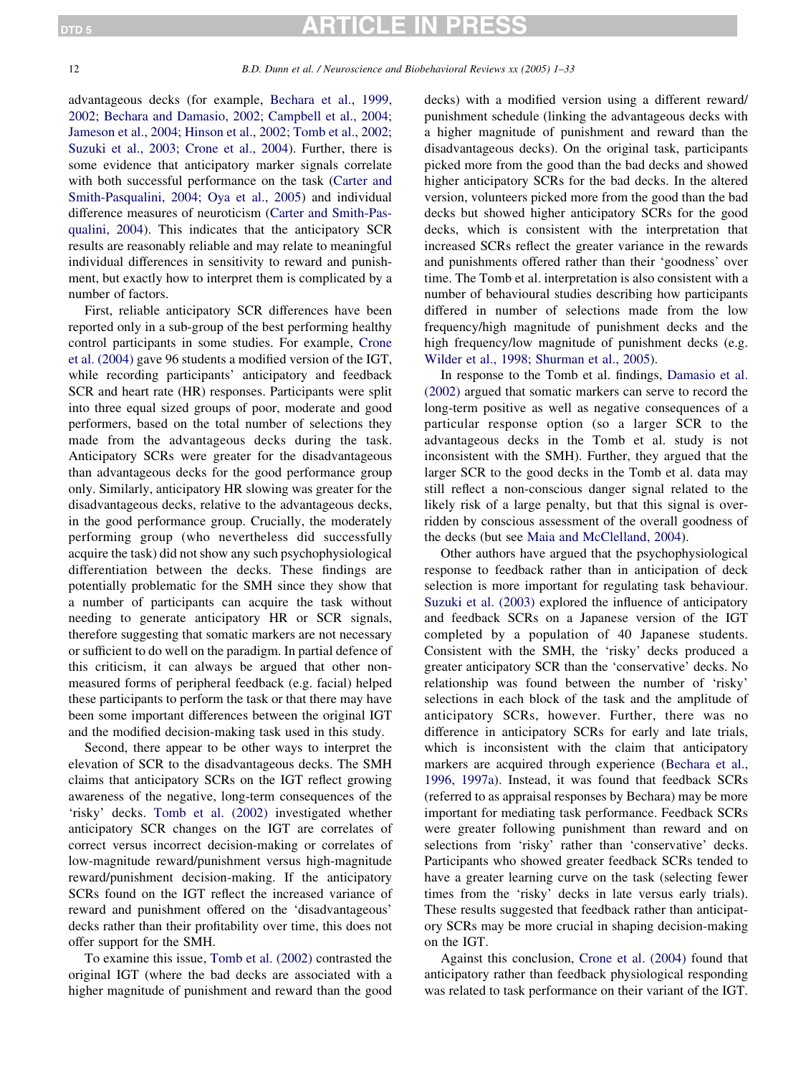advantageous decks (for example, [Bechara et al., 1999,](#page-28-0) [2002; Bechara and Damasio, 2002; Campbell et al., 2004;](#page-28-0) [Jameson et al., 2004; Hinson et al., 2002; Tomb et al., 2002;](#page-28-0) [Suzuki et al., 2003; Crone et al., 2004](#page-28-0)). Further, there is some evidence that anticipatory marker signals correlate with both successful performance on the task [\(Carter and](#page-28-0) [Smith-Pasqualini, 2004; Oya et al., 2005\)](#page-28-0) and individual difference measures of neuroticism ([Carter and Smith-Pas](#page-28-0)[qualini, 2004](#page-28-0)). This indicates that the anticipatory SCR results are reasonably reliable and may relate to meaningful individual differences in sensitivity to reward and punishment, but exactly how to interpret them is complicated by a number of factors.

First, reliable anticipatory SCR differences have been reported only in a sub-group of the best performing healthy control participants in some studies. For example, [Crone](#page-29-0) [et al. \(2004\)](#page-29-0) gave 96 students a modified version of the IGT, while recording participants' anticipatory and feedback SCR and heart rate (HR) responses. Participants were split into three equal sized groups of poor, moderate and good performers, based on the total number of selections they made from the advantageous decks during the task. Anticipatory SCRs were greater for the disadvantageous than advantageous decks for the good performance group only. Similarly, anticipatory HR slowing was greater for the disadvantageous decks, relative to the advantageous decks, in the good performance group. Crucially, the moderately performing group (who nevertheless did successfully acquire the task) did not show any such psychophysiological differentiation between the decks. These findings are potentially problematic for the SMH since they show that a number of participants can acquire the task without needing to generate anticipatory HR or SCR signals, therefore suggesting that somatic markers are not necessary or sufficient to do well on the paradigm. In partial defence of this criticism, it can always be argued that other nonmeasured forms of peripheral feedback (e.g. facial) helped these participants to perform the task or that there may have been some important differences between the original IGT and the modified decision-making task used in this study.

Second, there appear to be other ways to interpret the elevation of SCR to the disadvantageous decks. The SMH claims that anticipatory SCRs on the IGT reflect growing awareness of the negative, long-term consequences of the 'risky' decks. [Tomb et al. \(2002\)](#page-32-0) investigated whether anticipatory SCR changes on the IGT are correlates of correct versus incorrect decision-making or correlates of low-magnitude reward/punishment versus high-magnitude reward/punishment decision-making. If the anticipatory SCRs found on the IGT reflect the increased variance of reward and punishment offered on the 'disadvantageous' decks rather than their profitability over time, this does not offer support for the SMH.

To examine this issue, [Tomb et al. \(2002\)](#page-32-0) contrasted the original IGT (where the bad decks are associated with a higher magnitude of punishment and reward than the good decks) with a modified version using a different reward/ punishment schedule (linking the advantageous decks with a higher magnitude of punishment and reward than the disadvantageous decks). On the original task, participants picked more from the good than the bad decks and showed higher anticipatory SCRs for the bad decks. In the altered version, volunteers picked more from the good than the bad decks but showed higher anticipatory SCRs for the good decks, which is consistent with the interpretation that increased SCRs reflect the greater variance in the rewards and punishments offered rather than their 'goodness' over time. The Tomb et al. interpretation is also consistent with a number of behavioural studies describing how participants differed in number of selections made from the low frequency/high magnitude of punishment decks and the high frequency/low magnitude of punishment decks (e.g. [Wilder et al., 1998; Shurman et al., 2005](#page-32-0)).

In response to the Tomb et al. findings, [Damasio et al.](#page-29-0) [\(2002\)](#page-29-0) argued that somatic markers can serve to record the long-term positive as well as negative consequences of a particular response option (so a larger SCR to the advantageous decks in the Tomb et al. study is not inconsistent with the SMH). Further, they argued that the larger SCR to the good decks in the Tomb et al. data may still reflect a non-conscious danger signal related to the likely risk of a large penalty, but that this signal is overridden by conscious assessment of the overall goodness of the decks (but see [Maia and McClelland, 2004](#page-30-0)).

Other authors have argued that the psychophysiological response to feedback rather than in anticipation of deck selection is more important for regulating task behaviour. [Suzuki et al. \(2003\)](#page-32-0) explored the influence of anticipatory and feedback SCRs on a Japanese version of the IGT completed by a population of 40 Japanese students. Consistent with the SMH, the 'risky' decks produced a greater anticipatory SCR than the 'conservative' decks. No relationship was found between the number of 'risky' selections in each block of the task and the amplitude of anticipatory SCRs, however. Further, there was no difference in anticipatory SCRs for early and late trials, which is inconsistent with the claim that anticipatory markers are acquired through experience ([Bechara et al.,](#page-28-0) [1996, 1997a](#page-28-0)). Instead, it was found that feedback SCRs (referred to as appraisal responses by Bechara) may be more important for mediating task performance. Feedback SCRs were greater following punishment than reward and on selections from 'risky' rather than 'conservative' decks. Participants who showed greater feedback SCRs tended to have a greater learning curve on the task (selecting fewer times from the 'risky' decks in late versus early trials). These results suggested that feedback rather than anticipatory SCRs may be more crucial in shaping decision-making on the IGT.

Against this conclusion, [Crone et al. \(2004\)](#page-29-0) found that anticipatory rather than feedback physiological responding was related to task performance on their variant of the IGT.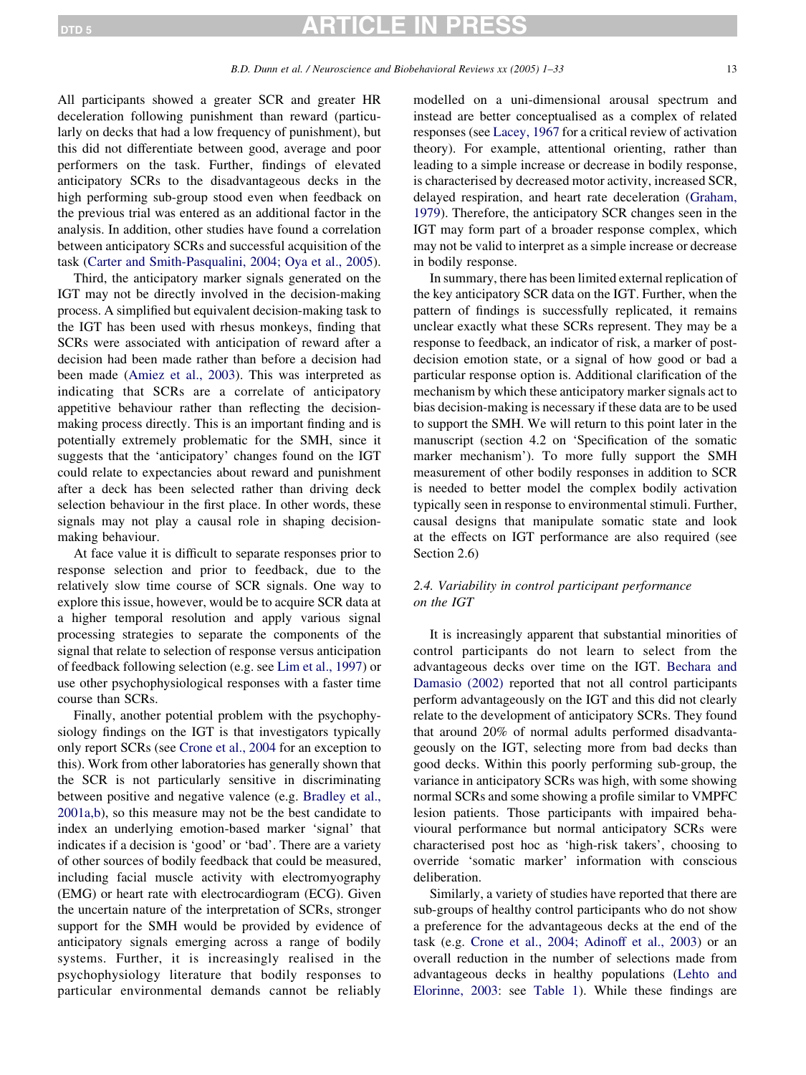All participants showed a greater SCR and greater HR deceleration following punishment than reward (particularly on decks that had a low frequency of punishment), but this did not differentiate between good, average and poor performers on the task. Further, findings of elevated anticipatory SCRs to the disadvantageous decks in the high performing sub-group stood even when feedback on the previous trial was entered as an additional factor in the analysis. In addition, other studies have found a correlation between anticipatory SCRs and successful acquisition of the task ([Carter and Smith-Pasqualini, 2004; Oya et al., 2005\)](#page-28-0).

Third, the anticipatory marker signals generated on the IGT may not be directly involved in the decision-making process. A simplified but equivalent decision-making task to the IGT has been used with rhesus monkeys, finding that SCRs were associated with anticipation of reward after a decision had been made rather than before a decision had been made ([Amiez et al., 2003\)](#page-27-0). This was interpreted as indicating that SCRs are a correlate of anticipatory appetitive behaviour rather than reflecting the decisionmaking process directly. This is an important finding and is potentially extremely problematic for the SMH, since it suggests that the 'anticipatory' changes found on the IGT could relate to expectancies about reward and punishment after a deck has been selected rather than driving deck selection behaviour in the first place. In other words, these signals may not play a causal role in shaping decisionmaking behaviour.

At face value it is difficult to separate responses prior to response selection and prior to feedback, due to the relatively slow time course of SCR signals. One way to explore this issue, however, would be to acquire SCR data at a higher temporal resolution and apply various signal processing strategies to separate the components of the signal that relate to selection of response versus anticipation of feedback following selection (e.g. see [Lim et al., 1997\)](#page-30-0) or use other psychophysiological responses with a faster time course than SCRs.

Finally, another potential problem with the psychophysiology findings on the IGT is that investigators typically only report SCRs (see [Crone et al., 2004](#page-29-0) for an exception to this). Work from other laboratories has generally shown that the SCR is not particularly sensitive in discriminating between positive and negative valence (e.g. [Bradley et al.,](#page-28-0) [2001a,b](#page-28-0)), so this measure may not be the best candidate to index an underlying emotion-based marker 'signal' that indicates if a decision is 'good' or 'bad'. There are a variety of other sources of bodily feedback that could be measured, including facial muscle activity with electromyography (EMG) or heart rate with electrocardiogram (ECG). Given the uncertain nature of the interpretation of SCRs, stronger support for the SMH would be provided by evidence of anticipatory signals emerging across a range of bodily systems. Further, it is increasingly realised in the psychophysiology literature that bodily responses to particular environmental demands cannot be reliably

modelled on a uni-dimensional arousal spectrum and instead are better conceptualised as a complex of related responses (see [Lacey, 1967](#page-30-0) for a critical review of activation theory). For example, attentional orienting, rather than leading to a simple increase or decrease in bodily response, is characterised by decreased motor activity, increased SCR, delayed respiration, and heart rate deceleration ([Graham,](#page-30-0) [1979](#page-30-0)). Therefore, the anticipatory SCR changes seen in the IGT may form part of a broader response complex, which may not be valid to interpret as a simple increase or decrease in bodily response.

In summary, there has been limited external replication of the key anticipatory SCR data on the IGT. Further, when the pattern of findings is successfully replicated, it remains unclear exactly what these SCRs represent. They may be a response to feedback, an indicator of risk, a marker of postdecision emotion state, or a signal of how good or bad a particular response option is. Additional clarification of the mechanism by which these anticipatory marker signals act to bias decision-making is necessary if these data are to be used to support the SMH. We will return to this point later in the manuscript (section 4.2 on 'Specification of the somatic marker mechanism'). To more fully support the SMH measurement of other bodily responses in addition to SCR is needed to better model the complex bodily activation typically seen in response to environmental stimuli. Further, causal designs that manipulate somatic state and look at the effects on IGT performance are also required (see Section 2.6)

### 2.4. Variability in control participant performance on the IGT

It is increasingly apparent that substantial minorities of control participants do not learn to select from the advantageous decks over time on the IGT. [Bechara and](#page-28-0) [Damasio \(2002\)](#page-28-0) reported that not all control participants perform advantageously on the IGT and this did not clearly relate to the development of anticipatory SCRs. They found that around 20% of normal adults performed disadvantageously on the IGT, selecting more from bad decks than good decks. Within this poorly performing sub-group, the variance in anticipatory SCRs was high, with some showing normal SCRs and some showing a profile similar to VMPFC lesion patients. Those participants with impaired behavioural performance but normal anticipatory SCRs were characterised post hoc as 'high-risk takers', choosing to override 'somatic marker' information with conscious deliberation.

Similarly, a variety of studies have reported that there are sub-groups of healthy control participants who do not show a preference for the advantageous decks at the end of the task (e.g. [Crone et al., 2004; Adinoff et al., 2003](#page-29-0)) or an overall reduction in the number of selections made from advantageous decks in healthy populations ([Lehto and](#page-30-0) [Elorinne, 2003:](#page-30-0) see [Table 1\)](#page-7-0). While these findings are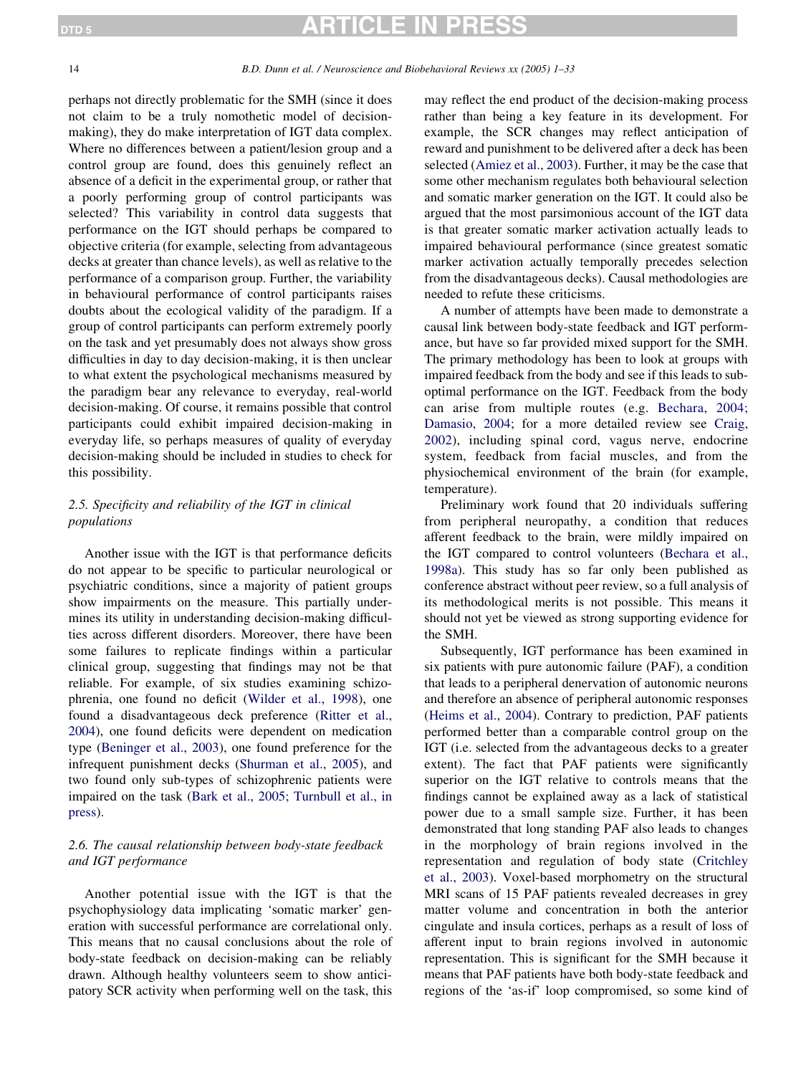perhaps not directly problematic for the SMH (since it does not claim to be a truly nomothetic model of decisionmaking), they do make interpretation of IGT data complex. Where no differences between a patient/lesion group and a control group are found, does this genuinely reflect an absence of a deficit in the experimental group, or rather that a poorly performing group of control participants was selected? This variability in control data suggests that performance on the IGT should perhaps be compared to objective criteria (for example, selecting from advantageous decks at greater than chance levels), as well as relative to the performance of a comparison group. Further, the variability in behavioural performance of control participants raises doubts about the ecological validity of the paradigm. If a group of control participants can perform extremely poorly on the task and yet presumably does not always show gross difficulties in day to day decision-making, it is then unclear to what extent the psychological mechanisms measured by the paradigm bear any relevance to everyday, real-world decision-making. Of course, it remains possible that control participants could exhibit impaired decision-making in everyday life, so perhaps measures of quality of everyday decision-making should be included in studies to check for this possibility.

### 2.5. Specificity and reliability of the IGT in clinical populations

Another issue with the IGT is that performance deficits do not appear to be specific to particular neurological or psychiatric conditions, since a majority of patient groups show impairments on the measure. This partially undermines its utility in understanding decision-making difficulties across different disorders. Moreover, there have been some failures to replicate findings within a particular clinical group, suggesting that findings may not be that reliable. For example, of six studies examining schizophrenia, one found no deficit [\(Wilder et al., 1998\)](#page-32-0), one found a disadvantageous deck preference [\(Ritter et al.,](#page-31-0) [2004\)](#page-31-0), one found deficits were dependent on medication type ([Beninger et al., 2003\)](#page-28-0), one found preference for the infrequent punishment decks [\(Shurman et al., 2005](#page-32-0)), and two found only sub-types of schizophrenic patients were impaired on the task ([Bark et al., 2005; Turnbull et al., in](#page-27-0) [press](#page-27-0)).

### 2.6. The causal relationship between body-state feedback and IGT performance

Another potential issue with the IGT is that the psychophysiology data implicating 'somatic marker' generation with successful performance are correlational only. This means that no causal conclusions about the role of body-state feedback on decision-making can be reliably drawn. Although healthy volunteers seem to show anticipatory SCR activity when performing well on the task, this

may reflect the end product of the decision-making process rather than being a key feature in its development. For example, the SCR changes may reflect anticipation of reward and punishment to be delivered after a deck has been selected [\(Amiez et al., 2003\)](#page-27-0). Further, it may be the case that some other mechanism regulates both behavioural selection and somatic marker generation on the IGT. It could also be argued that the most parsimonious account of the IGT data is that greater somatic marker activation actually leads to impaired behavioural performance (since greatest somatic marker activation actually temporally precedes selection from the disadvantageous decks). Causal methodologies are needed to refute these criticisms.

A number of attempts have been made to demonstrate a causal link between body-state feedback and IGT performance, but have so far provided mixed support for the SMH. The primary methodology has been to look at groups with impaired feedback from the body and see if this leads to suboptimal performance on the IGT. Feedback from the body can arise from multiple routes (e.g. [Bechara, 2004;](#page-27-0) [Damasio, 2004](#page-27-0); for a more detailed review see [Craig,](#page-29-0) [2002](#page-29-0)), including spinal cord, vagus nerve, endocrine system, feedback from facial muscles, and from the physiochemical environment of the brain (for example, temperature).

Preliminary work found that 20 individuals suffering from peripheral neuropathy, a condition that reduces afferent feedback to the brain, were mildly impaired on the IGT compared to control volunteers [\(Bechara et al.,](#page-28-0) [1998a](#page-28-0)). This study has so far only been published as conference abstract without peer review, so a full analysis of its methodological merits is not possible. This means it should not yet be viewed as strong supporting evidence for the SMH.

Subsequently, IGT performance has been examined in six patients with pure autonomic failure (PAF), a condition that leads to a peripheral denervation of autonomic neurons and therefore an absence of peripheral autonomic responses ([Heims et al., 2004](#page-30-0)). Contrary to prediction, PAF patients performed better than a comparable control group on the IGT (i.e. selected from the advantageous decks to a greater extent). The fact that PAF patients were significantly superior on the IGT relative to controls means that the findings cannot be explained away as a lack of statistical power due to a small sample size. Further, it has been demonstrated that long standing PAF also leads to changes in the morphology of brain regions involved in the representation and regulation of body state [\(Critchley](#page-29-0) [et al., 2003](#page-29-0)). Voxel-based morphometry on the structural MRI scans of 15 PAF patients revealed decreases in grey matter volume and concentration in both the anterior cingulate and insula cortices, perhaps as a result of loss of afferent input to brain regions involved in autonomic representation. This is significant for the SMH because it means that PAF patients have both body-state feedback and regions of the 'as-if' loop compromised, so some kind of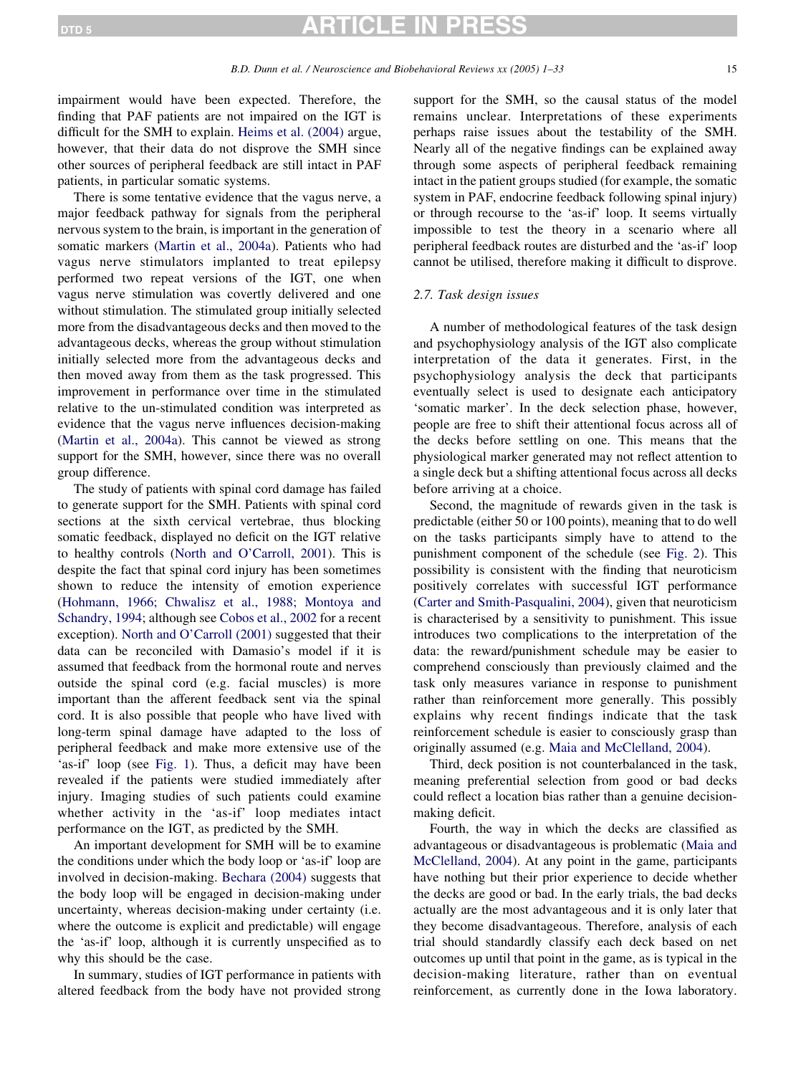impairment would have been expected. Therefore, the finding that PAF patients are not impaired on the IGT is difficult for the SMH to explain. [Heims et al. \(2004\)](#page-30-0) argue, however, that their data do not disprove the SMH since other sources of peripheral feedback are still intact in PAF patients, in particular somatic systems.

There is some tentative evidence that the vagus nerve, a major feedback pathway for signals from the peripheral nervous system to the brain, is important in the generation of somatic markers [\(Martin et al., 2004a](#page-31-0)). Patients who had vagus nerve stimulators implanted to treat epilepsy performed two repeat versions of the IGT, one when vagus nerve stimulation was covertly delivered and one without stimulation. The stimulated group initially selected more from the disadvantageous decks and then moved to the advantageous decks, whereas the group without stimulation initially selected more from the advantageous decks and then moved away from them as the task progressed. This improvement in performance over time in the stimulated relative to the un-stimulated condition was interpreted as evidence that the vagus nerve influences decision-making ([Martin et al., 2004a](#page-31-0)). This cannot be viewed as strong support for the SMH, however, since there was no overall group difference.

The study of patients with spinal cord damage has failed to generate support for the SMH. Patients with spinal cord sections at the sixth cervical vertebrae, thus blocking somatic feedback, displayed no deficit on the IGT relative to healthy controls [\(North and O'Carroll, 2001](#page-31-0)). This is despite the fact that spinal cord injury has been sometimes shown to reduce the intensity of emotion experience ([Hohmann, 1966; Chwalisz et al., 1988; Montoya and](#page-30-0) [Schandry, 1994;](#page-30-0) although see [Cobos et al., 2002](#page-29-0) for a recent exception). [North and O'Carroll \(2001\)](#page-31-0) suggested that their data can be reconciled with Damasio's model if it is assumed that feedback from the hormonal route and nerves outside the spinal cord (e.g. facial muscles) is more important than the afferent feedback sent via the spinal cord. It is also possible that people who have lived with long-term spinal damage have adapted to the loss of peripheral feedback and make more extensive use of the 'as-if' loop (see [Fig. 1](#page-3-0)). Thus, a deficit may have been revealed if the patients were studied immediately after injury. Imaging studies of such patients could examine whether activity in the 'as-if' loop mediates intact performance on the IGT, as predicted by the SMH.

An important development for SMH will be to examine the conditions under which the body loop or 'as-if' loop are involved in decision-making. [Bechara \(2004\)](#page-27-0) suggests that the body loop will be engaged in decision-making under uncertainty, whereas decision-making under certainty (i.e. where the outcome is explicit and predictable) will engage the 'as-if' loop, although it is currently unspecified as to why this should be the case.

In summary, studies of IGT performance in patients with altered feedback from the body have not provided strong support for the SMH, so the causal status of the model remains unclear. Interpretations of these experiments perhaps raise issues about the testability of the SMH. Nearly all of the negative findings can be explained away through some aspects of peripheral feedback remaining intact in the patient groups studied (for example, the somatic system in PAF, endocrine feedback following spinal injury) or through recourse to the 'as-if' loop. It seems virtually impossible to test the theory in a scenario where all peripheral feedback routes are disturbed and the 'as-if' loop cannot be utilised, therefore making it difficult to disprove.

#### 2.7. Task design issues

A number of methodological features of the task design and psychophysiology analysis of the IGT also complicate interpretation of the data it generates. First, in the psychophysiology analysis the deck that participants eventually select is used to designate each anticipatory 'somatic marker'. In the deck selection phase, however, people are free to shift their attentional focus across all of the decks before settling on one. This means that the physiological marker generated may not reflect attention to a single deck but a shifting attentional focus across all decks before arriving at a choice.

Second, the magnitude of rewards given in the task is predictable (either 50 or 100 points), meaning that to do well on the tasks participants simply have to attend to the punishment component of the schedule (see [Fig. 2](#page-4-0)). This possibility is consistent with the finding that neuroticism positively correlates with successful IGT performance ([Carter and Smith-Pasqualini, 2004\)](#page-28-0), given that neuroticism is characterised by a sensitivity to punishment. This issue introduces two complications to the interpretation of the data: the reward/punishment schedule may be easier to comprehend consciously than previously claimed and the task only measures variance in response to punishment rather than reinforcement more generally. This possibly explains why recent findings indicate that the task reinforcement schedule is easier to consciously grasp than originally assumed (e.g. [Maia and McClelland, 2004](#page-30-0)).

Third, deck position is not counterbalanced in the task, meaning preferential selection from good or bad decks could reflect a location bias rather than a genuine decisionmaking deficit.

Fourth, the way in which the decks are classified as advantageous or disadvantageous is problematic ([Maia and](#page-30-0) [McClelland, 2004\)](#page-30-0). At any point in the game, participants have nothing but their prior experience to decide whether the decks are good or bad. In the early trials, the bad decks actually are the most advantageous and it is only later that they become disadvantageous. Therefore, analysis of each trial should standardly classify each deck based on net outcomes up until that point in the game, as is typical in the decision-making literature, rather than on eventual reinforcement, as currently done in the Iowa laboratory.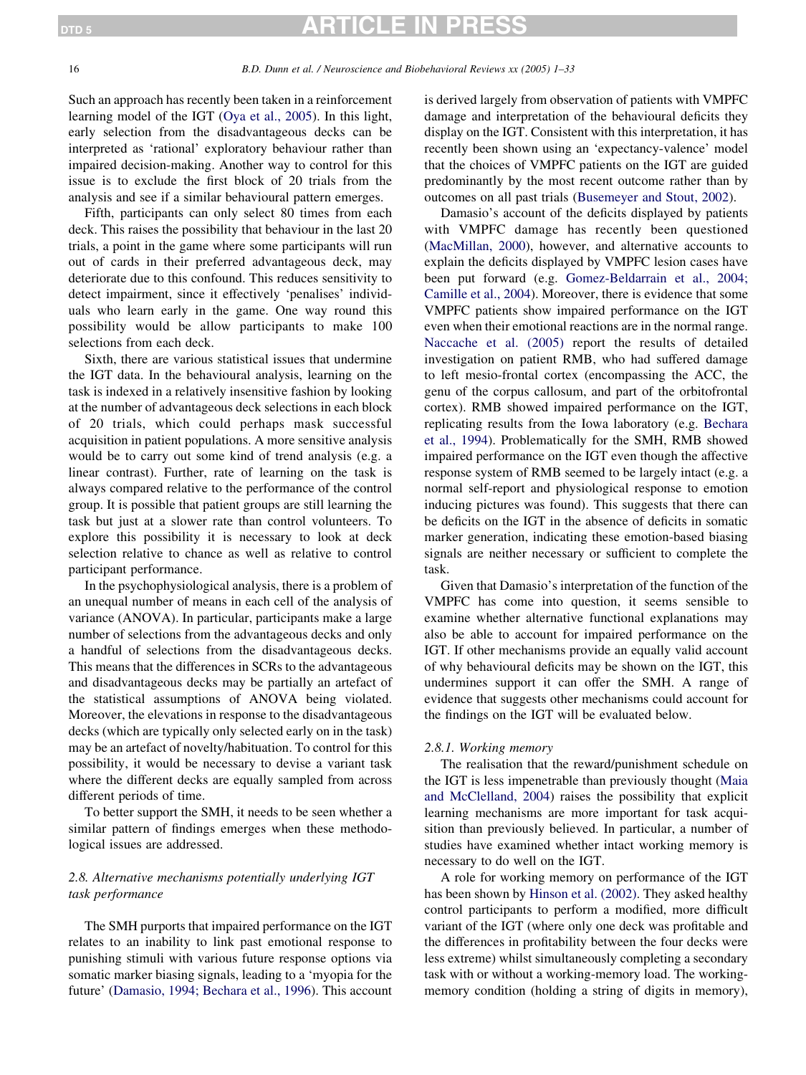Such an approach has recently been taken in a reinforcement learning model of the IGT [\(Oya et al., 2005\)](#page-31-0). In this light, early selection from the disadvantageous decks can be interpreted as 'rational' exploratory behaviour rather than impaired decision-making. Another way to control for this issue is to exclude the first block of 20 trials from the analysis and see if a similar behavioural pattern emerges.

Fifth, participants can only select 80 times from each deck. This raises the possibility that behaviour in the last 20 trials, a point in the game where some participants will run out of cards in their preferred advantageous deck, may deteriorate due to this confound. This reduces sensitivity to detect impairment, since it effectively 'penalises' individuals who learn early in the game. One way round this possibility would be allow participants to make 100 selections from each deck.

Sixth, there are various statistical issues that undermine the IGT data. In the behavioural analysis, learning on the task is indexed in a relatively insensitive fashion by looking at the number of advantageous deck selections in each block of 20 trials, which could perhaps mask successful acquisition in patient populations. A more sensitive analysis would be to carry out some kind of trend analysis (e.g. a linear contrast). Further, rate of learning on the task is always compared relative to the performance of the control group. It is possible that patient groups are still learning the task but just at a slower rate than control volunteers. To explore this possibility it is necessary to look at deck selection relative to chance as well as relative to control participant performance.

In the psychophysiological analysis, there is a problem of an unequal number of means in each cell of the analysis of variance (ANOVA). In particular, participants make a large number of selections from the advantageous decks and only a handful of selections from the disadvantageous decks. This means that the differences in SCRs to the advantageous and disadvantageous decks may be partially an artefact of the statistical assumptions of ANOVA being violated. Moreover, the elevations in response to the disadvantageous decks (which are typically only selected early on in the task) may be an artefact of novelty/habituation. To control for this possibility, it would be necessary to devise a variant task where the different decks are equally sampled from across different periods of time.

To better support the SMH, it needs to be seen whether a similar pattern of findings emerges when these methodological issues are addressed.

### 2.8. Alternative mechanisms potentially underlying IGT task performance

The SMH purports that impaired performance on the IGT relates to an inability to link past emotional response to punishing stimuli with various future response options via somatic marker biasing signals, leading to a 'myopia for the future' ([Damasio, 1994; Bechara et al., 1996\)](#page-29-0). This account is derived largely from observation of patients with VMPFC damage and interpretation of the behavioural deficits they display on the IGT. Consistent with this interpretation, it has recently been shown using an 'expectancy-valence' model that the choices of VMPFC patients on the IGT are guided predominantly by the most recent outcome rather than by outcomes on all past trials ([Busemeyer and Stout, 2002\)](#page-28-0).

Damasio's account of the deficits displayed by patients with VMPFC damage has recently been questioned ([MacMillan, 2000](#page-30-0)), however, and alternative accounts to explain the deficits displayed by VMPFC lesion cases have been put forward (e.g. [Gomez-Beldarrain et al., 2004;](#page-30-0) [Camille et al., 2004](#page-30-0)). Moreover, there is evidence that some VMPFC patients show impaired performance on the IGT even when their emotional reactions are in the normal range. [Naccache et al. \(2005\)](#page-31-0) report the results of detailed investigation on patient RMB, who had suffered damage to left mesio-frontal cortex (encompassing the ACC, the genu of the corpus callosum, and part of the orbitofrontal cortex). RMB showed impaired performance on the IGT, replicating results from the Iowa laboratory (e.g. [Bechara](#page-28-0) [et al., 1994\)](#page-28-0). Problematically for the SMH, RMB showed impaired performance on the IGT even though the affective response system of RMB seemed to be largely intact (e.g. a normal self-report and physiological response to emotion inducing pictures was found). This suggests that there can be deficits on the IGT in the absence of deficits in somatic marker generation, indicating these emotion-based biasing signals are neither necessary or sufficient to complete the task.

Given that Damasio's interpretation of the function of the VMPFC has come into question, it seems sensible to examine whether alternative functional explanations may also be able to account for impaired performance on the IGT. If other mechanisms provide an equally valid account of why behavioural deficits may be shown on the IGT, this undermines support it can offer the SMH. A range of evidence that suggests other mechanisms could account for the findings on the IGT will be evaluated below.

#### 2.8.1. Working memory

The realisation that the reward/punishment schedule on the IGT is less impenetrable than previously thought [\(Maia](#page-30-0) [and McClelland, 2004](#page-30-0)) raises the possibility that explicit learning mechanisms are more important for task acquisition than previously believed. In particular, a number of studies have examined whether intact working memory is necessary to do well on the IGT.

A role for working memory on performance of the IGT has been shown by [Hinson et al. \(2002\)](#page-30-0). They asked healthy control participants to perform a modified, more difficult variant of the IGT (where only one deck was profitable and the differences in profitability between the four decks were less extreme) whilst simultaneously completing a secondary task with or without a working-memory load. The workingmemory condition (holding a string of digits in memory),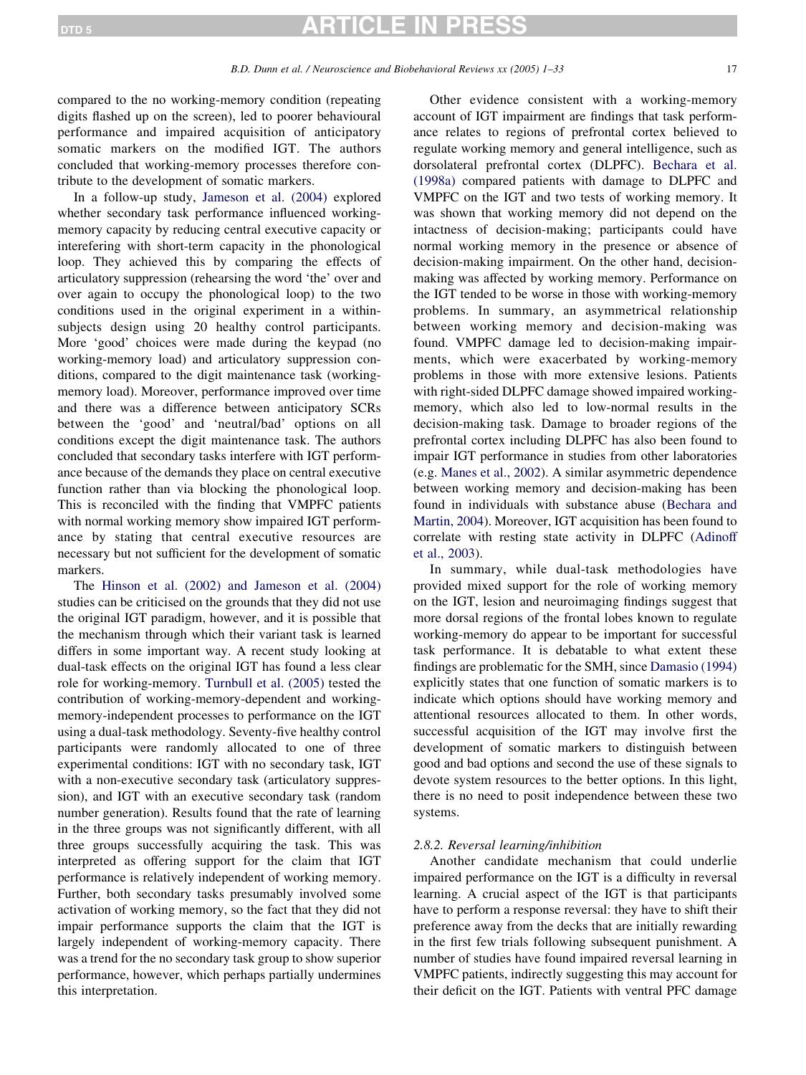compared to the no working-memory condition (repeating digits flashed up on the screen), led to poorer behavioural performance and impaired acquisition of anticipatory somatic markers on the modified IGT. The authors concluded that working-memory processes therefore contribute to the development of somatic markers.

In a follow-up study, [Jameson et al. \(2004\)](#page-30-0) explored whether secondary task performance influenced workingmemory capacity by reducing central executive capacity or interefering with short-term capacity in the phonological loop. They achieved this by comparing the effects of articulatory suppression (rehearsing the word 'the' over and over again to occupy the phonological loop) to the two conditions used in the original experiment in a withinsubjects design using 20 healthy control participants. More 'good' choices were made during the keypad (no working-memory load) and articulatory suppression conditions, compared to the digit maintenance task (workingmemory load). Moreover, performance improved over time and there was a difference between anticipatory SCRs between the 'good' and 'neutral/bad' options on all conditions except the digit maintenance task. The authors concluded that secondary tasks interfere with IGT performance because of the demands they place on central executive function rather than via blocking the phonological loop. This is reconciled with the finding that VMPFC patients with normal working memory show impaired IGT performance by stating that central executive resources are necessary but not sufficient for the development of somatic markers.

The [Hinson et al. \(2002\) and Jameson et al. \(2004\)](#page-30-0) studies can be criticised on the grounds that they did not use the original IGT paradigm, however, and it is possible that the mechanism through which their variant task is learned differs in some important way. A recent study looking at dual-task effects on the original IGT has found a less clear role for working-memory. [Turnbull et al. \(2005\)](#page-32-0) tested the contribution of working-memory-dependent and workingmemory-independent processes to performance on the IGT using a dual-task methodology. Seventy-five healthy control participants were randomly allocated to one of three experimental conditions: IGT with no secondary task, IGT with a non-executive secondary task (articulatory suppression), and IGT with an executive secondary task (random number generation). Results found that the rate of learning in the three groups was not significantly different, with all three groups successfully acquiring the task. This was interpreted as offering support for the claim that IGT performance is relatively independent of working memory. Further, both secondary tasks presumably involved some activation of working memory, so the fact that they did not impair performance supports the claim that the IGT is largely independent of working-memory capacity. There was a trend for the no secondary task group to show superior performance, however, which perhaps partially undermines this interpretation.

Other evidence consistent with a working-memory account of IGT impairment are findings that task performance relates to regions of prefrontal cortex believed to regulate working memory and general intelligence, such as dorsolateral prefrontal cortex (DLPFC). [Bechara et al.](#page-28-0) [\(1998a\)](#page-28-0) compared patients with damage to DLPFC and VMPFC on the IGT and two tests of working memory. It was shown that working memory did not depend on the intactness of decision-making; participants could have normal working memory in the presence or absence of decision-making impairment. On the other hand, decisionmaking was affected by working memory. Performance on the IGT tended to be worse in those with working-memory problems. In summary, an asymmetrical relationship between working memory and decision-making was found. VMPFC damage led to decision-making impairments, which were exacerbated by working-memory problems in those with more extensive lesions. Patients with right-sided DLPFC damage showed impaired workingmemory, which also led to low-normal results in the decision-making task. Damage to broader regions of the prefrontal cortex including DLPFC has also been found to impair IGT performance in studies from other laboratories (e.g. [Manes et al., 2002\)](#page-31-0). A similar asymmetric dependence between working memory and decision-making has been found in individuals with substance abuse ([Bechara and](#page-28-0) [Martin, 2004](#page-28-0)). Moreover, IGT acquisition has been found to correlate with resting state activity in DLPFC ([Adinoff](#page-27-0) [et al., 2003](#page-27-0)).

In summary, while dual-task methodologies have provided mixed support for the role of working memory on the IGT, lesion and neuroimaging findings suggest that more dorsal regions of the frontal lobes known to regulate working-memory do appear to be important for successful task performance. It is debatable to what extent these findings are problematic for the SMH, since [Damasio \(1994\)](#page-29-0) explicitly states that one function of somatic markers is to indicate which options should have working memory and attentional resources allocated to them. In other words, successful acquisition of the IGT may involve first the development of somatic markers to distinguish between good and bad options and second the use of these signals to devote system resources to the better options. In this light, there is no need to posit independence between these two systems.

#### 2.8.2. Reversal learning/inhibition

Another candidate mechanism that could underlie impaired performance on the IGT is a difficulty in reversal learning. A crucial aspect of the IGT is that participants have to perform a response reversal: they have to shift their preference away from the decks that are initially rewarding in the first few trials following subsequent punishment. A number of studies have found impaired reversal learning in VMPFC patients, indirectly suggesting this may account for their deficit on the IGT. Patients with ventral PFC damage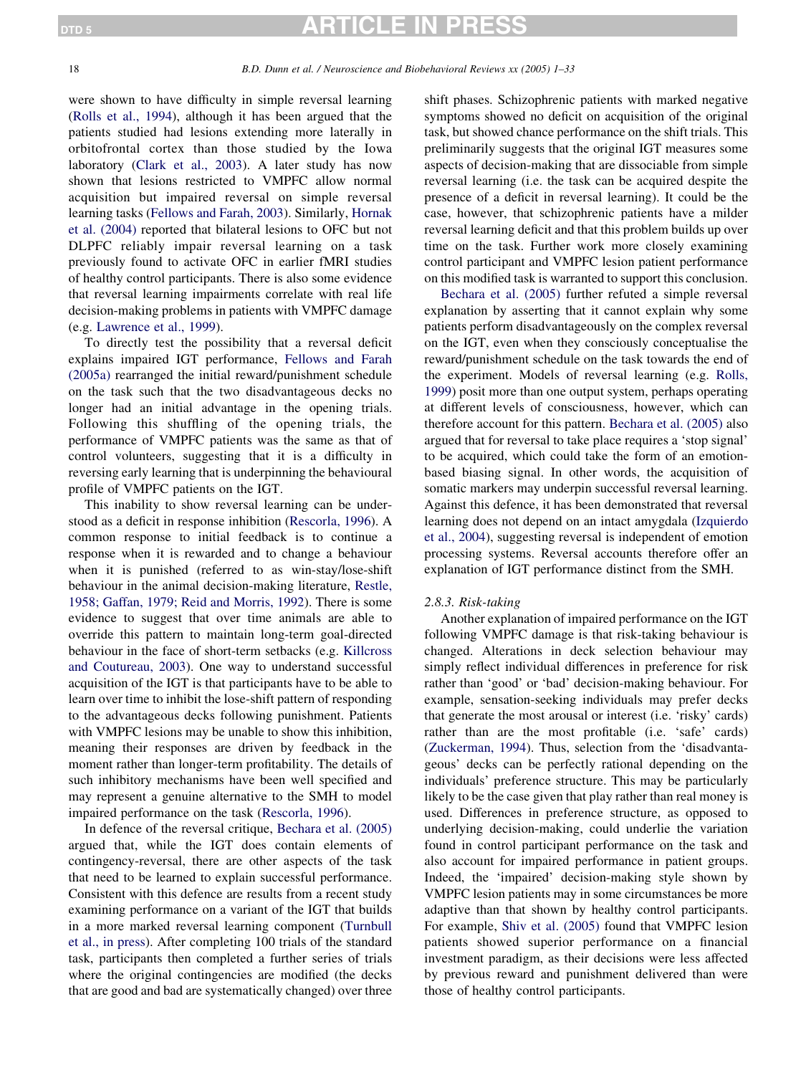were shown to have difficulty in simple reversal learning ([Rolls et al., 1994](#page-31-0)), although it has been argued that the patients studied had lesions extending more laterally in orbitofrontal cortex than those studied by the Iowa laboratory ([Clark et al., 2003](#page-28-0)). A later study has now shown that lesions restricted to VMPFC allow normal acquisition but impaired reversal on simple reversal learning tasks [\(Fellows and Farah, 2003\)](#page-29-0). Similarly, [Hornak](#page-30-0) [et al. \(2004\)](#page-30-0) reported that bilateral lesions to OFC but not DLPFC reliably impair reversal learning on a task previously found to activate OFC in earlier fMRI studies of healthy control participants. There is also some evidence that reversal learning impairments correlate with real life decision-making problems in patients with VMPFC damage (e.g. [Lawrence et al., 1999](#page-30-0)).

To directly test the possibility that a reversal deficit explains impaired IGT performance, [Fellows and Farah](#page-29-0) [\(2005a\)](#page-29-0) rearranged the initial reward/punishment schedule on the task such that the two disadvantageous decks no longer had an initial advantage in the opening trials. Following this shuffling of the opening trials, the performance of VMPFC patients was the same as that of control volunteers, suggesting that it is a difficulty in reversing early learning that is underpinning the behavioural profile of VMPFC patients on the IGT.

This inability to show reversal learning can be understood as a deficit in response inhibition ([Rescorla, 1996](#page-31-0)). A common response to initial feedback is to continue a response when it is rewarded and to change a behaviour when it is punished (referred to as win-stay/lose-shift behaviour in the animal decision-making literature, [Restle,](#page-31-0) [1958; Gaffan, 1979; Reid and Morris, 1992\)](#page-31-0). There is some evidence to suggest that over time animals are able to override this pattern to maintain long-term goal-directed behaviour in the face of short-term setbacks (e.g. [Killcross](#page-30-0) [and Coutureau, 2003](#page-30-0)). One way to understand successful acquisition of the IGT is that participants have to be able to learn over time to inhibit the lose-shift pattern of responding to the advantageous decks following punishment. Patients with VMPFC lesions may be unable to show this inhibition, meaning their responses are driven by feedback in the moment rather than longer-term profitability. The details of such inhibitory mechanisms have been well specified and may represent a genuine alternative to the SMH to model impaired performance on the task ([Rescorla, 1996](#page-31-0)).

In defence of the reversal critique, [Bechara et al. \(2005\)](#page-28-0) argued that, while the IGT does contain elements of contingency-reversal, there are other aspects of the task that need to be learned to explain successful performance. Consistent with this defence are results from a recent study examining performance on a variant of the IGT that builds in a more marked reversal learning component ([Turnbull](#page-32-0) [et al., in press](#page-32-0)). After completing 100 trials of the standard task, participants then completed a further series of trials where the original contingencies are modified (the decks that are good and bad are systematically changed) over three

shift phases. Schizophrenic patients with marked negative symptoms showed no deficit on acquisition of the original task, but showed chance performance on the shift trials. This preliminarily suggests that the original IGT measures some aspects of decision-making that are dissociable from simple reversal learning (i.e. the task can be acquired despite the presence of a deficit in reversal learning). It could be the case, however, that schizophrenic patients have a milder reversal learning deficit and that this problem builds up over time on the task. Further work more closely examining control participant and VMPFC lesion patient performance on this modified task is warranted to support this conclusion.

[Bechara et al. \(2005\)](#page-28-0) further refuted a simple reversal explanation by asserting that it cannot explain why some patients perform disadvantageously on the complex reversal on the IGT, even when they consciously conceptualise the reward/punishment schedule on the task towards the end of the experiment. Models of reversal learning (e.g. [Rolls,](#page-31-0) [1999\)](#page-31-0) posit more than one output system, perhaps operating at different levels of consciousness, however, which can therefore account for this pattern. [Bechara et al. \(2005\)](#page-28-0) also argued that for reversal to take place requires a 'stop signal' to be acquired, which could take the form of an emotionbased biasing signal. In other words, the acquisition of somatic markers may underpin successful reversal learning. Against this defence, it has been demonstrated that reversal learning does not depend on an intact amygdala [\(Izquierdo](#page-30-0) [et al., 2004\)](#page-30-0), suggesting reversal is independent of emotion processing systems. Reversal accounts therefore offer an explanation of IGT performance distinct from the SMH.

#### 2.8.3. Risk-taking

Another explanation of impaired performance on the IGT following VMPFC damage is that risk-taking behaviour is changed. Alterations in deck selection behaviour may simply reflect individual differences in preference for risk rather than 'good' or 'bad' decision-making behaviour. For example, sensation-seeking individuals may prefer decks that generate the most arousal or interest (i.e. 'risky' cards) rather than are the most profitable (i.e. 'safe' cards) ([Zuckerman, 1994\)](#page-32-0). Thus, selection from the 'disadvantageous' decks can be perfectly rational depending on the individuals' preference structure. This may be particularly likely to be the case given that play rather than real money is used. Differences in preference structure, as opposed to underlying decision-making, could underlie the variation found in control participant performance on the task and also account for impaired performance in patient groups. Indeed, the 'impaired' decision-making style shown by VMPFC lesion patients may in some circumstances be more adaptive than that shown by healthy control participants. For example, [Shiv et al. \(2005\)](#page-32-0) found that VMPFC lesion patients showed superior performance on a financial investment paradigm, as their decisions were less affected by previous reward and punishment delivered than were those of healthy control participants.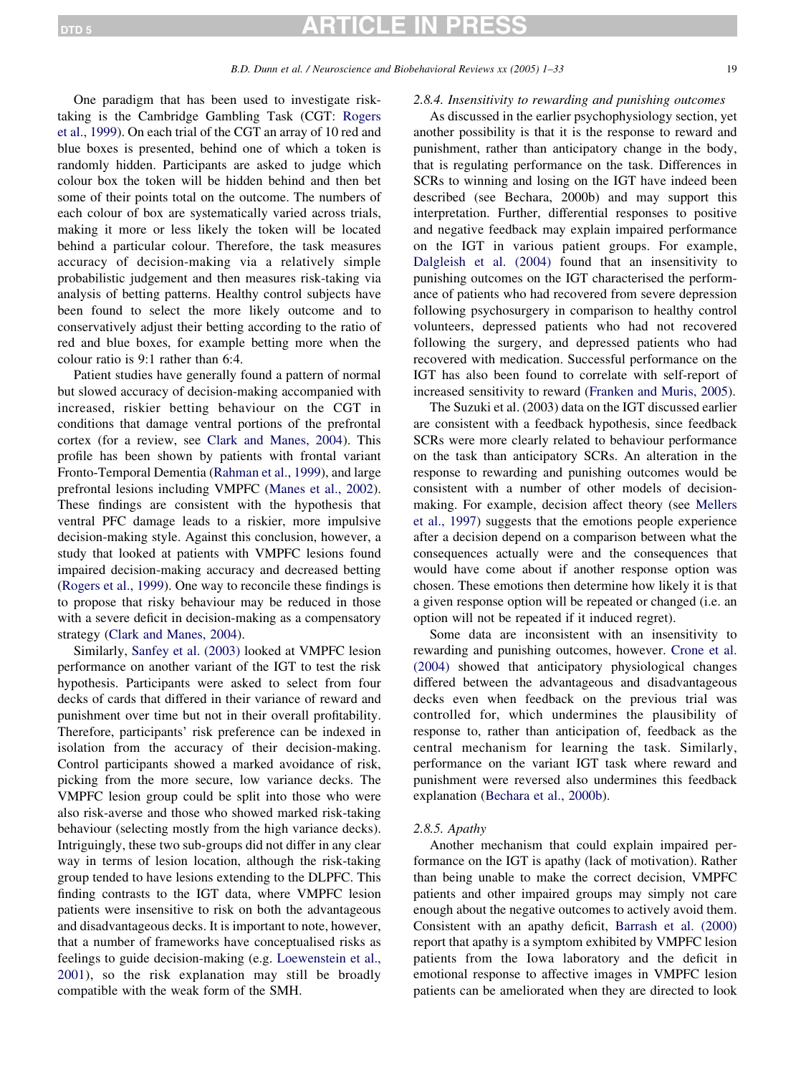One paradigm that has been used to investigate risktaking is the Cambridge Gambling Task (CGT: [Rogers](#page-31-0) [et al., 1999](#page-31-0)). On each trial of the CGT an array of 10 red and blue boxes is presented, behind one of which a token is randomly hidden. Participants are asked to judge which colour box the token will be hidden behind and then bet some of their points total on the outcome. The numbers of each colour of box are systematically varied across trials, making it more or less likely the token will be located behind a particular colour. Therefore, the task measures accuracy of decision-making via a relatively simple probabilistic judgement and then measures risk-taking via analysis of betting patterns. Healthy control subjects have been found to select the more likely outcome and to conservatively adjust their betting according to the ratio of red and blue boxes, for example betting more when the colour ratio is 9:1 rather than 6:4.

Patient studies have generally found a pattern of normal but slowed accuracy of decision-making accompanied with increased, riskier betting behaviour on the CGT in conditions that damage ventral portions of the prefrontal cortex (for a review, see [Clark and Manes, 2004](#page-28-0)). This profile has been shown by patients with frontal variant Fronto-Temporal Dementia ([Rahman et al., 1999](#page-31-0)), and large prefrontal lesions including VMPFC ([Manes et al., 2002\)](#page-31-0). These findings are consistent with the hypothesis that ventral PFC damage leads to a riskier, more impulsive decision-making style. Against this conclusion, however, a study that looked at patients with VMPFC lesions found impaired decision-making accuracy and decreased betting ([Rogers et al., 1999](#page-31-0)). One way to reconcile these findings is to propose that risky behaviour may be reduced in those with a severe deficit in decision-making as a compensatory strategy ([Clark and Manes, 2004](#page-28-0)).

Similarly, [Sanfey et al. \(2003\)](#page-31-0) looked at VMPFC lesion performance on another variant of the IGT to test the risk hypothesis. Participants were asked to select from four decks of cards that differed in their variance of reward and punishment over time but not in their overall profitability. Therefore, participants' risk preference can be indexed in isolation from the accuracy of their decision-making. Control participants showed a marked avoidance of risk, picking from the more secure, low variance decks. The VMPFC lesion group could be split into those who were also risk-averse and those who showed marked risk-taking behaviour (selecting mostly from the high variance decks). Intriguingly, these two sub-groups did not differ in any clear way in terms of lesion location, although the risk-taking group tended to have lesions extending to the DLPFC. This finding contrasts to the IGT data, where VMPFC lesion patients were insensitive to risk on both the advantageous and disadvantageous decks. It is important to note, however, that a number of frameworks have conceptualised risks as feelings to guide decision-making (e.g. [Loewenstein et al.,](#page-30-0) [2001](#page-30-0)), so the risk explanation may still be broadly compatible with the weak form of the SMH.

#### 2.8.4. Insensitivity to rewarding and punishing outcomes

As discussed in the earlier psychophysiology section, yet another possibility is that it is the response to reward and punishment, rather than anticipatory change in the body, that is regulating performance on the task. Differences in SCRs to winning and losing on the IGT have indeed been described (see Bechara, 2000b) and may support this interpretation. Further, differential responses to positive and negative feedback may explain impaired performance on the IGT in various patient groups. For example, [Dalgleish et al. \(2004\)](#page-29-0) found that an insensitivity to punishing outcomes on the IGT characterised the performance of patients who had recovered from severe depression following psychosurgery in comparison to healthy control volunteers, depressed patients who had not recovered following the surgery, and depressed patients who had recovered with medication. Successful performance on the IGT has also been found to correlate with self-report of increased sensitivity to reward [\(Franken and Muris, 2005\)](#page-29-0).

The Suzuki et al. (2003) data on the IGT discussed earlier are consistent with a feedback hypothesis, since feedback SCRs were more clearly related to behaviour performance on the task than anticipatory SCRs. An alteration in the response to rewarding and punishing outcomes would be consistent with a number of other models of decisionmaking. For example, decision affect theory (see [Mellers](#page-31-0) [et al., 1997](#page-31-0)) suggests that the emotions people experience after a decision depend on a comparison between what the consequences actually were and the consequences that would have come about if another response option was chosen. These emotions then determine how likely it is that a given response option will be repeated or changed (i.e. an option will not be repeated if it induced regret).

Some data are inconsistent with an insensitivity to rewarding and punishing outcomes, however. [Crone et al.](#page-29-0) [\(2004\)](#page-29-0) showed that anticipatory physiological changes differed between the advantageous and disadvantageous decks even when feedback on the previous trial was controlled for, which undermines the plausibility of response to, rather than anticipation of, feedback as the central mechanism for learning the task. Similarly, performance on the variant IGT task where reward and punishment were reversed also undermines this feedback explanation ([Bechara et al., 2000b\)](#page-28-0).

#### 2.8.5. Apathy

Another mechanism that could explain impaired performance on the IGT is apathy (lack of motivation). Rather than being unable to make the correct decision, VMPFC patients and other impaired groups may simply not care enough about the negative outcomes to actively avoid them. Consistent with an apathy deficit, [Barrash et al. \(2000\)](#page-27-0) report that apathy is a symptom exhibited by VMPFC lesion patients from the Iowa laboratory and the deficit in emotional response to affective images in VMPFC lesion patients can be ameliorated when they are directed to look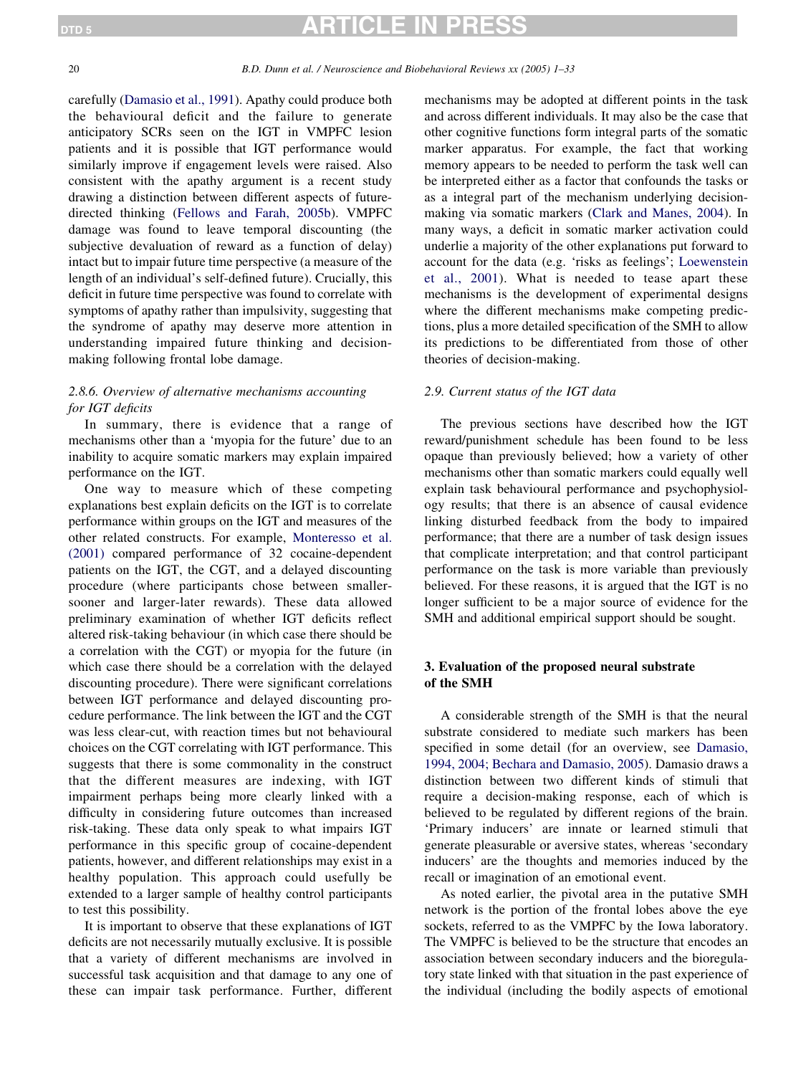carefully ([Damasio et al., 1991](#page-29-0)). Apathy could produce both the behavioural deficit and the failure to generate anticipatory SCRs seen on the IGT in VMPFC lesion patients and it is possible that IGT performance would similarly improve if engagement levels were raised. Also consistent with the apathy argument is a recent study drawing a distinction between different aspects of futuredirected thinking [\(Fellows and Farah, 2005b\)](#page-29-0). VMPFC damage was found to leave temporal discounting (the subjective devaluation of reward as a function of delay) intact but to impair future time perspective (a measure of the length of an individual's self-defined future). Crucially, this deficit in future time perspective was found to correlate with symptoms of apathy rather than impulsivity, suggesting that the syndrome of apathy may deserve more attention in understanding impaired future thinking and decisionmaking following frontal lobe damage.

### 2.8.6. Overview of alternative mechanisms accounting for IGT deficits

In summary, there is evidence that a range of mechanisms other than a 'myopia for the future' due to an inability to acquire somatic markers may explain impaired performance on the IGT.

One way to measure which of these competing explanations best explain deficits on the IGT is to correlate performance within groups on the IGT and measures of the other related constructs. For example, [Monteresso et al.](#page-31-0) [\(2001\)](#page-31-0) compared performance of 32 cocaine-dependent patients on the IGT, the CGT, and a delayed discounting procedure (where participants chose between smallersooner and larger-later rewards). These data allowed preliminary examination of whether IGT deficits reflect altered risk-taking behaviour (in which case there should be a correlation with the CGT) or myopia for the future (in which case there should be a correlation with the delayed discounting procedure). There were significant correlations between IGT performance and delayed discounting procedure performance. The link between the IGT and the CGT was less clear-cut, with reaction times but not behavioural choices on the CGT correlating with IGT performance. This suggests that there is some commonality in the construct that the different measures are indexing, with IGT impairment perhaps being more clearly linked with a difficulty in considering future outcomes than increased risk-taking. These data only speak to what impairs IGT performance in this specific group of cocaine-dependent patients, however, and different relationships may exist in a healthy population. This approach could usefully be extended to a larger sample of healthy control participants to test this possibility.

It is important to observe that these explanations of IGT deficits are not necessarily mutually exclusive. It is possible that a variety of different mechanisms are involved in successful task acquisition and that damage to any one of these can impair task performance. Further, different mechanisms may be adopted at different points in the task and across different individuals. It may also be the case that other cognitive functions form integral parts of the somatic marker apparatus. For example, the fact that working memory appears to be needed to perform the task well can be interpreted either as a factor that confounds the tasks or as a integral part of the mechanism underlying decisionmaking via somatic markers ([Clark and Manes, 2004\)](#page-28-0). In many ways, a deficit in somatic marker activation could underlie a majority of the other explanations put forward to account for the data (e.g. 'risks as feelings'; [Loewenstein](#page-30-0) [et al., 2001\)](#page-30-0). What is needed to tease apart these mechanisms is the development of experimental designs where the different mechanisms make competing predictions, plus a more detailed specification of the SMH to allow its predictions to be differentiated from those of other theories of decision-making.

#### 2.9. Current status of the IGT data

The previous sections have described how the IGT reward/punishment schedule has been found to be less opaque than previously believed; how a variety of other mechanisms other than somatic markers could equally well explain task behavioural performance and psychophysiology results; that there is an absence of causal evidence linking disturbed feedback from the body to impaired performance; that there are a number of task design issues that complicate interpretation; and that control participant performance on the task is more variable than previously believed. For these reasons, it is argued that the IGT is no longer sufficient to be a major source of evidence for the SMH and additional empirical support should be sought.

### 3. Evaluation of the proposed neural substrate of the SMH

A considerable strength of the SMH is that the neural substrate considered to mediate such markers has been specified in some detail (for an overview, see [Damasio,](#page-29-0) [1994, 2004; Bechara and Damasio, 2005\)](#page-29-0). Damasio draws a distinction between two different kinds of stimuli that require a decision-making response, each of which is believed to be regulated by different regions of the brain. 'Primary inducers' are innate or learned stimuli that generate pleasurable or aversive states, whereas 'secondary inducers' are the thoughts and memories induced by the recall or imagination of an emotional event.

As noted earlier, the pivotal area in the putative SMH network is the portion of the frontal lobes above the eye sockets, referred to as the VMPFC by the Iowa laboratory. The VMPFC is believed to be the structure that encodes an association between secondary inducers and the bioregulatory state linked with that situation in the past experience of the individual (including the bodily aspects of emotional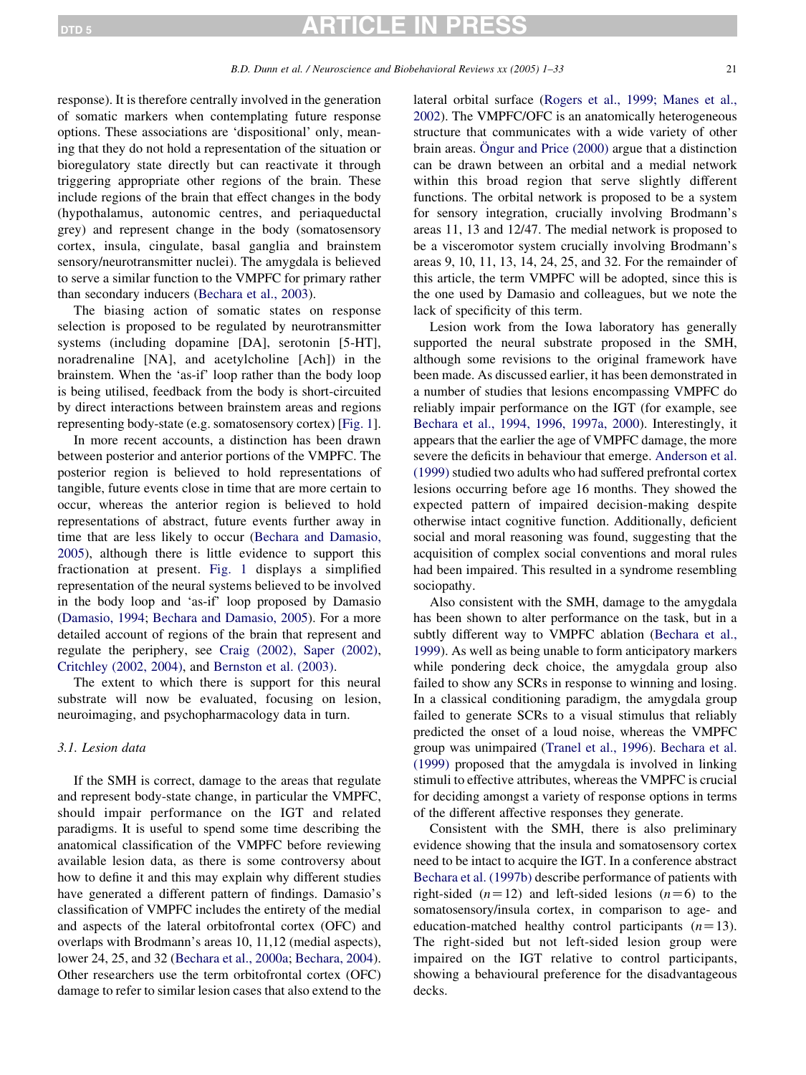response). It is therefore centrally involved in the generation of somatic markers when contemplating future response options. These associations are 'dispositional' only, meaning that they do not hold a representation of the situation or bioregulatory state directly but can reactivate it through triggering appropriate other regions of the brain. These include regions of the brain that effect changes in the body (hypothalamus, autonomic centres, and periaqueductal grey) and represent change in the body (somatosensory cortex, insula, cingulate, basal ganglia and brainstem sensory/neurotransmitter nuclei). The amygdala is believed to serve a similar function to the VMPFC for primary rather than secondary inducers [\(Bechara et al., 2003\)](#page-28-0).

The biasing action of somatic states on response selection is proposed to be regulated by neurotransmitter systems (including dopamine [DA], serotonin [5-HT], noradrenaline [NA], and acetylcholine [Ach]) in the brainstem. When the 'as-if' loop rather than the body loop is being utilised, feedback from the body is short-circuited by direct interactions between brainstem areas and regions representing body-state (e.g. somatosensory cortex) [[Fig. 1\]](#page-3-0).

In more recent accounts, a distinction has been drawn between posterior and anterior portions of the VMPFC. The posterior region is believed to hold representations of tangible, future events close in time that are more certain to occur, whereas the anterior region is believed to hold representations of abstract, future events further away in time that are less likely to occur ([Bechara and Damasio,](#page-28-0) [2005](#page-28-0)), although there is little evidence to support this fractionation at present. [Fig. 1](#page-3-0) displays a simplified representation of the neural systems believed to be involved in the body loop and 'as-if' loop proposed by Damasio ([Damasio, 1994;](#page-29-0) [Bechara and Damasio, 2005\)](#page-28-0). For a more detailed account of regions of the brain that represent and regulate the periphery, see [Craig \(2002\), Saper \(2002\)](#page-29-0), [Critchley \(2002, 2004\),](#page-29-0) and [Bernston et al. \(2003\).](#page-28-0)

The extent to which there is support for this neural substrate will now be evaluated, focusing on lesion, neuroimaging, and psychopharmacology data in turn.

#### 3.1. Lesion data

If the SMH is correct, damage to the areas that regulate and represent body-state change, in particular the VMPFC, should impair performance on the IGT and related paradigms. It is useful to spend some time describing the anatomical classification of the VMPFC before reviewing available lesion data, as there is some controversy about how to define it and this may explain why different studies have generated a different pattern of findings. Damasio's classification of VMPFC includes the entirety of the medial and aspects of the lateral orbitofrontal cortex (OFC) and overlaps with Brodmann's areas 10, 11,12 (medial aspects), lower 24, 25, and 32 [\(Bechara et al., 2000a](#page-28-0); [Bechara, 2004\)](#page-27-0). Other researchers use the term orbitofrontal cortex (OFC) damage to refer to similar lesion cases that also extend to the

lateral orbital surface [\(Rogers et al., 1999; Manes et al.,](#page-31-0) [2002](#page-31-0)). The VMPFC/OFC is an anatomically heterogeneous structure that communicates with a wide variety of other brain areas. Ö[ngur and Price \(2000\)](#page-31-0) argue that a distinction can be drawn between an orbital and a medial network within this broad region that serve slightly different functions. The orbital network is proposed to be a system for sensory integration, crucially involving Brodmann's areas 11, 13 and 12/47. The medial network is proposed to be a visceromotor system crucially involving Brodmann's areas 9, 10, 11, 13, 14, 24, 25, and 32. For the remainder of this article, the term VMPFC will be adopted, since this is the one used by Damasio and colleagues, but we note the lack of specificity of this term.

Lesion work from the Iowa laboratory has generally supported the neural substrate proposed in the SMH, although some revisions to the original framework have been made. As discussed earlier, it has been demonstrated in a number of studies that lesions encompassing VMPFC do reliably impair performance on the IGT (for example, see [Bechara et al., 1994, 1996, 1997a, 2000](#page-28-0)). Interestingly, it appears that the earlier the age of VMPFC damage, the more severe the deficits in behaviour that emerge. [Anderson et al.](#page-27-0) [\(1999\)](#page-27-0) studied two adults who had suffered prefrontal cortex lesions occurring before age 16 months. They showed the expected pattern of impaired decision-making despite otherwise intact cognitive function. Additionally, deficient social and moral reasoning was found, suggesting that the acquisition of complex social conventions and moral rules had been impaired. This resulted in a syndrome resembling sociopathy.

Also consistent with the SMH, damage to the amygdala has been shown to alter performance on the task, but in a subtly different way to VMPFC ablation ([Bechara et al.,](#page-28-0) [1999](#page-28-0)). As well as being unable to form anticipatory markers while pondering deck choice, the amygdala group also failed to show any SCRs in response to winning and losing. In a classical conditioning paradigm, the amygdala group failed to generate SCRs to a visual stimulus that reliably predicted the onset of a loud noise, whereas the VMPFC group was unimpaired [\(Tranel et al., 1996\)](#page-32-0). [Bechara et al.](#page-28-0) [\(1999\)](#page-28-0) proposed that the amygdala is involved in linking stimuli to effective attributes, whereas the VMPFC is crucial for deciding amongst a variety of response options in terms of the different affective responses they generate.

Consistent with the SMH, there is also preliminary evidence showing that the insula and somatosensory cortex need to be intact to acquire the IGT. In a conference abstract [Bechara et al. \(1997b\)](#page-28-0) describe performance of patients with right-sided  $(n=12)$  and left-sided lesions  $(n=6)$  to the somatosensory/insula cortex, in comparison to age- and education-matched healthy control participants  $(n=13)$ . The right-sided but not left-sided lesion group were impaired on the IGT relative to control participants, showing a behavioural preference for the disadvantageous decks.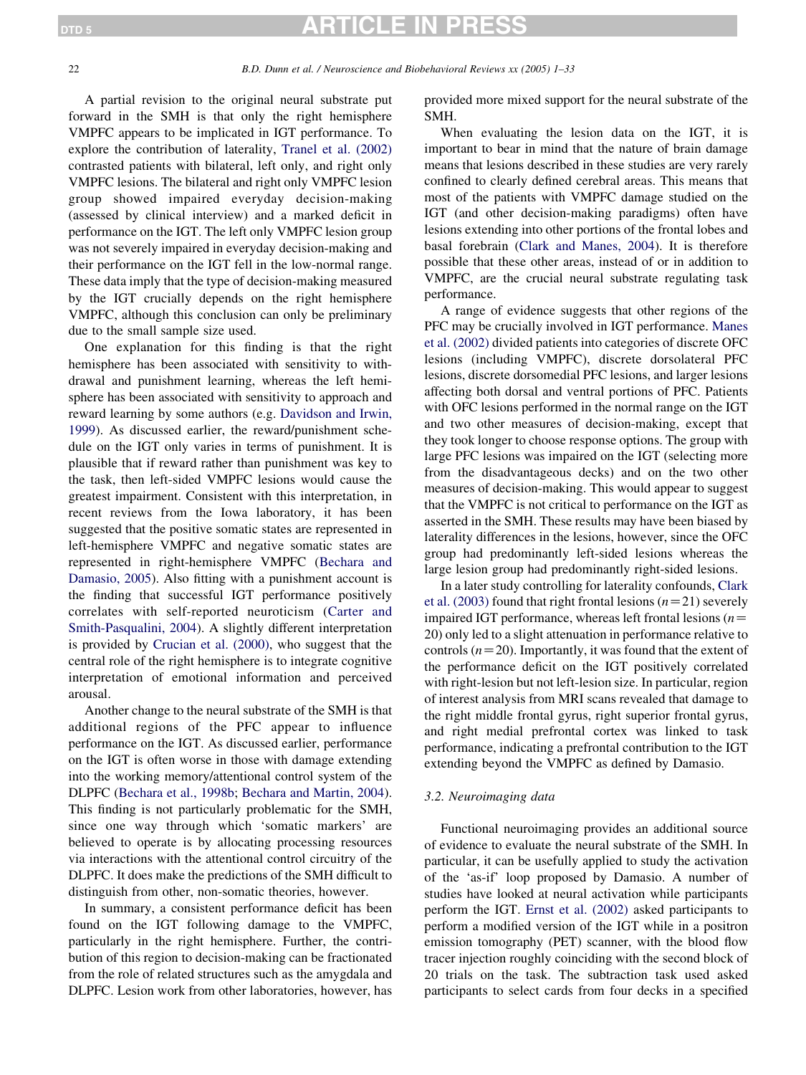A partial revision to the original neural substrate put forward in the SMH is that only the right hemisphere VMPFC appears to be implicated in IGT performance. To explore the contribution of laterality, [Tranel et al. \(2002\)](#page-32-0) contrasted patients with bilateral, left only, and right only VMPFC lesions. The bilateral and right only VMPFC lesion group showed impaired everyday decision-making (assessed by clinical interview) and a marked deficit in performance on the IGT. The left only VMPFC lesion group was not severely impaired in everyday decision-making and their performance on the IGT fell in the low-normal range. These data imply that the type of decision-making measured by the IGT crucially depends on the right hemisphere VMPFC, although this conclusion can only be preliminary due to the small sample size used.

One explanation for this finding is that the right hemisphere has been associated with sensitivity to withdrawal and punishment learning, whereas the left hemisphere has been associated with sensitivity to approach and reward learning by some authors (e.g. [Davidson and Irwin,](#page-29-0) [1999\)](#page-29-0). As discussed earlier, the reward/punishment schedule on the IGT only varies in terms of punishment. It is plausible that if reward rather than punishment was key to the task, then left-sided VMPFC lesions would cause the greatest impairment. Consistent with this interpretation, in recent reviews from the Iowa laboratory, it has been suggested that the positive somatic states are represented in left-hemisphere VMPFC and negative somatic states are represented in right-hemisphere VMPFC ([Bechara and](#page-28-0) [Damasio, 2005\)](#page-28-0). Also fitting with a punishment account is the finding that successful IGT performance positively correlates with self-reported neuroticism [\(Carter and](#page-28-0) [Smith-Pasqualini, 2004](#page-28-0)). A slightly different interpretation is provided by [Crucian et al. \(2000\),](#page-29-0) who suggest that the central role of the right hemisphere is to integrate cognitive interpretation of emotional information and perceived arousal.

Another change to the neural substrate of the SMH is that additional regions of the PFC appear to influence performance on the IGT. As discussed earlier, performance on the IGT is often worse in those with damage extending into the working memory/attentional control system of the DLPFC ([Bechara et al., 1998b](#page-28-0); [Bechara and Martin, 2004\)](#page-28-0). This finding is not particularly problematic for the SMH, since one way through which 'somatic markers' are believed to operate is by allocating processing resources via interactions with the attentional control circuitry of the DLPFC. It does make the predictions of the SMH difficult to distinguish from other, non-somatic theories, however.

In summary, a consistent performance deficit has been found on the IGT following damage to the VMPFC, particularly in the right hemisphere. Further, the contribution of this region to decision-making can be fractionated from the role of related structures such as the amygdala and DLPFC. Lesion work from other laboratories, however, has

provided more mixed support for the neural substrate of the SMH.

When evaluating the lesion data on the IGT, it is important to bear in mind that the nature of brain damage means that lesions described in these studies are very rarely confined to clearly defined cerebral areas. This means that most of the patients with VMPFC damage studied on the IGT (and other decision-making paradigms) often have lesions extending into other portions of the frontal lobes and basal forebrain ([Clark and Manes, 2004\)](#page-28-0). It is therefore possible that these other areas, instead of or in addition to VMPFC, are the crucial neural substrate regulating task performance.

A range of evidence suggests that other regions of the PFC may be crucially involved in IGT performance. [Manes](#page-31-0) [et al. \(2002\)](#page-31-0) divided patients into categories of discrete OFC lesions (including VMPFC), discrete dorsolateral PFC lesions, discrete dorsomedial PFC lesions, and larger lesions affecting both dorsal and ventral portions of PFC. Patients with OFC lesions performed in the normal range on the IGT and two other measures of decision-making, except that they took longer to choose response options. The group with large PFC lesions was impaired on the IGT (selecting more from the disadvantageous decks) and on the two other measures of decision-making. This would appear to suggest that the VMPFC is not critical to performance on the IGT as asserted in the SMH. These results may have been biased by laterality differences in the lesions, however, since the OFC group had predominantly left-sided lesions whereas the large lesion group had predominantly right-sided lesions.

In a later study controlling for laterality confounds, [Clark](#page-28-0) [et al. \(2003\)](#page-28-0) found that right frontal lesions ( $n=21$ ) severely impaired IGT performance, whereas left frontal lesions  $(n=$ 20) only led to a slight attenuation in performance relative to controls  $(n=20)$ . Importantly, it was found that the extent of the performance deficit on the IGT positively correlated with right-lesion but not left-lesion size. In particular, region of interest analysis from MRI scans revealed that damage to the right middle frontal gyrus, right superior frontal gyrus, and right medial prefrontal cortex was linked to task performance, indicating a prefrontal contribution to the IGT extending beyond the VMPFC as defined by Damasio.

#### 3.2. Neuroimaging data

Functional neuroimaging provides an additional source of evidence to evaluate the neural substrate of the SMH. In particular, it can be usefully applied to study the activation of the 'as-if' loop proposed by Damasio. A number of studies have looked at neural activation while participants perform the IGT. [Ernst et al. \(2002\)](#page-29-0) asked participants to perform a modified version of the IGT while in a positron emission tomography (PET) scanner, with the blood flow tracer injection roughly coinciding with the second block of 20 trials on the task. The subtraction task used asked participants to select cards from four decks in a specified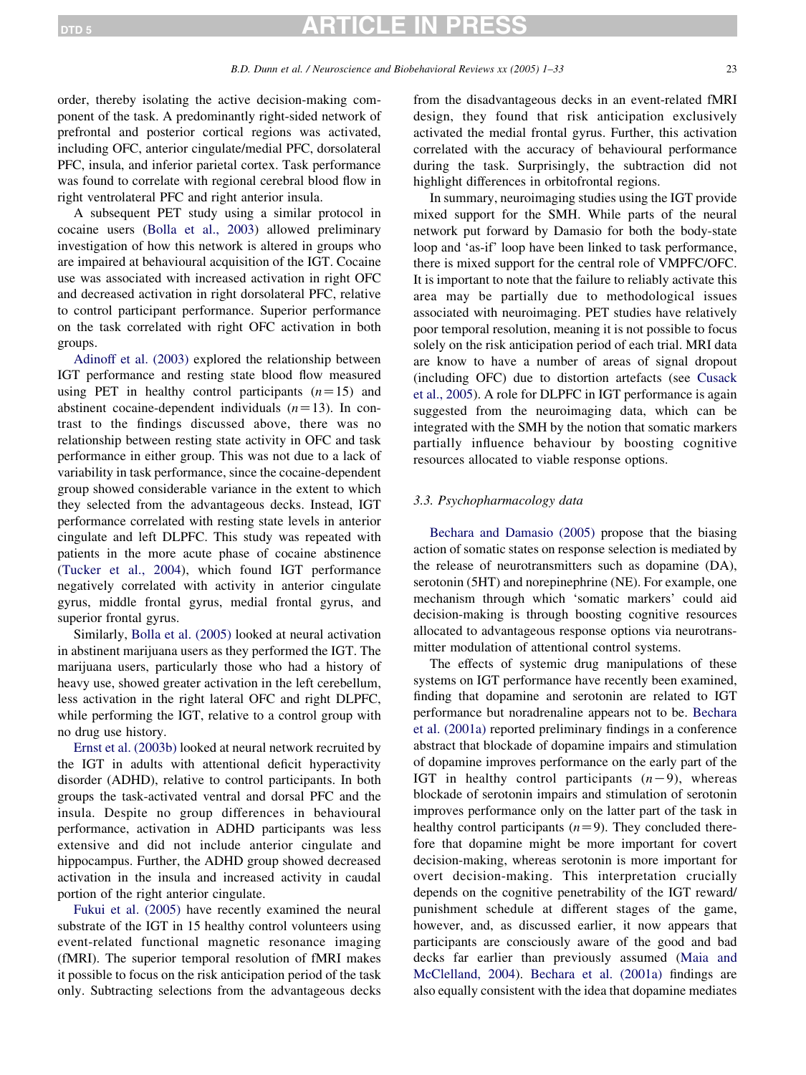order, thereby isolating the active decision-making component of the task. A predominantly right-sided network of prefrontal and posterior cortical regions was activated, including OFC, anterior cingulate/medial PFC, dorsolateral PFC, insula, and inferior parietal cortex. Task performance was found to correlate with regional cerebral blood flow in right ventrolateral PFC and right anterior insula.

A subsequent PET study using a similar protocol in cocaine users ([Bolla et al., 2003\)](#page-28-0) allowed preliminary investigation of how this network is altered in groups who are impaired at behavioural acquisition of the IGT. Cocaine use was associated with increased activation in right OFC and decreased activation in right dorsolateral PFC, relative to control participant performance. Superior performance on the task correlated with right OFC activation in both groups.

[Adinoff et al. \(2003\)](#page-27-0) explored the relationship between IGT performance and resting state blood flow measured using PET in healthy control participants  $(n=15)$  and abstinent cocaine-dependent individuals  $(n=13)$ . In contrast to the findings discussed above, there was no relationship between resting state activity in OFC and task performance in either group. This was not due to a lack of variability in task performance, since the cocaine-dependent group showed considerable variance in the extent to which they selected from the advantageous decks. Instead, IGT performance correlated with resting state levels in anterior cingulate and left DLPFC. This study was repeated with patients in the more acute phase of cocaine abstinence ([Tucker et al., 2004\)](#page-32-0), which found IGT performance negatively correlated with activity in anterior cingulate gyrus, middle frontal gyrus, medial frontal gyrus, and superior frontal gyrus.

Similarly, [Bolla et al. \(2005\)](#page-28-0) looked at neural activation in abstinent marijuana users as they performed the IGT. The marijuana users, particularly those who had a history of heavy use, showed greater activation in the left cerebellum, less activation in the right lateral OFC and right DLPFC, while performing the IGT, relative to a control group with no drug use history.

[Ernst et al. \(2003b\)](#page-29-0) looked at neural network recruited by the IGT in adults with attentional deficit hyperactivity disorder (ADHD), relative to control participants. In both groups the task-activated ventral and dorsal PFC and the insula. Despite no group differences in behavioural performance, activation in ADHD participants was less extensive and did not include anterior cingulate and hippocampus. Further, the ADHD group showed decreased activation in the insula and increased activity in caudal portion of the right anterior cingulate.

[Fukui et al. \(2005\)](#page-29-0) have recently examined the neural substrate of the IGT in 15 healthy control volunteers using event-related functional magnetic resonance imaging (fMRI). The superior temporal resolution of fMRI makes it possible to focus on the risk anticipation period of the task only. Subtracting selections from the advantageous decks

from the disadvantageous decks in an event-related fMRI design, they found that risk anticipation exclusively activated the medial frontal gyrus. Further, this activation correlated with the accuracy of behavioural performance during the task. Surprisingly, the subtraction did not highlight differences in orbitofrontal regions.

In summary, neuroimaging studies using the IGT provide mixed support for the SMH. While parts of the neural network put forward by Damasio for both the body-state loop and 'as-if' loop have been linked to task performance, there is mixed support for the central role of VMPFC/OFC. It is important to note that the failure to reliably activate this area may be partially due to methodological issues associated with neuroimaging. PET studies have relatively poor temporal resolution, meaning it is not possible to focus solely on the risk anticipation period of each trial. MRI data are know to have a number of areas of signal dropout (including OFC) due to distortion artefacts (see [Cusack](#page-29-0) [et al., 2005\)](#page-29-0). A role for DLPFC in IGT performance is again suggested from the neuroimaging data, which can be integrated with the SMH by the notion that somatic markers partially influence behaviour by boosting cognitive resources allocated to viable response options.

#### 3.3. Psychopharmacology data

[Bechara and Damasio \(2005\)](#page-28-0) propose that the biasing action of somatic states on response selection is mediated by the release of neurotransmitters such as dopamine (DA), serotonin (5HT) and norepinephrine (NE). For example, one mechanism through which 'somatic markers' could aid decision-making is through boosting cognitive resources allocated to advantageous response options via neurotransmitter modulation of attentional control systems.

The effects of systemic drug manipulations of these systems on IGT performance have recently been examined, finding that dopamine and serotonin are related to IGT performance but noradrenaline appears not to be. [Bechara](#page-28-0) [et al. \(2001a\)](#page-28-0) reported preliminary findings in a conference abstract that blockade of dopamine impairs and stimulation of dopamine improves performance on the early part of the IGT in healthy control participants  $(n-9)$ , whereas blockade of serotonin impairs and stimulation of serotonin improves performance only on the latter part of the task in healthy control participants  $(n=9)$ . They concluded therefore that dopamine might be more important for covert decision-making, whereas serotonin is more important for overt decision-making. This interpretation crucially depends on the cognitive penetrability of the IGT reward/ punishment schedule at different stages of the game, however, and, as discussed earlier, it now appears that participants are consciously aware of the good and bad decks far earlier than previously assumed ([Maia and](#page-30-0) [McClelland, 2004\)](#page-30-0). [Bechara et al. \(2001a\)](#page-28-0) findings are also equally consistent with the idea that dopamine mediates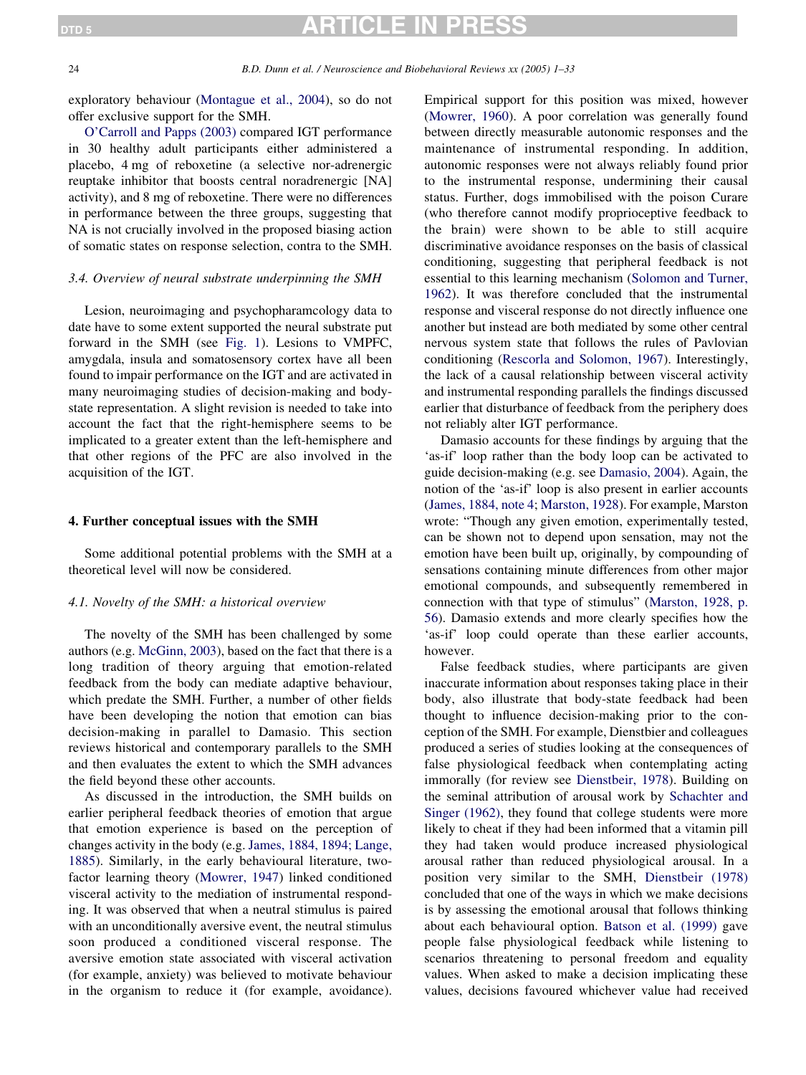exploratory behaviour [\(Montague et al., 2004](#page-31-0)), so do not offer exclusive support for the SMH.

[O'Carroll and Papps \(2003\)](#page-31-0) compared IGT performance in 30 healthy adult participants either administered a placebo, 4 mg of reboxetine (a selective nor-adrenergic reuptake inhibitor that boosts central noradrenergic [NA] activity), and 8 mg of reboxetine. There were no differences in performance between the three groups, suggesting that NA is not crucially involved in the proposed biasing action of somatic states on response selection, contra to the SMH.

#### 3.4. Overview of neural substrate underpinning the SMH

Lesion, neuroimaging and psychopharamcology data to date have to some extent supported the neural substrate put forward in the SMH (see [Fig. 1\)](#page-3-0). Lesions to VMPFC, amygdala, insula and somatosensory cortex have all been found to impair performance on the IGT and are activated in many neuroimaging studies of decision-making and bodystate representation. A slight revision is needed to take into account the fact that the right-hemisphere seems to be implicated to a greater extent than the left-hemisphere and that other regions of the PFC are also involved in the acquisition of the IGT.

#### 4. Further conceptual issues with the SMH

Some additional potential problems with the SMH at a theoretical level will now be considered.

#### 4.1. Novelty of the SMH: a historical overview

The novelty of the SMH has been challenged by some authors (e.g. [McGinn, 2003](#page-31-0)), based on the fact that there is a long tradition of theory arguing that emotion-related feedback from the body can mediate adaptive behaviour, which predate the SMH. Further, a number of other fields have been developing the notion that emotion can bias decision-making in parallel to Damasio. This section reviews historical and contemporary parallels to the SMH and then evaluates the extent to which the SMH advances the field beyond these other accounts.

As discussed in the introduction, the SMH builds on earlier peripheral feedback theories of emotion that argue that emotion experience is based on the perception of changes activity in the body (e.g. [James, 1884, 1894; Lange,](#page-30-0) [1885\)](#page-30-0). Similarly, in the early behavioural literature, twofactor learning theory ([Mowrer, 1947](#page-31-0)) linked conditioned visceral activity to the mediation of instrumental responding. It was observed that when a neutral stimulus is paired with an unconditionally aversive event, the neutral stimulus soon produced a conditioned visceral response. The aversive emotion state associated with visceral activation (for example, anxiety) was believed to motivate behaviour in the organism to reduce it (for example, avoidance).

Empirical support for this position was mixed, however ([Mowrer, 1960\)](#page-31-0). A poor correlation was generally found between directly measurable autonomic responses and the maintenance of instrumental responding. In addition, autonomic responses were not always reliably found prior to the instrumental response, undermining their causal status. Further, dogs immobilised with the poison Curare (who therefore cannot modify proprioceptive feedback to the brain) were shown to be able to still acquire discriminative avoidance responses on the basis of classical conditioning, suggesting that peripheral feedback is not essential to this learning mechanism ([Solomon and Turner,](#page-32-0) [1962\)](#page-32-0). It was therefore concluded that the instrumental response and visceral response do not directly influence one another but instead are both mediated by some other central nervous system state that follows the rules of Pavlovian conditioning [\(Rescorla and Solomon, 1967](#page-31-0)). Interestingly, the lack of a causal relationship between visceral activity and instrumental responding parallels the findings discussed earlier that disturbance of feedback from the periphery does not reliably alter IGT performance.

Damasio accounts for these findings by arguing that the 'as-if' loop rather than the body loop can be activated to guide decision-making (e.g. see [Damasio, 2004](#page-29-0)). Again, the notion of the 'as-if' loop is also present in earlier accounts ([James, 1884, note 4;](#page-30-0) [Marston, 1928](#page-31-0)). For example, Marston wrote: "Though any given emotion, experimentally tested, can be shown not to depend upon sensation, may not the emotion have been built up, originally, by compounding of sensations containing minute differences from other major emotional compounds, and subsequently remembered in connection with that type of stimulus" ([Marston, 1928, p.](#page-31-0) [56\)](#page-31-0). Damasio extends and more clearly specifies how the 'as-if' loop could operate than these earlier accounts, however.

False feedback studies, where participants are given inaccurate information about responses taking place in their body, also illustrate that body-state feedback had been thought to influence decision-making prior to the conception of the SMH. For example, Dienstbier and colleagues produced a series of studies looking at the consequences of false physiological feedback when contemplating acting immorally (for review see [Dienstbeir, 1978](#page-29-0)). Building on the seminal attribution of arousal work by [Schachter and](#page-31-0) [Singer \(1962\),](#page-31-0) they found that college students were more likely to cheat if they had been informed that a vitamin pill they had taken would produce increased physiological arousal rather than reduced physiological arousal. In a position very similar to the SMH, [Dienstbeir \(1978\)](#page-29-0) concluded that one of the ways in which we make decisions is by assessing the emotional arousal that follows thinking about each behavioural option. [Batson et al. \(1999\)](#page-27-0) gave people false physiological feedback while listening to scenarios threatening to personal freedom and equality values. When asked to make a decision implicating these values, decisions favoured whichever value had received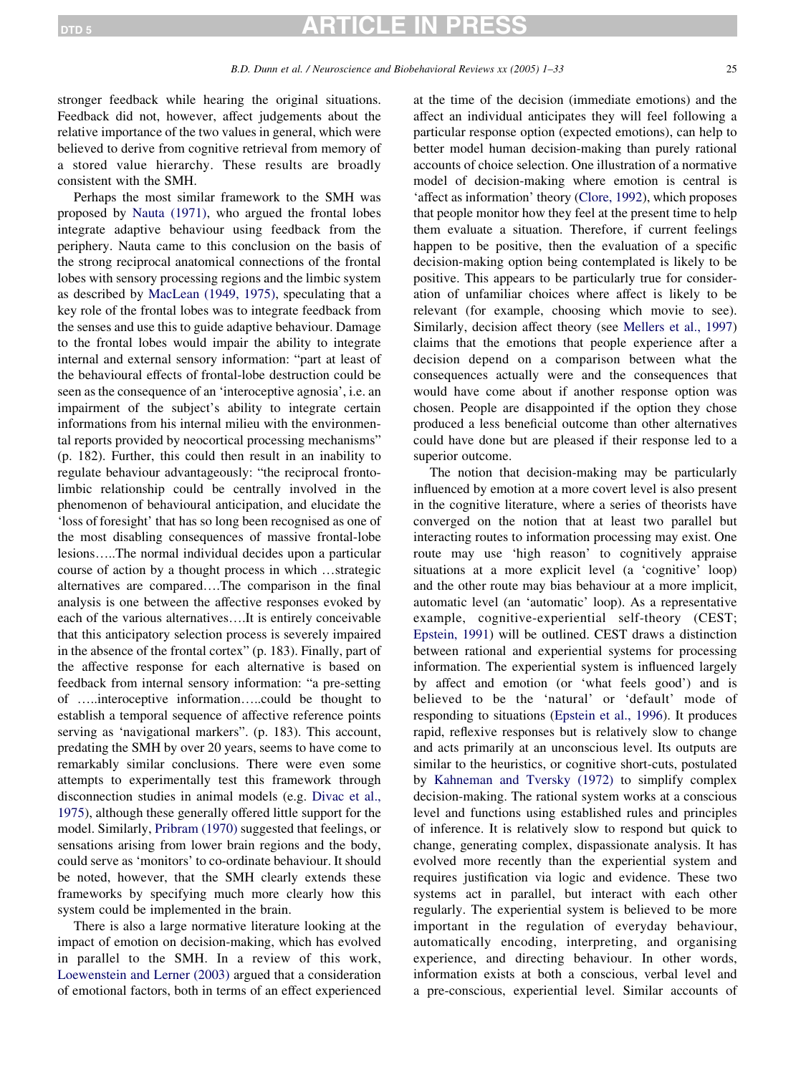stronger feedback while hearing the original situations. Feedback did not, however, affect judgements about the relative importance of the two values in general, which were believed to derive from cognitive retrieval from memory of a stored value hierarchy. These results are broadly consistent with the SMH.

Perhaps the most similar framework to the SMH was proposed by [Nauta \(1971\),](#page-31-0) who argued the frontal lobes integrate adaptive behaviour using feedback from the periphery. Nauta came to this conclusion on the basis of the strong reciprocal anatomical connections of the frontal lobes with sensory processing regions and the limbic system as described by [MacLean \(1949, 1975\),](#page-30-0) speculating that a key role of the frontal lobes was to integrate feedback from the senses and use this to guide adaptive behaviour. Damage to the frontal lobes would impair the ability to integrate internal and external sensory information: "part at least of the behavioural effects of frontal-lobe destruction could be seen as the consequence of an 'interoceptive agnosia', i.e. an impairment of the subject's ability to integrate certain informations from his internal milieu with the environmental reports provided by neocortical processing mechanisms" (p. 182). Further, this could then result in an inability to regulate behaviour advantageously: "the reciprocal frontolimbic relationship could be centrally involved in the phenomenon of behavioural anticipation, and elucidate the 'loss of foresight' that has so long been recognised as one of the most disabling consequences of massive frontal-lobe lesions...The normal individual decides upon a particular course of action by a thought process in which ...strategic alternatives are compared....The comparison in the final analysis is one between the affective responses evoked by each of the various alternatives....It is entirely conceivable that this anticipatory selection process is severely impaired in the absence of the frontal cortex" (p. 183). Finally, part of the affective response for each alternative is based on feedback from internal sensory information: "a pre-setting of ...interoceptive information...could be thought to establish a temporal sequence of affective reference points serving as 'navigational markers". (p. 183). This account, predating the SMH by over 20 years, seems to have come to remarkably similar conclusions. There were even some attempts to experimentally test this framework through disconnection studies in animal models (e.g. [Divac et al.,](#page-29-0) [1975](#page-29-0)), although these generally offered little support for the model. Similarly, [Pribram \(1970\)](#page-31-0) suggested that feelings, or sensations arising from lower brain regions and the body, could serve as 'monitors' to co-ordinate behaviour. It should be noted, however, that the SMH clearly extends these frameworks by specifying much more clearly how this system could be implemented in the brain.

There is also a large normative literature looking at the impact of emotion on decision-making, which has evolved in parallel to the SMH. In a review of this work, [Loewenstein and Lerner \(2003\)](#page-30-0) argued that a consideration of emotional factors, both in terms of an effect experienced at the time of the decision (immediate emotions) and the affect an individual anticipates they will feel following a particular response option (expected emotions), can help to better model human decision-making than purely rational accounts of choice selection. One illustration of a normative model of decision-making where emotion is central is 'affect as information' theory ([Clore, 1992\)](#page-28-0), which proposes that people monitor how they feel at the present time to help them evaluate a situation. Therefore, if current feelings happen to be positive, then the evaluation of a specific decision-making option being contemplated is likely to be positive. This appears to be particularly true for consideration of unfamiliar choices where affect is likely to be relevant (for example, choosing which movie to see). Similarly, decision affect theory (see [Mellers et al., 1997](#page-31-0)) claims that the emotions that people experience after a decision depend on a comparison between what the consequences actually were and the consequences that would have come about if another response option was chosen. People are disappointed if the option they chose produced a less beneficial outcome than other alternatives could have done but are pleased if their response led to a superior outcome.

The notion that decision-making may be particularly influenced by emotion at a more covert level is also present in the cognitive literature, where a series of theorists have converged on the notion that at least two parallel but interacting routes to information processing may exist. One route may use 'high reason' to cognitively appraise situations at a more explicit level (a 'cognitive' loop) and the other route may bias behaviour at a more implicit, automatic level (an 'automatic' loop). As a representative example, cognitive-experiential self-theory (CEST; [Epstein, 1991\)](#page-29-0) will be outlined. CEST draws a distinction between rational and experiential systems for processing information. The experiential system is influenced largely by affect and emotion (or 'what feels good') and is believed to be the 'natural' or 'default' mode of responding to situations ([Epstein et al., 1996\)](#page-29-0). It produces rapid, reflexive responses but is relatively slow to change and acts primarily at an unconscious level. Its outputs are similar to the heuristics, or cognitive short-cuts, postulated by [Kahneman and Tversky \(1972\)](#page-30-0) to simplify complex decision-making. The rational system works at a conscious level and functions using established rules and principles of inference. It is relatively slow to respond but quick to change, generating complex, dispassionate analysis. It has evolved more recently than the experiential system and requires justification via logic and evidence. These two systems act in parallel, but interact with each other regularly. The experiential system is believed to be more important in the regulation of everyday behaviour, automatically encoding, interpreting, and organising experience, and directing behaviour. In other words, information exists at both a conscious, verbal level and a pre-conscious, experiential level. Similar accounts of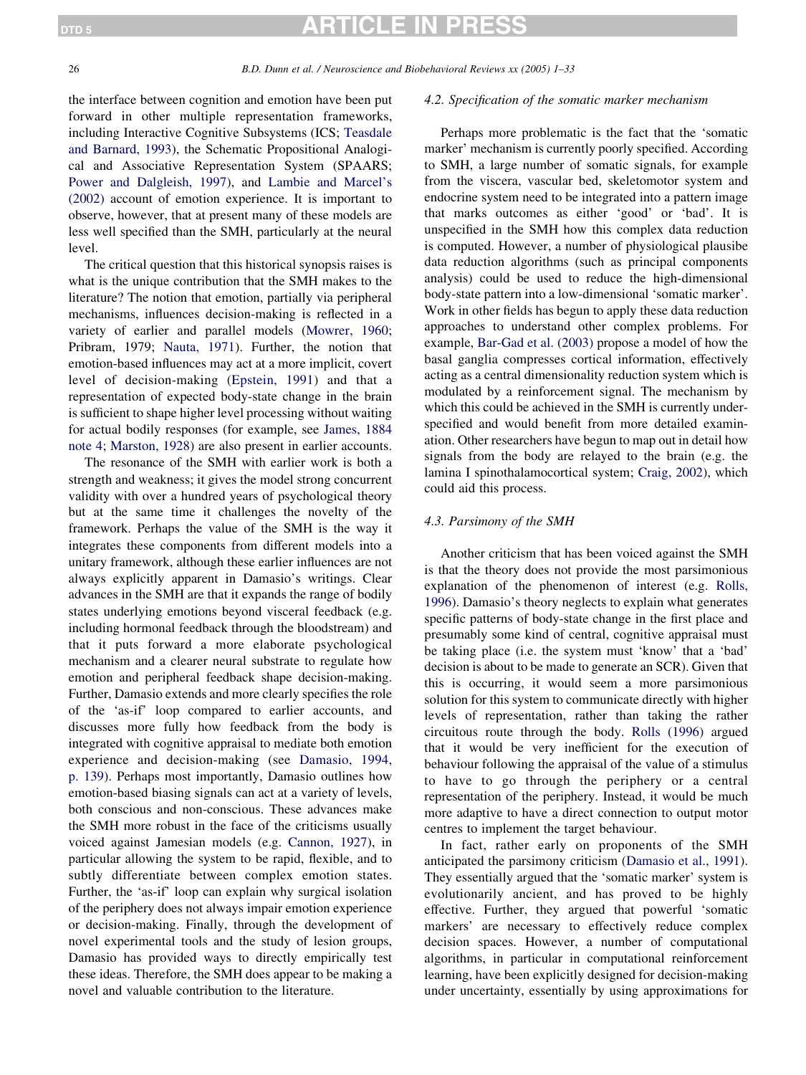the interface between cognition and emotion have been put forward in other multiple representation frameworks, including Interactive Cognitive Subsystems (ICS; [Teasdale](#page-32-0) [and Barnard, 1993\)](#page-32-0), the Schematic Propositional Analogical and Associative Representation System (SPAARS; [Power and Dalgleish, 1997](#page-31-0)), and [Lambie and Marcel's](#page-30-0) [\(2002\)](#page-30-0) account of emotion experience. It is important to observe, however, that at present many of these models are less well specified than the SMH, particularly at the neural level.

The critical question that this historical synopsis raises is what is the unique contribution that the SMH makes to the literature? The notion that emotion, partially via peripheral mechanisms, influences decision-making is reflected in a variety of earlier and parallel models [\(Mowrer, 1960;](#page-31-0) Pribram, 1979; [Nauta, 1971\)](#page-31-0). Further, the notion that emotion-based influences may act at a more implicit, covert level of decision-making [\(Epstein, 1991\)](#page-29-0) and that a representation of expected body-state change in the brain is sufficient to shape higher level processing without waiting for actual bodily responses (for example, see [James, 1884](#page-30-0) [note 4;](#page-30-0) [Marston, 1928](#page-31-0)) are also present in earlier accounts.

The resonance of the SMH with earlier work is both a strength and weakness; it gives the model strong concurrent validity with over a hundred years of psychological theory but at the same time it challenges the novelty of the framework. Perhaps the value of the SMH is the way it integrates these components from different models into a unitary framework, although these earlier influences are not always explicitly apparent in Damasio's writings. Clear advances in the SMH are that it expands the range of bodily states underlying emotions beyond visceral feedback (e.g. including hormonal feedback through the bloodstream) and that it puts forward a more elaborate psychological mechanism and a clearer neural substrate to regulate how emotion and peripheral feedback shape decision-making. Further, Damasio extends and more clearly specifies the role of the 'as-if' loop compared to earlier accounts, and discusses more fully how feedback from the body is integrated with cognitive appraisal to mediate both emotion experience and decision-making (see [Damasio, 1994,](#page-29-0) [p. 139\)](#page-29-0). Perhaps most importantly, Damasio outlines how emotion-based biasing signals can act at a variety of levels, both conscious and non-conscious. These advances make the SMH more robust in the face of the criticisms usually voiced against Jamesian models (e.g. [Cannon, 1927](#page-28-0)), in particular allowing the system to be rapid, flexible, and to subtly differentiate between complex emotion states. Further, the 'as-if' loop can explain why surgical isolation of the periphery does not always impair emotion experience or decision-making. Finally, through the development of novel experimental tools and the study of lesion groups, Damasio has provided ways to directly empirically test these ideas. Therefore, the SMH does appear to be making a novel and valuable contribution to the literature.

#### 4.2. Specification of the somatic marker mechanism

Perhaps more problematic is the fact that the 'somatic marker' mechanism is currently poorly specified. According to SMH, a large number of somatic signals, for example from the viscera, vascular bed, skeletomotor system and endocrine system need to be integrated into a pattern image that marks outcomes as either 'good' or 'bad'. It is unspecified in the SMH how this complex data reduction is computed. However, a number of physiological plausibe data reduction algorithms (such as principal components analysis) could be used to reduce the high-dimensional body-state pattern into a low-dimensional 'somatic marker'. Work in other fields has begun to apply these data reduction approaches to understand other complex problems. For example, [Bar-Gad et al. \(2003\)](#page-27-0) propose a model of how the basal ganglia compresses cortical information, effectively acting as a central dimensionality reduction system which is modulated by a reinforcement signal. The mechanism by which this could be achieved in the SMH is currently underspecified and would benefit from more detailed examination. Other researchers have begun to map out in detail how signals from the body are relayed to the brain (e.g. the lamina I spinothalamocortical system; [Craig, 2002](#page-29-0)), which could aid this process.

#### 4.3. Parsimony of the SMH

Another criticism that has been voiced against the SMH is that the theory does not provide the most parsimonious explanation of the phenomenon of interest (e.g. [Rolls,](#page-31-0) [1996\)](#page-31-0). Damasio's theory neglects to explain what generates specific patterns of body-state change in the first place and presumably some kind of central, cognitive appraisal must be taking place (i.e. the system must 'know' that a 'bad' decision is about to be made to generate an SCR). Given that this is occurring, it would seem a more parsimonious solution for this system to communicate directly with higher levels of representation, rather than taking the rather circuitous route through the body. [Rolls \(1996\)](#page-31-0) argued that it would be very inefficient for the execution of behaviour following the appraisal of the value of a stimulus to have to go through the periphery or a central representation of the periphery. Instead, it would be much more adaptive to have a direct connection to output motor centres to implement the target behaviour.

In fact, rather early on proponents of the SMH anticipated the parsimony criticism ([Damasio et al., 1991\)](#page-29-0). They essentially argued that the 'somatic marker' system is evolutionarily ancient, and has proved to be highly effective. Further, they argued that powerful 'somatic markers' are necessary to effectively reduce complex decision spaces. However, a number of computational algorithms, in particular in computational reinforcement learning, have been explicitly designed for decision-making under uncertainty, essentially by using approximations for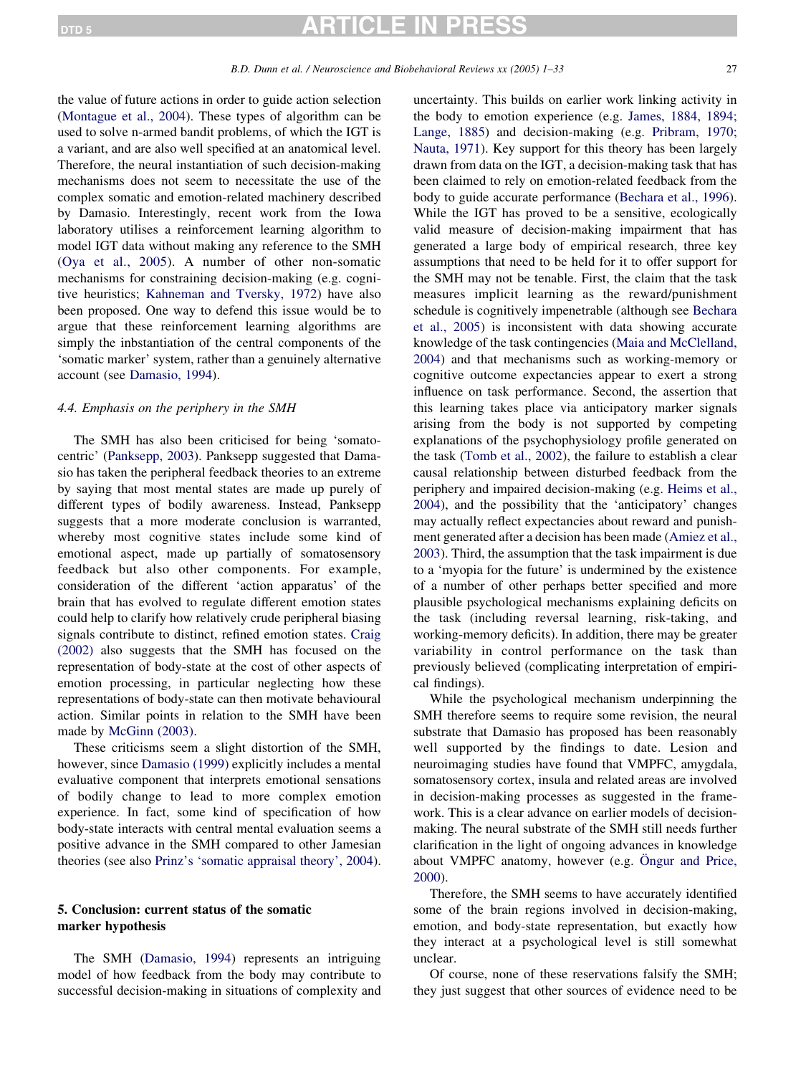the value of future actions in order to guide action selection ([Montague et al., 2004](#page-31-0)). These types of algorithm can be used to solve n-armed bandit problems, of which the IGT is a variant, and are also well specified at an anatomical level. Therefore, the neural instantiation of such decision-making mechanisms does not seem to necessitate the use of the complex somatic and emotion-related machinery described by Damasio. Interestingly, recent work from the Iowa laboratory utilises a reinforcement learning algorithm to model IGT data without making any reference to the SMH ([Oya et al., 2005](#page-31-0)). A number of other non-somatic mechanisms for constraining decision-making (e.g. cognitive heuristics; [Kahneman and Tversky, 1972](#page-30-0)) have also been proposed. One way to defend this issue would be to argue that these reinforcement learning algorithms are simply the inbstantiation of the central components of the 'somatic marker' system, rather than a genuinely alternative account (see [Damasio, 1994\)](#page-29-0).

#### 4.4. Emphasis on the periphery in the SMH

The SMH has also been criticised for being 'somatocentric' ([Panksepp, 2003](#page-31-0)). Panksepp suggested that Damasio has taken the peripheral feedback theories to an extreme by saying that most mental states are made up purely of different types of bodily awareness. Instead, Panksepp suggests that a more moderate conclusion is warranted, whereby most cognitive states include some kind of emotional aspect, made up partially of somatosensory feedback but also other components. For example, consideration of the different 'action apparatus' of the brain that has evolved to regulate different emotion states could help to clarify how relatively crude peripheral biasing signals contribute to distinct, refined emotion states. [Craig](#page-29-0) [\(2002\)](#page-29-0) also suggests that the SMH has focused on the representation of body-state at the cost of other aspects of emotion processing, in particular neglecting how these representations of body-state can then motivate behavioural action. Similar points in relation to the SMH have been made by [McGinn \(2003\)](#page-31-0).

These criticisms seem a slight distortion of the SMH, however, since [Damasio \(1999\)](#page-29-0) explicitly includes a mental evaluative component that interprets emotional sensations of bodily change to lead to more complex emotion experience. In fact, some kind of specification of how body-state interacts with central mental evaluation seems a positive advance in the SMH compared to other Jamesian theories (see also [Prinz's 'somatic appraisal theory', 2004\)](#page-31-0).

### 5. Conclusion: current status of the somatic marker hypothesis

The SMH ([Damasio, 1994\)](#page-29-0) represents an intriguing model of how feedback from the body may contribute to successful decision-making in situations of complexity and uncertainty. This builds on earlier work linking activity in the body to emotion experience (e.g. [James, 1884, 1894;](#page-30-0) [Lange, 1885](#page-30-0)) and decision-making (e.g. [Pribram, 1970;](#page-31-0) [Nauta, 1971](#page-31-0)). Key support for this theory has been largely drawn from data on the IGT, a decision-making task that has been claimed to rely on emotion-related feedback from the body to guide accurate performance ([Bechara et al., 1996\)](#page-28-0). While the IGT has proved to be a sensitive, ecologically valid measure of decision-making impairment that has generated a large body of empirical research, three key assumptions that need to be held for it to offer support for the SMH may not be tenable. First, the claim that the task measures implicit learning as the reward/punishment schedule is cognitively impenetrable (although see [Bechara](#page-28-0) [et al., 2005](#page-28-0)) is inconsistent with data showing accurate knowledge of the task contingencies [\(Maia and McClelland,](#page-30-0) [2004](#page-30-0)) and that mechanisms such as working-memory or cognitive outcome expectancies appear to exert a strong influence on task performance. Second, the assertion that this learning takes place via anticipatory marker signals arising from the body is not supported by competing explanations of the psychophysiology profile generated on the task [\(Tomb et al., 2002\)](#page-32-0), the failure to establish a clear causal relationship between disturbed feedback from the periphery and impaired decision-making (e.g. [Heims et al.,](#page-30-0) [2004](#page-30-0)), and the possibility that the 'anticipatory' changes may actually reflect expectancies about reward and punishment generated after a decision has been made [\(Amiez et al.,](#page-27-0) [2003](#page-27-0)). Third, the assumption that the task impairment is due to a 'myopia for the future' is undermined by the existence of a number of other perhaps better specified and more plausible psychological mechanisms explaining deficits on the task (including reversal learning, risk-taking, and working-memory deficits). In addition, there may be greater variability in control performance on the task than previously believed (complicating interpretation of empirical findings).

While the psychological mechanism underpinning the SMH therefore seems to require some revision, the neural substrate that Damasio has proposed has been reasonably well supported by the findings to date. Lesion and neuroimaging studies have found that VMPFC, amygdala, somatosensory cortex, insula and related areas are involved in decision-making processes as suggested in the framework. This is a clear advance on earlier models of decisionmaking. The neural substrate of the SMH still needs further clarification in the light of ongoing advances in knowledge about VMPFC anatomy, however (e.g. Ö[ngur and Price,](#page-31-0) [2000](#page-31-0)).

Therefore, the SMH seems to have accurately identified some of the brain regions involved in decision-making, emotion, and body-state representation, but exactly how they interact at a psychological level is still somewhat unclear.

Of course, none of these reservations falsify the SMH; they just suggest that other sources of evidence need to be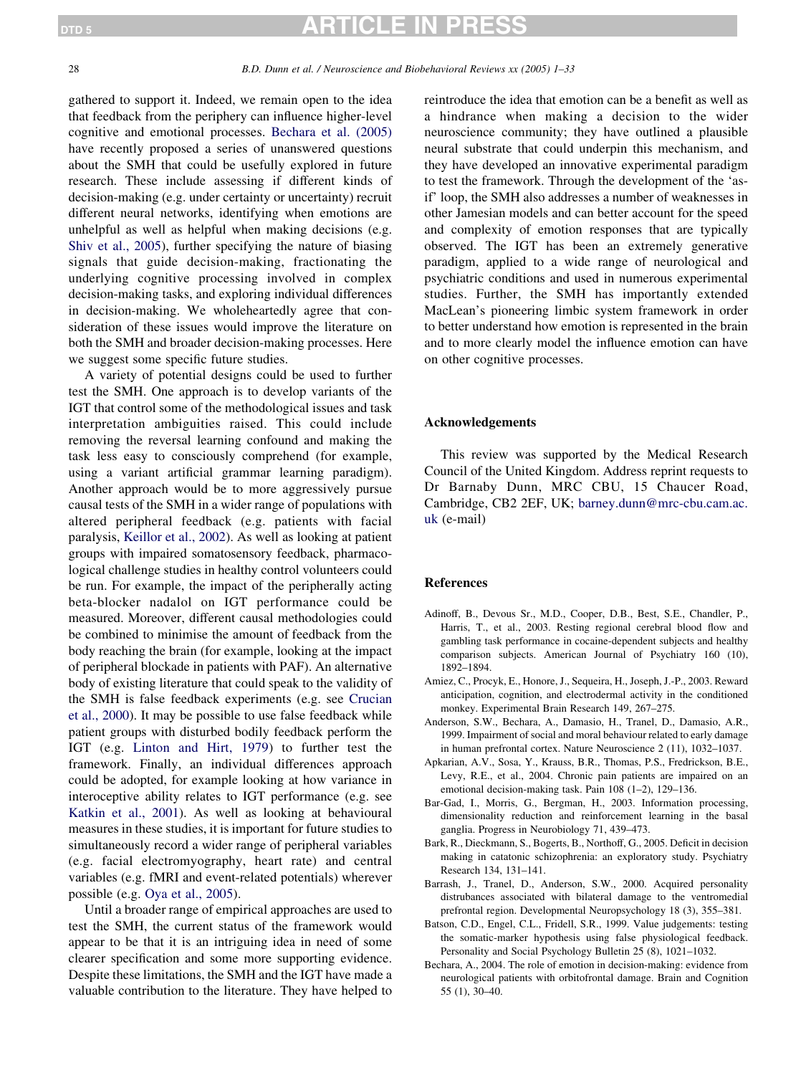<span id="page-27-0"></span>gathered to support it. Indeed, we remain open to the idea that feedback from the periphery can influence higher-level cognitive and emotional processes. [Bechara et al. \(2005\)](#page-28-0) have recently proposed a series of unanswered questions about the SMH that could be usefully explored in future research. These include assessing if different kinds of decision-making (e.g. under certainty or uncertainty) recruit different neural networks, identifying when emotions are unhelpful as well as helpful when making decisions (e.g. [Shiv et al., 2005](#page-32-0)), further specifying the nature of biasing signals that guide decision-making, fractionating the underlying cognitive processing involved in complex decision-making tasks, and exploring individual differences in decision-making. We wholeheartedly agree that consideration of these issues would improve the literature on both the SMH and broader decision-making processes. Here we suggest some specific future studies.

A variety of potential designs could be used to further test the SMH. One approach is to develop variants of the IGT that control some of the methodological issues and task interpretation ambiguities raised. This could include removing the reversal learning confound and making the task less easy to consciously comprehend (for example, using a variant artificial grammar learning paradigm). Another approach would be to more aggressively pursue causal tests of the SMH in a wider range of populations with altered peripheral feedback (e.g. patients with facial paralysis, [Keillor et al., 2002\)](#page-30-0). As well as looking at patient groups with impaired somatosensory feedback, pharmacological challenge studies in healthy control volunteers could be run. For example, the impact of the peripherally acting beta-blocker nadalol on IGT performance could be measured. Moreover, different causal methodologies could be combined to minimise the amount of feedback from the body reaching the brain (for example, looking at the impact of peripheral blockade in patients with PAF). An alternative body of existing literature that could speak to the validity of the SMH is false feedback experiments (e.g. see [Crucian](#page-29-0) [et al., 2000\)](#page-29-0). It may be possible to use false feedback while patient groups with disturbed bodily feedback perform the IGT (e.g. [Linton and Hirt, 1979\)](#page-30-0) to further test the framework. Finally, an individual differences approach could be adopted, for example looking at how variance in interoceptive ability relates to IGT performance (e.g. see [Katkin et al., 2001](#page-30-0)). As well as looking at behavioural measures in these studies, it is important for future studies to simultaneously record a wider range of peripheral variables (e.g. facial electromyography, heart rate) and central variables (e.g. fMRI and event-related potentials) wherever possible (e.g. [Oya et al., 2005](#page-31-0)).

Until a broader range of empirical approaches are used to test the SMH, the current status of the framework would appear to be that it is an intriguing idea in need of some clearer specification and some more supporting evidence. Despite these limitations, the SMH and the IGT have made a valuable contribution to the literature. They have helped to

reintroduce the idea that emotion can be a benefit as well as a hindrance when making a decision to the wider neuroscience community; they have outlined a plausible neural substrate that could underpin this mechanism, and they have developed an innovative experimental paradigm to test the framework. Through the development of the 'asif' loop, the SMH also addresses a number of weaknesses in other Jamesian models and can better account for the speed and complexity of emotion responses that are typically observed. The IGT has been an extremely generative paradigm, applied to a wide range of neurological and psychiatric conditions and used in numerous experimental studies. Further, the SMH has importantly extended MacLean's pioneering limbic system framework in order to better understand how emotion is represented in the brain and to more clearly model the influence emotion can have on other cognitive processes.

#### Acknowledgements

This review was supported by the Medical Research Council of the United Kingdom. Address reprint requests to Dr Barnaby Dunn, MRC CBU, 15 Chaucer Road, Cambridge, CB2 2EF, UK; [barney.dunn@mrc-cbu.cam.ac.](mailto:barney.dunn@mrc-cbu.cam.ac.uk) [uk](mailto:barney.dunn@mrc-cbu.cam.ac.uk) (e-mail)

#### References

- Adinoff, B., Devous Sr., M.D., Cooper, D.B., Best, S.E., Chandler, P., Harris, T., et al., 2003. Resting regional cerebral blood flow and gambling task performance in cocaine-dependent subjects and healthy comparison subjects. American Journal of Psychiatry 160 (10), 1892–1894.
- Amiez, C., Procyk, E., Honore, J., Sequeira, H., Joseph, J.-P., 2003. Reward anticipation, cognition, and electrodermal activity in the conditioned monkey. Experimental Brain Research 149, 267–275.
- Anderson, S.W., Bechara, A., Damasio, H., Tranel, D., Damasio, A.R., 1999. Impairment of social and moral behaviour related to early damage in human prefrontal cortex. Nature Neuroscience 2 (11), 1032–1037.
- Apkarian, A.V., Sosa, Y., Krauss, B.R., Thomas, P.S., Fredrickson, B.E., Levy, R.E., et al., 2004. Chronic pain patients are impaired on an emotional decision-making task. Pain 108 (1–2), 129–136.
- Bar-Gad, I., Morris, G., Bergman, H., 2003. Information processing, dimensionality reduction and reinforcement learning in the basal ganglia. Progress in Neurobiology 71, 439–473.
- Bark, R., Dieckmann, S., Bogerts, B., Northoff, G., 2005. Deficit in decision making in catatonic schizophrenia: an exploratory study. Psychiatry Research 134, 131–141.
- Barrash, J., Tranel, D., Anderson, S.W., 2000. Acquired personality distrubances associated with bilateral damage to the ventromedial prefrontal region. Developmental Neuropsychology 18 (3), 355–381.
- Batson, C.D., Engel, C.L., Fridell, S.R., 1999. Value judgements: testing the somatic-marker hypothesis using false physiological feedback. Personality and Social Psychology Bulletin 25 (8), 1021–1032.
- Bechara, A., 2004. The role of emotion in decision-making: evidence from neurological patients with orbitofrontal damage. Brain and Cognition 55 (1), 30–40.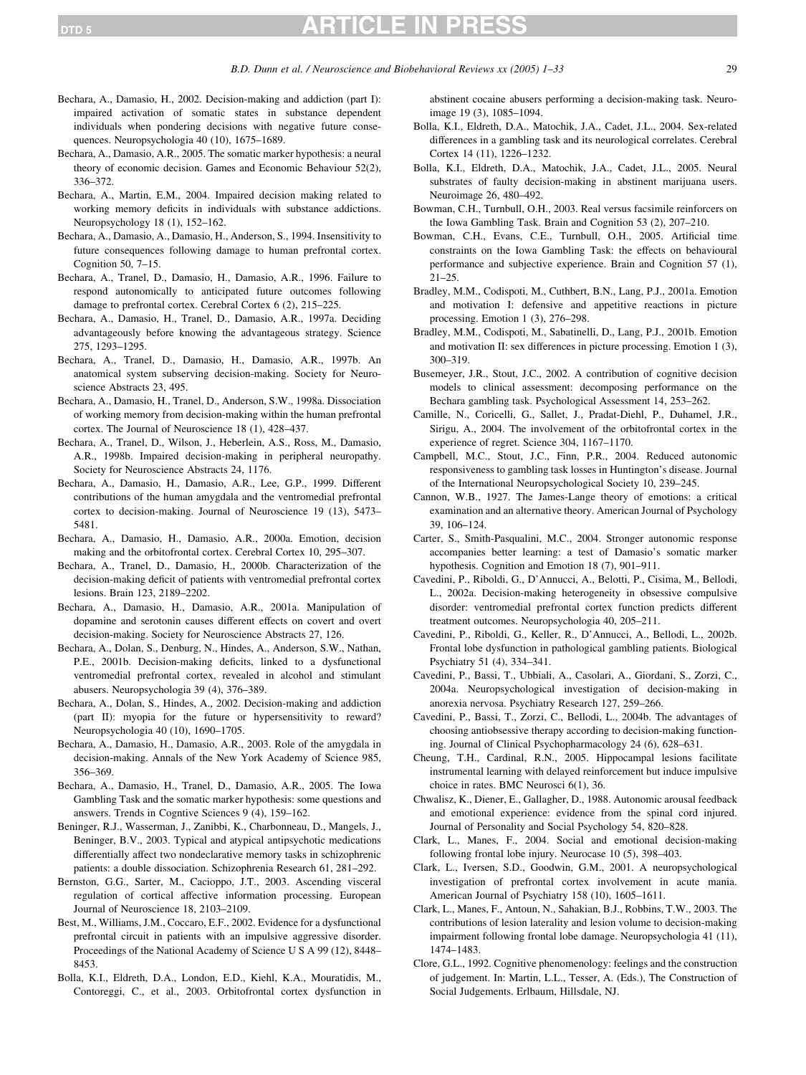- <span id="page-28-0"></span>Bechara, A., Damasio, H., 2002. Decision-making and addiction (part I): impaired activation of somatic states in substance dependent individuals when pondering decisions with negative future consequences. Neuropsychologia 40 (10), 1675–1689.
- Bechara, A., Damasio, A.R., 2005. The somatic marker hypothesis: a neural theory of economic decision. Games and Economic Behaviour 52(2), 336–372.
- Bechara, A., Martin, E.M., 2004. Impaired decision making related to working memory deficits in individuals with substance addictions. Neuropsychology 18 (1), 152–162.
- Bechara, A., Damasio, A., Damasio, H., Anderson, S., 1994. Insensitivity to future consequences following damage to human prefrontal cortex. Cognition 50, 7–15.
- Bechara, A., Tranel, D., Damasio, H., Damasio, A.R., 1996. Failure to respond autonomically to anticipated future outcomes following damage to prefrontal cortex. Cerebral Cortex 6 (2), 215–225.
- Bechara, A., Damasio, H., Tranel, D., Damasio, A.R., 1997a. Deciding advantageously before knowing the advantageous strategy. Science 275, 1293–1295.
- Bechara, A., Tranel, D., Damasio, H., Damasio, A.R., 1997b. An anatomical system subserving decision-making. Society for Neuroscience Abstracts 23, 495.
- Bechara, A., Damasio, H., Tranel, D., Anderson, S.W., 1998a. Dissociation of working memory from decision-making within the human prefrontal cortex. The Journal of Neuroscience 18 (1), 428–437.
- Bechara, A., Tranel, D., Wilson, J., Heberlein, A.S., Ross, M., Damasio, A.R., 1998b. Impaired decision-making in peripheral neuropathy. Society for Neuroscience Abstracts 24, 1176.
- Bechara, A., Damasio, H., Damasio, A.R., Lee, G.P., 1999. Different contributions of the human amygdala and the ventromedial prefrontal cortex to decision-making. Journal of Neuroscience 19 (13), 5473– 5481.
- Bechara, A., Damasio, H., Damasio, A.R., 2000a. Emotion, decision making and the orbitofrontal cortex. Cerebral Cortex 10, 295–307.
- Bechara, A., Tranel, D., Damasio, H., 2000b. Characterization of the decision-making deficit of patients with ventromedial prefrontal cortex lesions. Brain 123, 2189–2202.
- Bechara, A., Damasio, H., Damasio, A.R., 2001a. Manipulation of dopamine and serotonin causes different effects on covert and overt decision-making. Society for Neuroscience Abstracts 27, 126.
- Bechara, A., Dolan, S., Denburg, N., Hindes, A., Anderson, S.W., Nathan, P.E., 2001b. Decision-making deficits, linked to a dysfunctional ventromedial prefrontal cortex, revealed in alcohol and stimulant abusers. Neuropsychologia 39 (4), 376–389.
- Bechara, A., Dolan, S., Hindes, A., 2002. Decision-making and addiction (part II): myopia for the future or hypersensitivity to reward? Neuropsychologia 40 (10), 1690–1705.
- Bechara, A., Damasio, H., Damasio, A.R., 2003. Role of the amygdala in decision-making. Annals of the New York Academy of Science 985, 356–369.
- Bechara, A., Damasio, H., Tranel, D., Damasio, A.R., 2005. The Iowa Gambling Task and the somatic marker hypothesis: some questions and answers. Trends in Cogntive Sciences 9 (4), 159–162.
- Beninger, R.J., Wasserman, J., Zanibbi, K., Charbonneau, D., Mangels, J., Beninger, B.V., 2003. Typical and atypical antipsychotic medications differentially affect two nondeclarative memory tasks in schizophrenic patients: a double dissociation. Schizophrenia Research 61, 281–292.
- Bernston, G.G., Sarter, M., Cacioppo, J.T., 2003. Ascending visceral regulation of cortical affective information processing. European Journal of Neuroscience 18, 2103–2109.
- Best, M., Williams, J.M., Coccaro, E.F., 2002. Evidence for a dysfunctional prefrontal circuit in patients with an impulsive aggressive disorder. Proceedings of the National Academy of Science U S A 99 (12), 8448– 8453.
- Bolla, K.I., Eldreth, D.A., London, E.D., Kiehl, K.A., Mouratidis, M., Contoreggi, C., et al., 2003. Orbitofrontal cortex dysfunction in

abstinent cocaine abusers performing a decision-making task. Neuroimage 19 (3), 1085–1094.

- Bolla, K.I., Eldreth, D.A., Matochik, J.A., Cadet, J.L., 2004. Sex-related differences in a gambling task and its neurological correlates. Cerebral Cortex 14 (11), 1226–1232.
- Bolla, K.I., Eldreth, D.A., Matochik, J.A., Cadet, J.L., 2005. Neural substrates of faulty decision-making in abstinent marijuana users. Neuroimage 26, 480–492.
- Bowman, C.H., Turnbull, O.H., 2003. Real versus facsimile reinforcers on the Iowa Gambling Task. Brain and Cognition 53 (2), 207–210.
- Bowman, C.H., Evans, C.E., Turnbull, O.H., 2005. Artificial time constraints on the Iowa Gambling Task: the effects on behavioural performance and subjective experience. Brain and Cognition 57 (1), 21–25.
- Bradley, M.M., Codispoti, M., Cuthbert, B.N., Lang, P.J., 2001a. Emotion and motivation I: defensive and appetitive reactions in picture processing. Emotion 1 (3), 276–298.
- Bradley, M.M., Codispoti, M., Sabatinelli, D., Lang, P.J., 2001b. Emotion and motivation II: sex differences in picture processing. Emotion 1 (3), 300–319.
- Busemeyer, J.R., Stout, J.C., 2002. A contribution of cognitive decision models to clinical assessment: decomposing performance on the Bechara gambling task. Psychological Assessment 14, 253–262.
- Camille, N., Coricelli, G., Sallet, J., Pradat-Diehl, P., Duhamel, J.R., Sirigu, A., 2004. The involvement of the orbitofrontal cortex in the experience of regret. Science 304, 1167–1170.
- Campbell, M.C., Stout, J.C., Finn, P.R., 2004. Reduced autonomic responsiveness to gambling task losses in Huntington's disease. Journal of the International Neuropsychological Society 10, 239–245.
- Cannon, W.B., 1927. The James-Lange theory of emotions: a critical examination and an alternative theory. American Journal of Psychology 39, 106–124.
- Carter, S., Smith-Pasqualini, M.C., 2004. Stronger autonomic response accompanies better learning: a test of Damasio's somatic marker hypothesis. Cognition and Emotion 18 (7), 901–911.
- Cavedini, P., Riboldi, G., D'Annucci, A., Belotti, P., Cisima, M., Bellodi, L., 2002a. Decision-making heterogeneity in obsessive compulsive disorder: ventromedial prefrontal cortex function predicts different treatment outcomes. Neuropsychologia 40, 205–211.
- Cavedini, P., Riboldi, G., Keller, R., D'Annucci, A., Bellodi, L., 2002b. Frontal lobe dysfunction in pathological gambling patients. Biological Psychiatry 51 (4), 334–341.
- Cavedini, P., Bassi, T., Ubbiali, A., Casolari, A., Giordani, S., Zorzi, C., 2004a. Neuropsychological investigation of decision-making in anorexia nervosa. Psychiatry Research 127, 259–266.
- Cavedini, P., Bassi, T., Zorzi, C., Bellodi, L., 2004b. The advantages of choosing antiobsessive therapy according to decision-making functioning. Journal of Clinical Psychopharmacology 24 (6), 628–631.
- Cheung, T.H., Cardinal, R.N., 2005. Hippocampal lesions facilitate instrumental learning with delayed reinforcement but induce impulsive choice in rates. BMC Neurosci 6(1), 36.
- Chwalisz, K., Diener, E., Gallagher, D., 1988. Autonomic arousal feedback and emotional experience: evidence from the spinal cord injured. Journal of Personality and Social Psychology 54, 820–828.
- Clark, L., Manes, F., 2004. Social and emotional decision-making following frontal lobe injury. Neurocase 10 (5), 398–403.
- Clark, L., Iversen, S.D., Goodwin, G.M., 2001. A neuropsychological investigation of prefrontal cortex involvement in acute mania. American Journal of Psychiatry 158 (10), 1605–1611.
- Clark, L., Manes, F., Antoun, N., Sahakian, B.J., Robbins, T.W., 2003. The contributions of lesion laterality and lesion volume to decision-making impairment following frontal lobe damage. Neuropsychologia 41 (11), 1474–1483.
- Clore, G.L., 1992. Cognitive phenomenology: feelings and the construction of judgement. In: Martin, L.L., Tesser, A. (Eds.), The Construction of Social Judgements. Erlbaum, Hillsdale, NJ.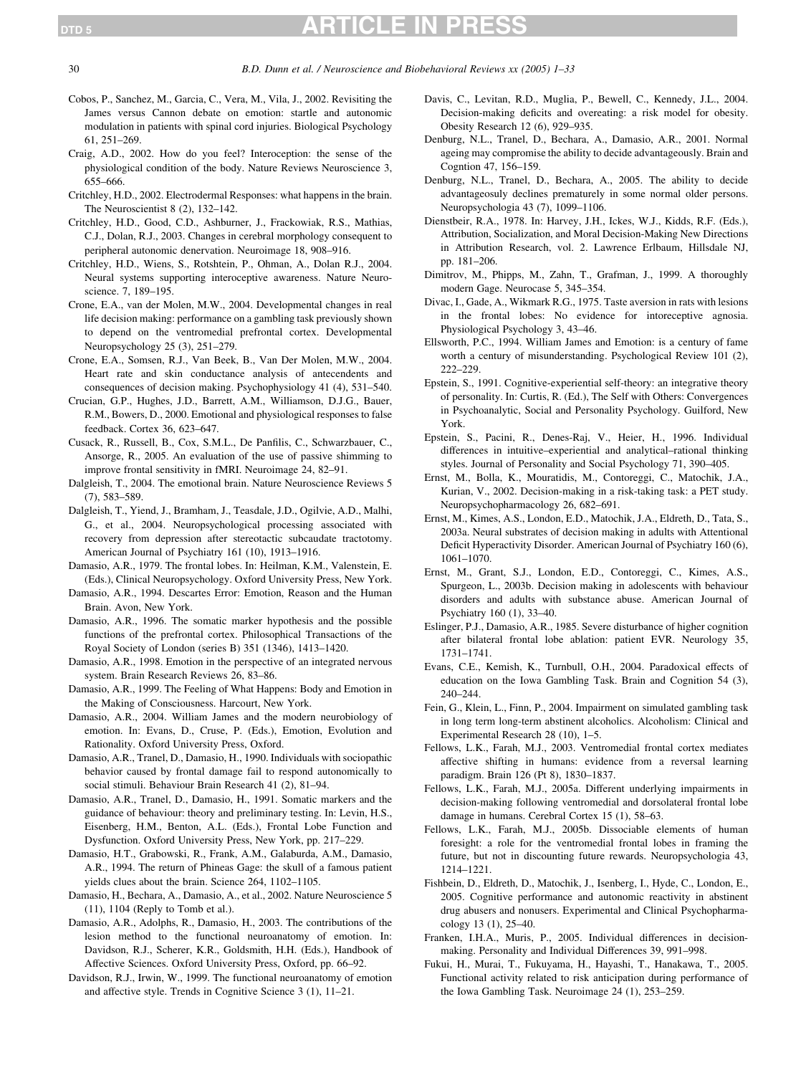- <span id="page-29-0"></span>Cobos, P., Sanchez, M., Garcia, C., Vera, M., Vila, J., 2002. Revisiting the James versus Cannon debate on emotion: startle and autonomic modulation in patients with spinal cord injuries. Biological Psychology 61, 251–269.
- Craig, A.D., 2002. How do you feel? Interoception: the sense of the physiological condition of the body. Nature Reviews Neuroscience 3, 655–666.
- Critchley, H.D., 2002. Electrodermal Responses: what happens in the brain. The Neuroscientist 8 (2), 132–142.
- Critchley, H.D., Good, C.D., Ashburner, J., Frackowiak, R.S., Mathias, C.J., Dolan, R.J., 2003. Changes in cerebral morphology consequent to peripheral autonomic denervation. Neuroimage 18, 908–916.
- Critchley, H.D., Wiens, S., Rotshtein, P., Ohman, A., Dolan R.J., 2004. Neural systems supporting interoceptive awareness. Nature Neuroscience. 7, 189–195.
- Crone, E.A., van der Molen, M.W., 2004. Developmental changes in real life decision making: performance on a gambling task previously shown to depend on the ventromedial prefrontal cortex. Developmental Neuropsychology 25 (3), 251–279.
- Crone, E.A., Somsen, R.J., Van Beek, B., Van Der Molen, M.W., 2004. Heart rate and skin conductance analysis of antecendents and consequences of decision making. Psychophysiology 41 (4), 531–540.
- Crucian, G.P., Hughes, J.D., Barrett, A.M., Williamson, D.J.G., Bauer, R.M., Bowers, D., 2000. Emotional and physiological responses to false feedback. Cortex 36, 623–647.
- Cusack, R., Russell, B., Cox, S.M.L., De Panfilis, C., Schwarzbauer, C., Ansorge, R., 2005. An evaluation of the use of passive shimming to improve frontal sensitivity in fMRI. Neuroimage 24, 82–91.
- Dalgleish, T., 2004. The emotional brain. Nature Neuroscience Reviews 5 (7), 583–589.
- Dalgleish, T., Yiend, J., Bramham, J., Teasdale, J.D., Ogilvie, A.D., Malhi, G., et al., 2004. Neuropsychological processing associated with recovery from depression after stereotactic subcaudate tractotomy. American Journal of Psychiatry 161 (10), 1913–1916.
- Damasio, A.R., 1979. The frontal lobes. In: Heilman, K.M., Valenstein, E. (Eds.), Clinical Neuropsychology. Oxford University Press, New York.
- Damasio, A.R., 1994. Descartes Error: Emotion, Reason and the Human Brain. Avon, New York.
- Damasio, A.R., 1996. The somatic marker hypothesis and the possible functions of the prefrontal cortex. Philosophical Transactions of the Royal Society of London (series B) 351 (1346), 1413–1420.
- Damasio, A.R., 1998. Emotion in the perspective of an integrated nervous system. Brain Research Reviews 26, 83–86.
- Damasio, A.R., 1999. The Feeling of What Happens: Body and Emotion in the Making of Consciousness. Harcourt, New York.
- Damasio, A.R., 2004. William James and the modern neurobiology of emotion. In: Evans, D., Cruse, P. (Eds.), Emotion, Evolution and Rationality. Oxford University Press, Oxford.
- Damasio, A.R., Tranel, D., Damasio, H., 1990. Individuals with sociopathic behavior caused by frontal damage fail to respond autonomically to social stimuli. Behaviour Brain Research 41 (2), 81–94.
- Damasio, A.R., Tranel, D., Damasio, H., 1991. Somatic markers and the guidance of behaviour: theory and preliminary testing. In: Levin, H.S., Eisenberg, H.M., Benton, A.L. (Eds.), Frontal Lobe Function and Dysfunction. Oxford University Press, New York, pp. 217–229.
- Damasio, H.T., Grabowski, R., Frank, A.M., Galaburda, A.M., Damasio, A.R., 1994. The return of Phineas Gage: the skull of a famous patient yields clues about the brain. Science 264, 1102–1105.
- Damasio, H., Bechara, A., Damasio, A., et al., 2002. Nature Neuroscience 5 (11), 1104 (Reply to Tomb et al.).
- Damasio, A.R., Adolphs, R., Damasio, H., 2003. The contributions of the lesion method to the functional neuroanatomy of emotion. In: Davidson, R.J., Scherer, K.R., Goldsmith, H.H. (Eds.), Handbook of Affective Sciences. Oxford University Press, Oxford, pp. 66–92.
- Davidson, R.J., Irwin, W., 1999. The functional neuroanatomy of emotion and affective style. Trends in Cognitive Science 3 (1), 11–21.
- Davis, C., Levitan, R.D., Muglia, P., Bewell, C., Kennedy, J.L., 2004. Decision-making deficits and overeating: a risk model for obesity. Obesity Research 12 (6), 929–935.
- Denburg, N.L., Tranel, D., Bechara, A., Damasio, A.R., 2001. Normal ageing may compromise the ability to decide advantageously. Brain and Cogntion 47, 156–159.
- Denburg, N.L., Tranel, D., Bechara, A., 2005. The ability to decide advantageosuly declines prematurely in some normal older persons. Neuropsychologia 43 (7), 1099–1106.
- Dienstbeir, R.A., 1978. In: Harvey, J.H., Ickes, W.J., Kidds, R.F. (Eds.), Attribution, Socialization, and Moral Decision-Making New Directions in Attribution Research, vol. 2. Lawrence Erlbaum, Hillsdale NJ, pp. 181–206.
- Dimitrov, M., Phipps, M., Zahn, T., Grafman, J., 1999. A thoroughly modern Gage. Neurocase 5, 345–354.
- Divac, I., Gade, A., Wikmark R.G., 1975. Taste aversion in rats with lesions in the frontal lobes: No evidence for intoreceptive agnosia. Physiological Psychology 3, 43–46.
- Ellsworth, P.C., 1994. William James and Emotion: is a century of fame worth a century of misunderstanding. Psychological Review 101 (2), 222–229.
- Epstein, S., 1991. Cognitive-experiential self-theory: an integrative theory of personality. In: Curtis, R. (Ed.), The Self with Others: Convergences in Psychoanalytic, Social and Personality Psychology. Guilford, New York.
- Epstein, S., Pacini, R., Denes-Raj, V., Heier, H., 1996. Individual differences in intuitive–experiential and analytical–rational thinking styles. Journal of Personality and Social Psychology 71, 390–405.
- Ernst, M., Bolla, K., Mouratidis, M., Contoreggi, C., Matochik, J.A., Kurian, V., 2002. Decision-making in a risk-taking task: a PET study. Neuropsychopharmacology 26, 682–691.
- Ernst, M., Kimes, A.S., London, E.D., Matochik, J.A., Eldreth, D., Tata, S., 2003a. Neural substrates of decision making in adults with Attentional Deficit Hyperactivity Disorder. American Journal of Psychiatry 160 (6), 1061–1070.
- Ernst, M., Grant, S.J., London, E.D., Contoreggi, C., Kimes, A.S., Spurgeon, L., 2003b. Decision making in adolescents with behaviour disorders and adults with substance abuse. American Journal of Psychiatry 160 (1), 33–40.
- Eslinger, P.J., Damasio, A.R., 1985. Severe disturbance of higher cognition after bilateral frontal lobe ablation: patient EVR. Neurology 35, 1731–1741.
- Evans, C.E., Kemish, K., Turnbull, O.H., 2004. Paradoxical effects of education on the Iowa Gambling Task. Brain and Cognition 54 (3), 240–244.
- Fein, G., Klein, L., Finn, P., 2004. Impairment on simulated gambling task in long term long-term abstinent alcoholics. Alcoholism: Clinical and Experimental Research 28 (10), 1–5.
- Fellows, L.K., Farah, M.J., 2003. Ventromedial frontal cortex mediates affective shifting in humans: evidence from a reversal learning paradigm. Brain 126 (Pt 8), 1830–1837.
- Fellows, L.K., Farah, M.J., 2005a. Different underlying impairments in decision-making following ventromedial and dorsolateral frontal lobe damage in humans. Cerebral Cortex 15 (1), 58–63.
- Fellows, L.K., Farah, M.J., 2005b. Dissociable elements of human foresight: a role for the ventromedial frontal lobes in framing the future, but not in discounting future rewards. Neuropsychologia 43, 1214–1221.
- Fishbein, D., Eldreth, D., Matochik, J., Isenberg, I., Hyde, C., London, E., 2005. Cognitive performance and autonomic reactivity in abstinent drug abusers and nonusers. Experimental and Clinical Psychopharmacology 13 (1), 25–40.
- Franken, I.H.A., Muris, P., 2005. Individual differences in decisionmaking. Personality and Individual Differences 39, 991–998.
- Fukui, H., Murai, T., Fukuyama, H., Hayashi, T., Hanakawa, T., 2005. Functional activity related to risk anticipation during performance of the Iowa Gambling Task. Neuroimage 24 (1), 253–259.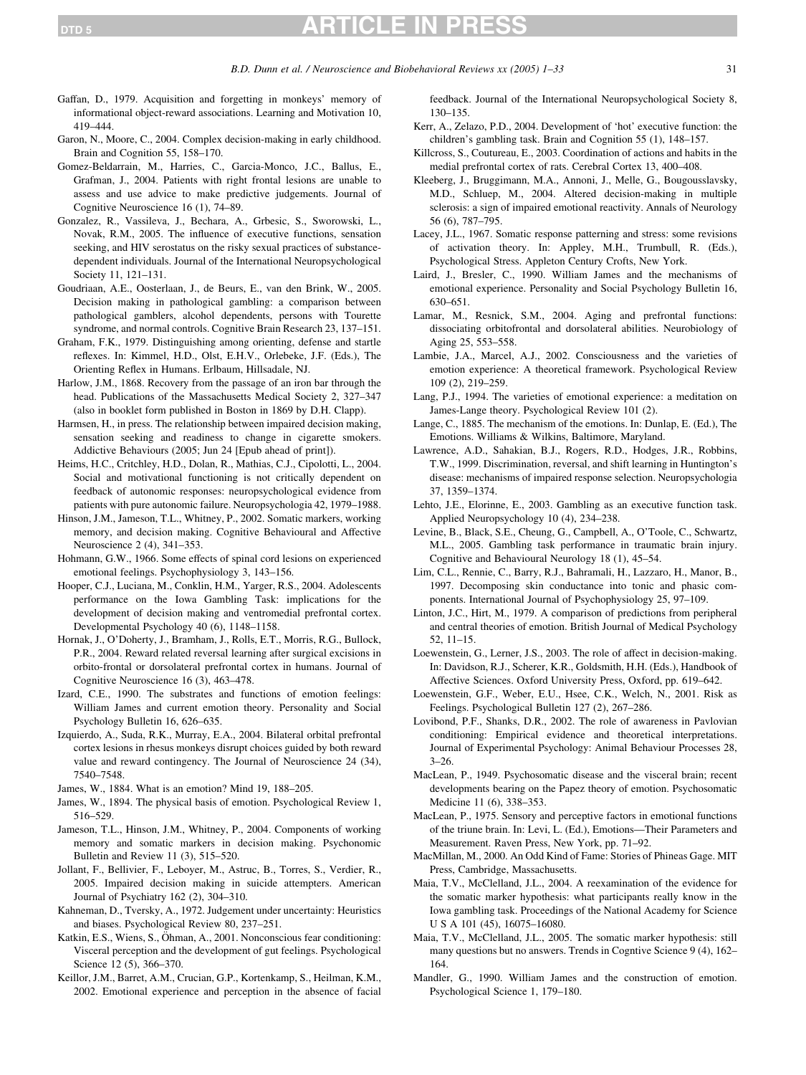- <span id="page-30-0"></span>Gaffan, D., 1979. Acquisition and forgetting in monkeys' memory of informational object-reward associations. Learning and Motivation 10, 419–444.
- Garon, N., Moore, C., 2004. Complex decision-making in early childhood. Brain and Cognition 55, 158–170.
- Gomez-Beldarrain, M., Harries, C., Garcia-Monco, J.C., Ballus, E., Grafman, J., 2004. Patients with right frontal lesions are unable to assess and use advice to make predictive judgements. Journal of Cognitive Neuroscience 16 (1), 74–89.
- Gonzalez, R., Vassileva, J., Bechara, A., Grbesic, S., Sworowski, L., Novak, R.M., 2005. The influence of executive functions, sensation seeking, and HIV serostatus on the risky sexual practices of substancedependent individuals. Journal of the International Neuropsychological Society 11, 121–131.
- Goudriaan, A.E., Oosterlaan, J., de Beurs, E., van den Brink, W., 2005. Decision making in pathological gambling: a comparison between pathological gamblers, alcohol dependents, persons with Tourette syndrome, and normal controls. Cognitive Brain Research 23, 137–151.
- Graham, F.K., 1979. Distinguishing among orienting, defense and startle reflexes. In: Kimmel, H.D., Olst, E.H.V., Orlebeke, J.F. (Eds.), The Orienting Reflex in Humans. Erlbaum, Hillsadale, NJ.
- Harlow, J.M., 1868. Recovery from the passage of an iron bar through the head. Publications of the Massachusetts Medical Society 2, 327–347 (also in booklet form published in Boston in 1869 by D.H. Clapp).
- Harmsen, H., in press. The relationship between impaired decision making, sensation seeking and readiness to change in cigarette smokers. Addictive Behaviours (2005; Jun 24 [Epub ahead of print]).
- Heims, H.C., Critchley, H.D., Dolan, R., Mathias, C.J., Cipolotti, L., 2004. Social and motivational functioning is not critically dependent on feedback of autonomic responses: neuropsychological evidence from patients with pure autonomic failure. Neuropsychologia 42, 1979–1988.
- Hinson, J.M., Jameson, T.L., Whitney, P., 2002. Somatic markers, working memory, and decision making. Cognitive Behavioural and Affective Neuroscience 2 (4), 341–353.
- Hohmann, G.W., 1966. Some effects of spinal cord lesions on experienced emotional feelings. Psychophysiology 3, 143–156.
- Hooper, C.J., Luciana, M., Conklin, H.M., Yarger, R.S., 2004. Adolescents performance on the Iowa Gambling Task: implications for the development of decision making and ventromedial prefrontal cortex. Developmental Psychology 40 (6), 1148–1158.
- Hornak, J., O'Doherty, J., Bramham, J., Rolls, E.T., Morris, R.G., Bullock, P.R., 2004. Reward related reversal learning after surgical excisions in orbito-frontal or dorsolateral prefrontal cortex in humans. Journal of Cognitive Neuroscience 16 (3), 463–478.
- Izard, C.E., 1990. The substrates and functions of emotion feelings: William James and current emotion theory. Personality and Social Psychology Bulletin 16, 626–635.
- Izquierdo, A., Suda, R.K., Murray, E.A., 2004. Bilateral orbital prefrontal cortex lesions in rhesus monkeys disrupt choices guided by both reward value and reward contingency. The Journal of Neuroscience 24 (34), 7540–7548.
- James, W., 1884. What is an emotion? Mind 19, 188–205.
- James, W., 1894. The physical basis of emotion. Psychological Review 1, 516–529.
- Jameson, T.L., Hinson, J.M., Whitney, P., 2004. Components of working memory and somatic markers in decision making. Psychonomic Bulletin and Review 11 (3), 515–520.
- Jollant, F., Bellivier, F., Leboyer, M., Astruc, B., Torres, S., Verdier, R., 2005. Impaired decision making in suicide attempters. American Journal of Psychiatry 162 (2), 304–310.
- Kahneman, D., Tversky, A., 1972. Judgement under uncertainty: Heuristics and biases. Psychological Review 80, 237–251.
- Katkin, E.S., Wiens, S., Öhman, A., 2001. Nonconscious fear conditioning: Visceral perception and the development of gut feelings. Psychological Science 12 (5), 366–370.
- Keillor, J.M., Barret, A.M., Crucian, G.P., Kortenkamp, S., Heilman, K.M., 2002. Emotional experience and perception in the absence of facial

feedback. Journal of the International Neuropsychological Society 8, 130–135.

- Kerr, A., Zelazo, P.D., 2004. Development of 'hot' executive function: the children's gambling task. Brain and Cognition 55 (1), 148–157.
- Killcross, S., Coutureau, E., 2003. Coordination of actions and habits in the medial prefrontal cortex of rats. Cerebral Cortex 13, 400–408.
- Kleeberg, J., Bruggimann, M.A., Annoni, J., Melle, G., Bougousslavsky, M.D., Schluep, M., 2004. Altered decision-making in multiple sclerosis: a sign of impaired emotional reactivity. Annals of Neurology 56 (6), 787–795.
- Lacey, J.L., 1967. Somatic response patterning and stress: some revisions of activation theory. In: Appley, M.H., Trumbull, R. (Eds.), Psychological Stress. Appleton Century Crofts, New York.
- Laird, J., Bresler, C., 1990. William James and the mechanisms of emotional experience. Personality and Social Psychology Bulletin 16, 630–651.
- Lamar, M., Resnick, S.M., 2004. Aging and prefrontal functions: dissociating orbitofrontal and dorsolateral abilities. Neurobiology of Aging 25, 553–558.
- Lambie, J.A., Marcel, A.J., 2002. Consciousness and the varieties of emotion experience: A theoretical framework. Psychological Review 109 (2), 219–259.
- Lang, P.J., 1994. The varieties of emotional experience: a meditation on James-Lange theory. Psychological Review 101 (2).
- Lange, C., 1885. The mechanism of the emotions. In: Dunlap, E. (Ed.), The Emotions. Williams & Wilkins, Baltimore, Maryland.
- Lawrence, A.D., Sahakian, B.J., Rogers, R.D., Hodges, J.R., Robbins, T.W., 1999. Discrimination, reversal, and shift learning in Huntington's disease: mechanisms of impaired response selection. Neuropsychologia 37, 1359–1374.
- Lehto, J.E., Elorinne, E., 2003. Gambling as an executive function task. Applied Neuropsychology 10 (4), 234–238.
- Levine, B., Black, S.E., Cheung, G., Campbell, A., O'Toole, C., Schwartz, M.L., 2005. Gambling task performance in traumatic brain injury. Cognitive and Behavioural Neurology 18 (1), 45–54.
- Lim, C.L., Rennie, C., Barry, R.J., Bahramali, H., Lazzaro, H., Manor, B., 1997. Decomposing skin conductance into tonic and phasic components. International Journal of Psychophysiology 25, 97–109.
- Linton, J.C., Hirt, M., 1979. A comparison of predictions from peripheral and central theories of emotion. British Journal of Medical Psychology 52, 11–15.
- Loewenstein, G., Lerner, J.S., 2003. The role of affect in decision-making. In: Davidson, R.J., Scherer, K.R., Goldsmith, H.H. (Eds.), Handbook of Affective Sciences. Oxford University Press, Oxford, pp. 619–642.
- Loewenstein, G.F., Weber, E.U., Hsee, C.K., Welch, N., 2001. Risk as Feelings. Psychological Bulletin 127 (2), 267–286.
- Lovibond, P.F., Shanks, D.R., 2002. The role of awareness in Pavlovian conditioning: Empirical evidence and theoretical interpretations. Journal of Experimental Psychology: Animal Behaviour Processes 28, 3–26.
- MacLean, P., 1949. Psychosomatic disease and the visceral brain; recent developments bearing on the Papez theory of emotion. Psychosomatic Medicine 11 (6), 338–353.
- MacLean, P., 1975. Sensory and perceptive factors in emotional functions of the triune brain. In: Levi, L. (Ed.), Emotions—Their Parameters and Measurement. Raven Press, New York, pp. 71–92.
- MacMillan, M., 2000. An Odd Kind of Fame: Stories of Phineas Gage. MIT Press, Cambridge, Massachusetts.
- Maia, T.V., McClelland, J.L., 2004. A reexamination of the evidence for the somatic marker hypothesis: what participants really know in the Iowa gambling task. Proceedings of the National Academy for Science U S A 101 (45), 16075–16080.
- Maia, T.V., McClelland, J.L., 2005. The somatic marker hypothesis: still many questions but no answers. Trends in Cogntive Science 9 (4), 162– 164.
- Mandler, G., 1990. William James and the construction of emotion. Psychological Science 1, 179–180.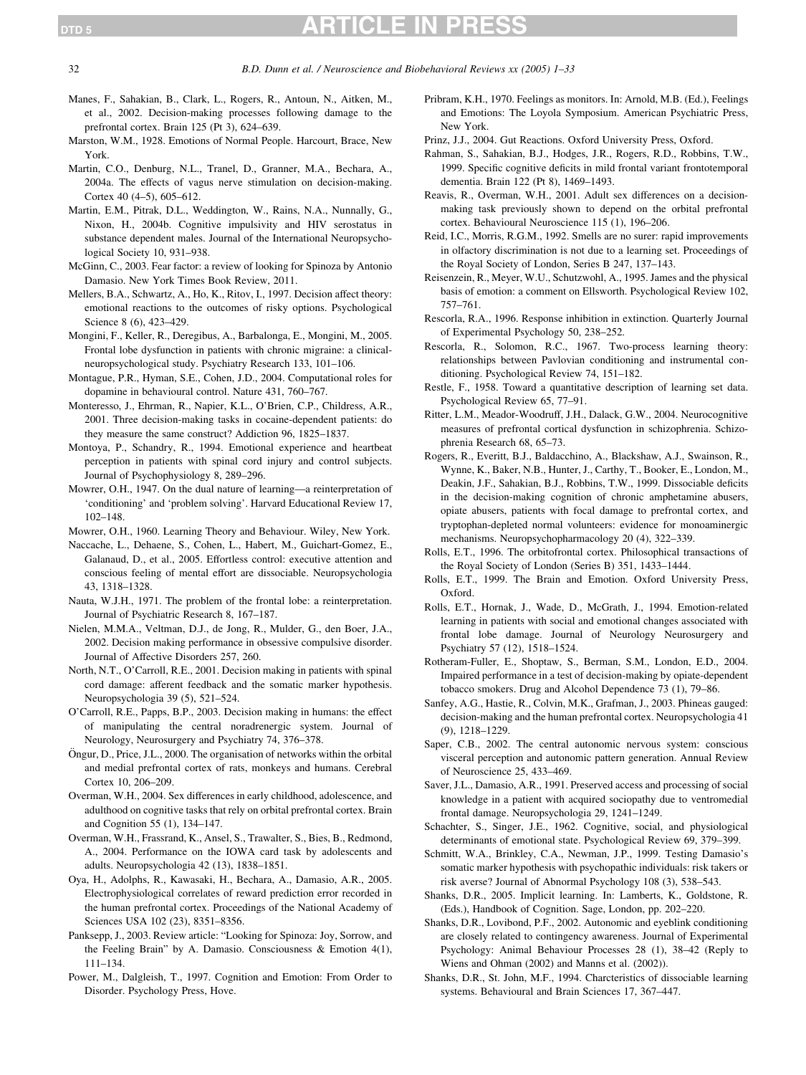- <span id="page-31-0"></span>Manes, F., Sahakian, B., Clark, L., Rogers, R., Antoun, N., Aitken, M., et al., 2002. Decision-making processes following damage to the prefrontal cortex. Brain 125 (Pt 3), 624–639.
- Marston, W.M., 1928. Emotions of Normal People. Harcourt, Brace, New York.
- Martin, C.O., Denburg, N.L., Tranel, D., Granner, M.A., Bechara, A., 2004a. The effects of vagus nerve stimulation on decision-making. Cortex 40 (4–5), 605–612.
- Martin, E.M., Pitrak, D.L., Weddington, W., Rains, N.A., Nunnally, G., Nixon, H., 2004b. Cognitive impulsivity and HIV serostatus in substance dependent males. Journal of the International Neuropsychological Society 10, 931–938.
- McGinn, C., 2003. Fear factor: a review of looking for Spinoza by Antonio Damasio. New York Times Book Review, 2011.
- Mellers, B.A., Schwartz, A., Ho, K., Ritov, I., 1997. Decision affect theory: emotional reactions to the outcomes of risky options. Psychological Science 8 (6), 423-429.
- Mongini, F., Keller, R., Deregibus, A., Barbalonga, E., Mongini, M., 2005. Frontal lobe dysfunction in patients with chronic migraine: a clinicalneuropsychological study. Psychiatry Research 133, 101–106.
- Montague, P.R., Hyman, S.E., Cohen, J.D., 2004. Computational roles for dopamine in behavioural control. Nature 431, 760–767.
- Monteresso, J., Ehrman, R., Napier, K.L., O'Brien, C.P., Childress, A.R., 2001. Three decision-making tasks in cocaine-dependent patients: do they measure the same construct? Addiction 96, 1825–1837.
- Montoya, P., Schandry, R., 1994. Emotional experience and heartbeat perception in patients with spinal cord injury and control subjects. Journal of Psychophysiology 8, 289–296.
- Mowrer, O.H., 1947. On the dual nature of learning—a reinterpretation of 'conditioning' and 'problem solving'. Harvard Educational Review 17, 102–148.
- Mowrer, O.H., 1960. Learning Theory and Behaviour. Wiley, New York.
- Naccache, L., Dehaene, S., Cohen, L., Habert, M., Guichart-Gomez, E., Galanaud, D., et al., 2005. Effortless control: executive attention and conscious feeling of mental effort are dissociable. Neuropsychologia 43, 1318–1328.
- Nauta, W.J.H., 1971. The problem of the frontal lobe: a reinterpretation. Journal of Psychiatric Research 8, 167–187.
- Nielen, M.M.A., Veltman, D.J., de Jong, R., Mulder, G., den Boer, J.A., 2002. Decision making performance in obsessive compulsive disorder. Journal of Affective Disorders 257, 260.
- North, N.T., O'Carroll, R.E., 2001. Decision making in patients with spinal cord damage: afferent feedback and the somatic marker hypothesis. Neuropsychologia 39 (5), 521–524.
- O'Carroll, R.E., Papps, B.P., 2003. Decision making in humans: the effect of manipulating the central noradrenergic system. Journal of Neurology, Neurosurgery and Psychiatry 74, 376–378.
- Öngur, D., Price, J.L., 2000. The organisation of networks within the orbital and medial prefrontal cortex of rats, monkeys and humans. Cerebral Cortex 10, 206–209.
- Overman, W.H., 2004. Sex differences in early childhood, adolescence, and adulthood on cognitive tasks that rely on orbital prefrontal cortex. Brain and Cognition 55 (1), 134–147.
- Overman, W.H., Frassrand, K., Ansel, S., Trawalter, S., Bies, B., Redmond, A., 2004. Performance on the IOWA card task by adolescents and adults. Neuropsychologia 42 (13), 1838–1851.
- Oya, H., Adolphs, R., Kawasaki, H., Bechara, A., Damasio, A.R., 2005. Electrophysiological correlates of reward prediction error recorded in the human prefrontal cortex. Proceedings of the National Academy of Sciences USA 102 (23), 8351–8356.
- Panksepp, J., 2003. Review article: "Looking for Spinoza: Joy, Sorrow, and the Feeling Brain" by A. Damasio. Consciousness & Emotion 4(1), 111–134.
- Power, M., Dalgleish, T., 1997. Cognition and Emotion: From Order to Disorder. Psychology Press, Hove.
- Pribram, K.H., 1970. Feelings as monitors. In: Arnold, M.B. (Ed.), Feelings and Emotions: The Loyola Symposium. American Psychiatric Press, New York.
- Prinz, J.J., 2004. Gut Reactions. Oxford University Press, Oxford.
- Rahman, S., Sahakian, B.J., Hodges, J.R., Rogers, R.D., Robbins, T.W., 1999. Specific cognitive deficits in mild frontal variant frontotemporal dementia. Brain 122 (Pt 8), 1469–1493.
- Reavis, R., Overman, W.H., 2001. Adult sex differences on a decisionmaking task previously shown to depend on the orbital prefrontal cortex. Behavioural Neuroscience 115 (1), 196–206.
- Reid, I.C., Morris, R.G.M., 1992. Smells are no surer: rapid improvements in olfactory discrimination is not due to a learning set. Proceedings of the Royal Society of London, Series B 247, 137–143.
- Reisenzein, R., Meyer, W.U., Schutzwohl, A., 1995. James and the physical basis of emotion: a comment on Ellsworth. Psychological Review 102, 757–761.
- Rescorla, R.A., 1996. Response inhibition in extinction. Quarterly Journal of Experimental Psychology 50, 238–252.
- Rescorla, R., Solomon, R.C., 1967. Two-process learning theory: relationships between Pavlovian conditioning and instrumental conditioning. Psychological Review 74, 151–182.
- Restle, F., 1958. Toward a quantitative description of learning set data. Psychological Review 65, 77–91.
- Ritter, L.M., Meador-Woodruff, J.H., Dalack, G.W., 2004. Neurocognitive measures of prefrontal cortical dysfunction in schizophrenia. Schizophrenia Research 68, 65–73.
- Rogers, R., Everitt, B.J., Baldacchino, A., Blackshaw, A.J., Swainson, R., Wynne, K., Baker, N.B., Hunter, J., Carthy, T., Booker, E., London, M., Deakin, J.F., Sahakian, B.J., Robbins, T.W., 1999. Dissociable deficits in the decision-making cognition of chronic amphetamine abusers, opiate abusers, patients with focal damage to prefrontal cortex, and tryptophan-depleted normal volunteers: evidence for monoaminergic mechanisms. Neuropsychopharmacology 20 (4), 322–339.
- Rolls, E.T., 1996. The orbitofrontal cortex. Philosophical transactions of the Royal Society of London (Series B) 351, 1433–1444.
- Rolls, E.T., 1999. The Brain and Emotion. Oxford University Press, Oxford.
- Rolls, E.T., Hornak, J., Wade, D., McGrath, J., 1994. Emotion-related learning in patients with social and emotional changes associated with frontal lobe damage. Journal of Neurology Neurosurgery and Psychiatry 57 (12), 1518–1524.
- Rotheram-Fuller, E., Shoptaw, S., Berman, S.M., London, E.D., 2004. Impaired performance in a test of decision-making by opiate-dependent tobacco smokers. Drug and Alcohol Dependence 73 (1), 79–86.
- Sanfey, A.G., Hastie, R., Colvin, M.K., Grafman, J., 2003. Phineas gauged: decision-making and the human prefrontal cortex. Neuropsychologia 41 (9), 1218–1229.
- Saper, C.B., 2002. The central autonomic nervous system: conscious visceral perception and autonomic pattern generation. Annual Review of Neuroscience 25, 433–469.
- Saver, J.L., Damasio, A.R., 1991. Preserved access and processing of social knowledge in a patient with acquired sociopathy due to ventromedial frontal damage. Neuropsychologia 29, 1241–1249.
- Schachter, S., Singer, J.E., 1962. Cognitive, social, and physiological determinants of emotional state. Psychological Review 69, 379–399.
- Schmitt, W.A., Brinkley, C.A., Newman, J.P., 1999. Testing Damasio's somatic marker hypothesis with psychopathic individuals: risk takers or risk averse? Journal of Abnormal Psychology 108 (3), 538–543.
- Shanks, D.R., 2005. Implicit learning. In: Lamberts, K., Goldstone, R. (Eds.), Handbook of Cognition. Sage, London, pp. 202–220.
- Shanks, D.R., Lovibond, P.F., 2002. Autonomic and eyeblink conditioning are closely related to contingency awareness. Journal of Experimental Psychology: Animal Behaviour Processes 28 (1), 38–42 (Reply to Wiens and Ohman (2002) and Manns et al. (2002)).
- Shanks, D.R., St. John, M.F., 1994. Charcteristics of dissociable learning systems. Behavioural and Brain Sciences 17, 367–447.